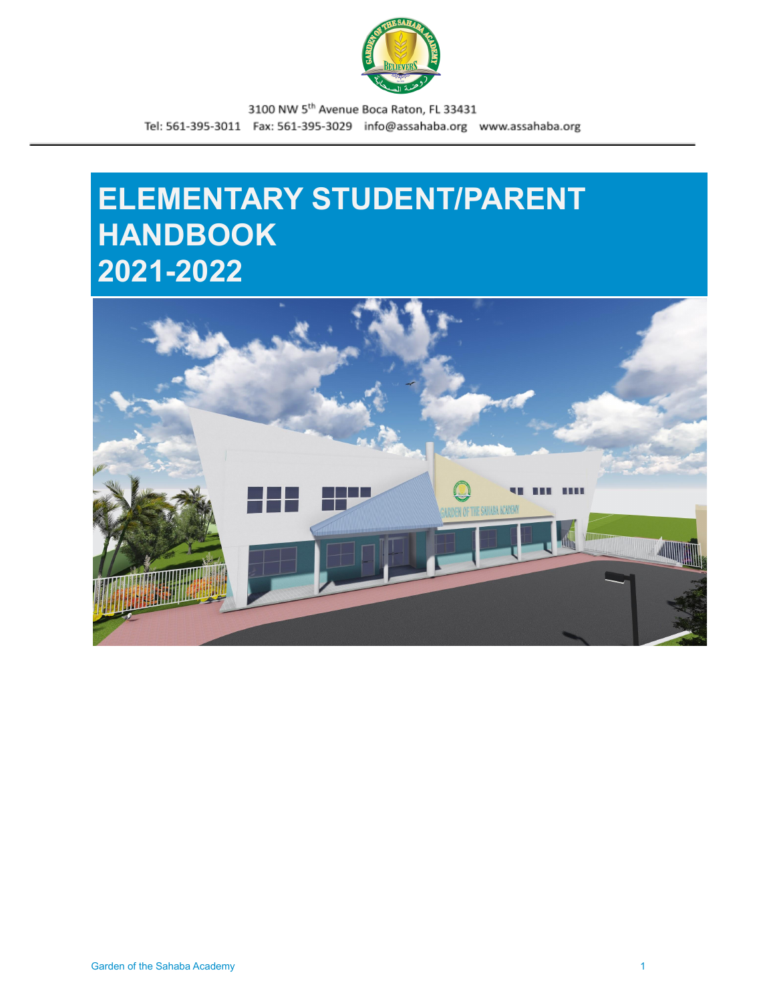

# **ELEMENTARY STUDENT/PARENT HANDBOOK 2021-2022**

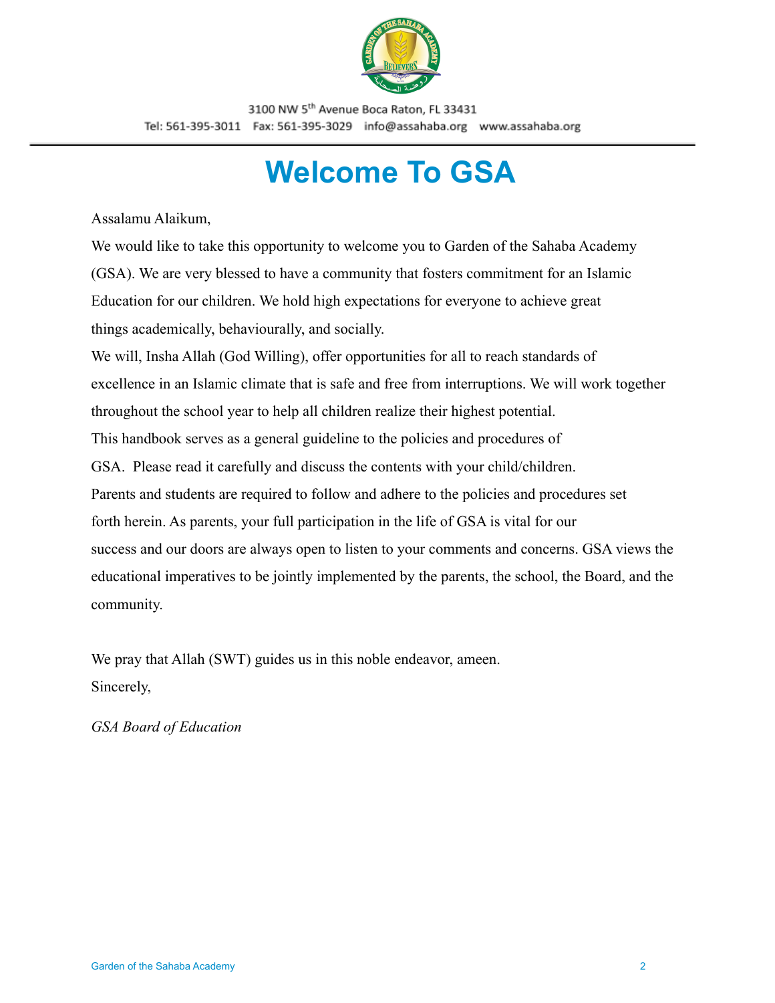

# **Welcome To GSA**

<span id="page-1-0"></span>Assalamu Alaikum,

We would like to take this opportunity to welcome you to Garden of the Sahaba Academy (GSA). We are very blessed to have a community that fosters commitment for an Islamic Education for our children. We hold high expectations for everyone to achieve great things academically, behaviourally, and socially.

We will, Insha Allah (God Willing), offer opportunities for all to reach standards of excellence in an Islamic climate that is safe and free from interruptions. We will work together throughout the school year to help all children realize their highest potential. This handbook serves as a general guideline to the policies and procedures of GSA. Please read it carefully and discuss the contents with your child/children. Parents and students are required to follow and adhere to the policies and procedures set forth herein. As parents, your full participation in the life of GSA is vital for our success and our doors are always open to listen to your comments and concerns. GSA views the educational imperatives to be jointly implemented by the parents, the school, the Board, and the community.

We pray that Allah (SWT) guides us in this noble endeavor, ameen. Sincerely,

*GSA Board of Education*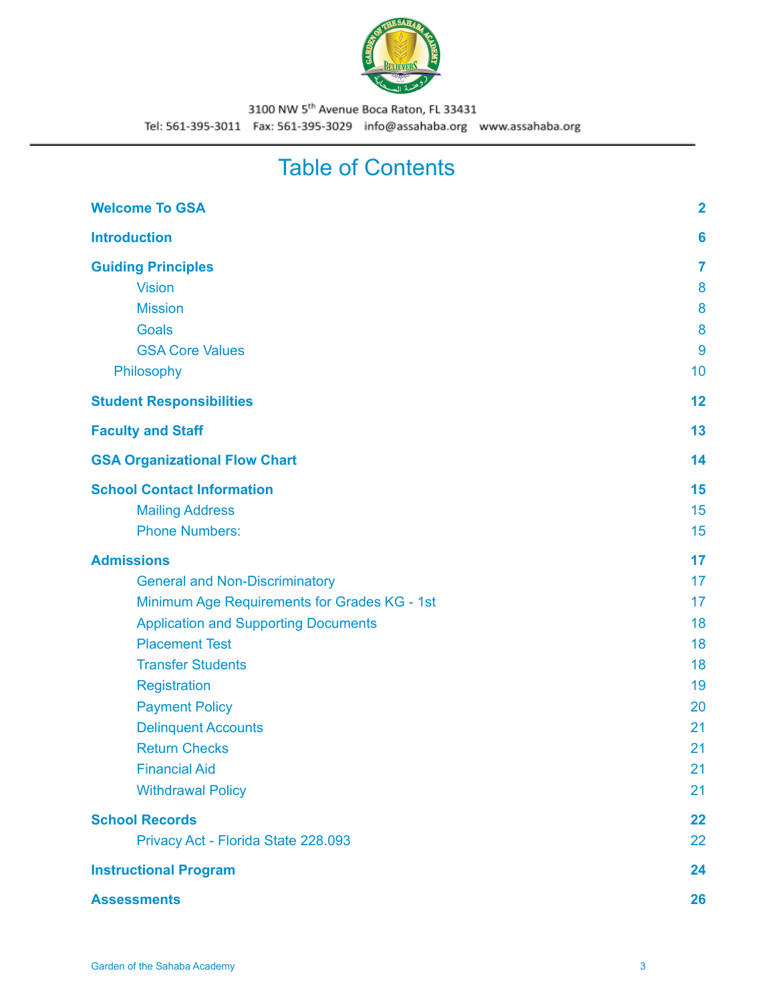

# Table of Contents

| <b>Welcome To GSA</b>                        | $\overline{2}$ |
|----------------------------------------------|----------------|
| <b>Introduction</b>                          | 6              |
| <b>Guiding Principles</b>                    | 7              |
| <b>Vision</b>                                | 8              |
| <b>Mission</b>                               | 8              |
| <b>Goals</b>                                 | 8              |
| <b>GSA Core Values</b>                       | 9              |
| Philosophy                                   | 10             |
| <b>Student Responsibilities</b>              | 12             |
| <b>Faculty and Staff</b>                     | 13             |
| <b>GSA Organizational Flow Chart</b>         | 14             |
| <b>School Contact Information</b>            | 15             |
| <b>Mailing Address</b>                       | 15             |
| <b>Phone Numbers:</b>                        | 15             |
| <b>Admissions</b>                            | 17             |
| <b>General and Non-Discriminatory</b>        | 17             |
| Minimum Age Requirements for Grades KG - 1st | 17             |
| <b>Application and Supporting Documents</b>  | 18             |
| <b>Placement Test</b>                        | 18             |
| <b>Transfer Students</b>                     | 18             |
| <b>Registration</b>                          | 19             |
| <b>Payment Policy</b>                        | 20             |
| <b>Delinquent Accounts</b>                   | 21             |
| <b>Return Checks</b>                         | 21             |
| <b>Financial Aid</b>                         | 21             |
| <b>Withdrawal Policy</b>                     | 21             |
| <b>School Records</b>                        | 22             |
| Privacy Act - Florida State 228.093          | 22             |
| <b>Instructional Program</b>                 | 24             |
| <b>Assessments</b>                           | 26             |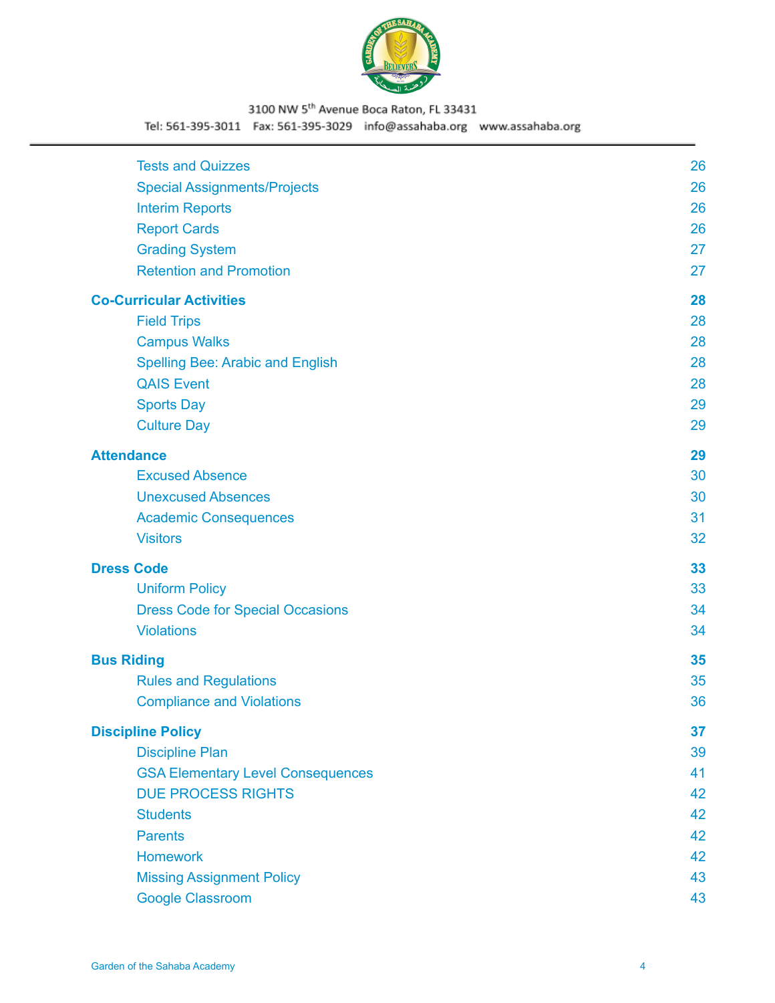

### 3100 NW 5th Avenue Boca Raton, FL 33431

Tel: 561-395-3011 Fax: 561-395-3029 info@assahaba.org www.assahaba.org

| <b>Tests and Quizzes</b>                 | 26 |
|------------------------------------------|----|
| <b>Special Assignments/Projects</b>      | 26 |
| <b>Interim Reports</b>                   | 26 |
| <b>Report Cards</b>                      | 26 |
| <b>Grading System</b>                    | 27 |
| <b>Retention and Promotion</b>           | 27 |
| <b>Co-Curricular Activities</b>          | 28 |
| <b>Field Trips</b>                       | 28 |
| <b>Campus Walks</b>                      | 28 |
| <b>Spelling Bee: Arabic and English</b>  | 28 |
| <b>QAIS Event</b>                        | 28 |
| <b>Sports Day</b>                        | 29 |
| <b>Culture Day</b>                       | 29 |
| <b>Attendance</b>                        | 29 |
| <b>Excused Absence</b>                   | 30 |
| <b>Unexcused Absences</b>                | 30 |
| <b>Academic Consequences</b>             | 31 |
| <b>Visitors</b>                          | 32 |
| <b>Dress Code</b>                        | 33 |
| <b>Uniform Policy</b>                    | 33 |
| <b>Dress Code for Special Occasions</b>  | 34 |
| <b>Violations</b>                        | 34 |
| <b>Bus Riding</b>                        | 35 |
| <b>Rules and Regulations</b>             | 35 |
| <b>Compliance and Violations</b>         | 36 |
| <b>Discipline Policy</b>                 | 37 |
| <b>Discipline Plan</b>                   | 39 |
| <b>GSA Elementary Level Consequences</b> | 41 |
| <b>DUE PROCESS RIGHTS</b>                | 42 |
| <b>Students</b>                          | 42 |
| <b>Parents</b>                           | 42 |
| <b>Homework</b>                          | 42 |
| <b>Missing Assignment Policy</b>         | 43 |
| <b>Google Classroom</b>                  | 43 |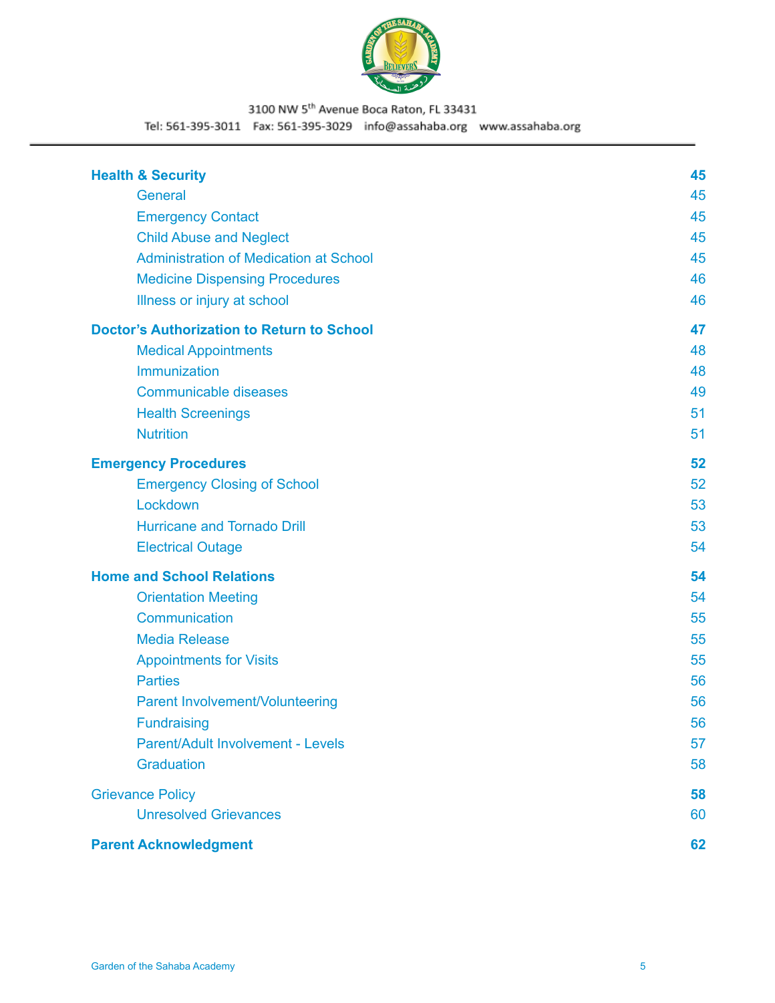

### 3100 NW 5th Avenue Boca Raton, FL 33431

Tel: 561-395-3011 Fax: 561-395-3029 info@assahaba.org www.assahaba.org

| <b>Health &amp; Security</b>                      | 45 |
|---------------------------------------------------|----|
| General                                           | 45 |
| <b>Emergency Contact</b>                          | 45 |
| <b>Child Abuse and Neglect</b>                    | 45 |
| <b>Administration of Medication at School</b>     | 45 |
| <b>Medicine Dispensing Procedures</b>             | 46 |
| Illness or injury at school                       | 46 |
| <b>Doctor's Authorization to Return to School</b> | 47 |
| <b>Medical Appointments</b>                       | 48 |
| Immunization                                      | 48 |
| <b>Communicable diseases</b>                      | 49 |
| <b>Health Screenings</b>                          | 51 |
| <b>Nutrition</b>                                  | 51 |
| <b>Emergency Procedures</b>                       | 52 |
| <b>Emergency Closing of School</b>                | 52 |
| Lockdown                                          | 53 |
| <b>Hurricane and Tornado Drill</b>                | 53 |
| <b>Electrical Outage</b>                          | 54 |
| <b>Home and School Relations</b>                  | 54 |
| <b>Orientation Meeting</b>                        | 54 |
| Communication                                     | 55 |
| <b>Media Release</b>                              | 55 |
| <b>Appointments for Visits</b>                    | 55 |
| <b>Parties</b>                                    | 56 |
| <b>Parent Involvement/Volunteering</b>            | 56 |
| Fundraising                                       | 56 |
| Parent/Adult Involvement - Levels                 | 57 |
| Graduation                                        | 58 |
| <b>Grievance Policy</b>                           | 58 |
| <b>Unresolved Grievances</b>                      | 60 |
| <b>Parent Acknowledgment</b>                      | 62 |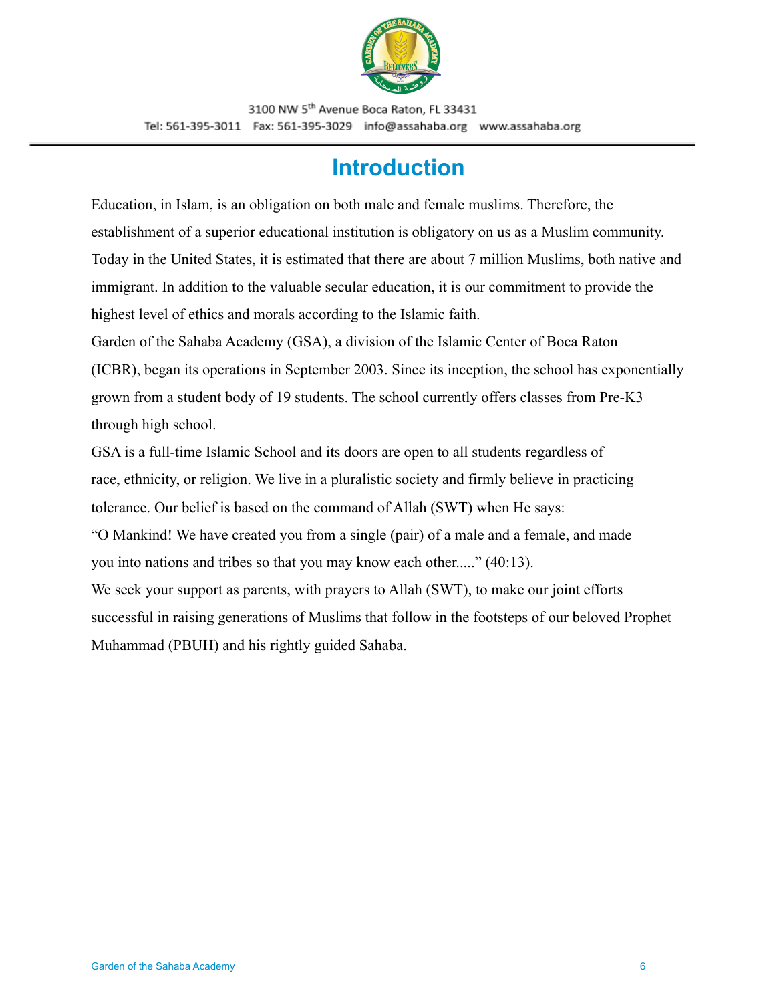

# **Introduction**

<span id="page-5-0"></span>Education, in Islam, is an obligation on both male and female muslims. Therefore, the establishment of a superior educational institution is obligatory on us as a Muslim community. Today in the United States, it is estimated that there are about 7 million Muslims, both native and immigrant. In addition to the valuable secular education, it is our commitment to provide the highest level of ethics and morals according to the Islamic faith.

Garden of the Sahaba Academy (GSA), a division of the Islamic Center of Boca Raton (ICBR), began its operations in September 2003. Since its inception, the school has exponentially grown from a student body of 19 students. The school currently offers classes from Pre-K3 through high school.

GSA is a full-time Islamic School and its doors are open to all students regardless of race, ethnicity, or religion. We live in a pluralistic society and firmly believe in practicing tolerance. Our belief is based on the command of Allah (SWT) when He says:

"O Mankind! We have created you from a single (pair) of a male and a female, and made you into nations and tribes so that you may know each other....." (40:13).

We seek your support as parents, with prayers to Allah (SWT), to make our joint efforts successful in raising generations of Muslims that follow in the footsteps of our beloved Prophet Muhammad (PBUH) and his rightly guided Sahaba.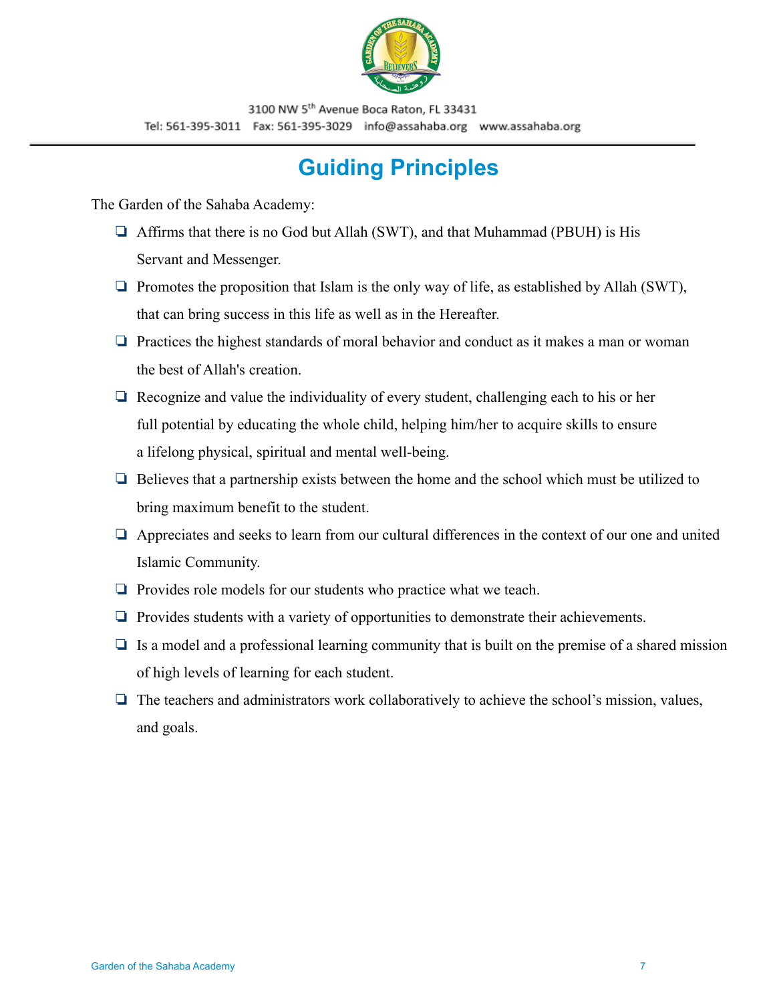

# **Guiding Principles**

<span id="page-6-0"></span>The Garden of the Sahaba Academy:

- ❏ Affirms that there is no God but Allah (SWT), and that Muhammad (PBUH) is His Servant and Messenger.
- $\Box$  Promotes the proposition that Islam is the only way of life, as established by Allah (SWT), that can bring success in this life as well as in the Hereafter.
- ❏ Practices the highest standards of moral behavior and conduct as it makes a man or woman the best of Allah's creation.
- ❏ Recognize and value the individuality of every student, challenging each to his or her full potential by educating the whole child, helping him/her to acquire skills to ensure a lifelong physical, spiritual and mental well-being.
- ❏ Believes that a partnership exists between the home and the school which must be utilized to bring maximum benefit to the student.
- ❏ Appreciates and seeks to learn from our cultural differences in the context of our one and united Islamic Community.
- ❏ Provides role models for our students who practice what we teach.
- ❏ Provides students with a variety of opportunities to demonstrate their achievements.
- $\Box$  Is a model and a professional learning community that is built on the premise of a shared mission of high levels of learning for each student.
- ❏ The teachers and administrators work collaboratively to achieve the school's mission, values, and goals.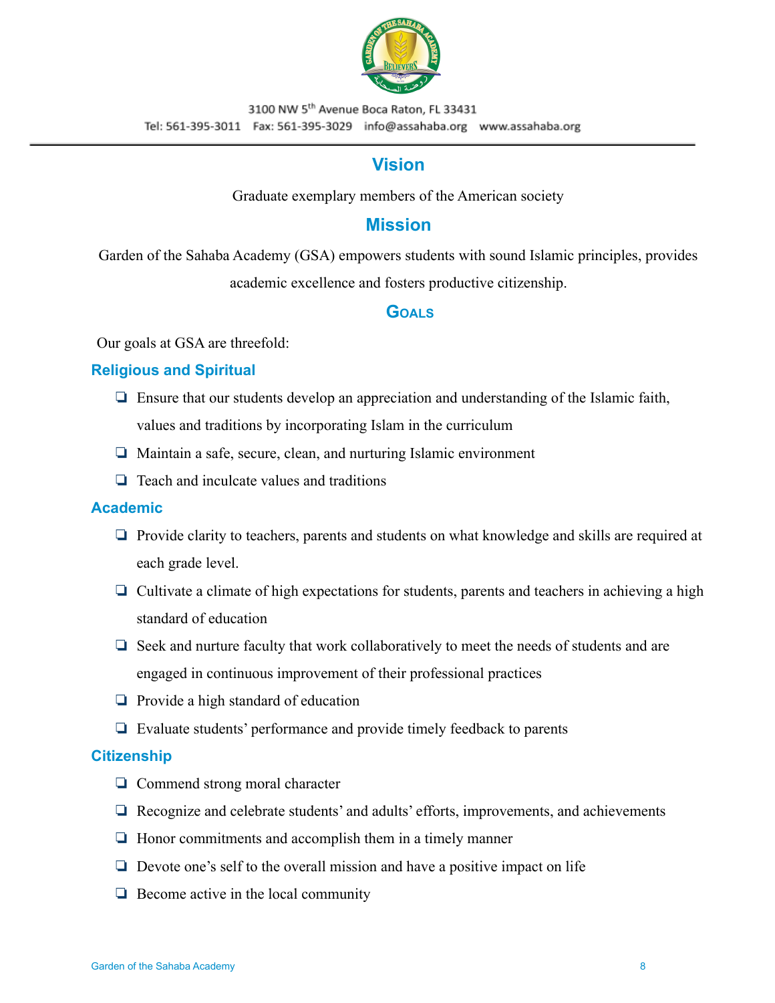

### **Vision**

Graduate exemplary members of the American society

### **Mission**

<span id="page-7-1"></span><span id="page-7-0"></span>Garden of the Sahaba Academy (GSA) empowers students with sound Islamic principles, provides academic excellence and fosters productive citizenship.

### **GOALS**

<span id="page-7-2"></span>Our goals at GSA are threefold:

#### **Religious and Spiritual**

- ❏ Ensure that our students develop an appreciation and understanding of the Islamic faith, values and traditions by incorporating Islam in the curriculum
- ❏ Maintain a safe, secure, clean, and nurturing Islamic environment
- ❏ Teach and inculcate values and traditions

#### **Academic**

- ❏ Provide clarity to teachers, parents and students on what knowledge and skills are required at each grade level.
- ❏ Cultivate a climate of high expectations for students, parents and teachers in achieving a high standard of education
- ❏ Seek and nurture faculty that work collaboratively to meet the needs of students and are engaged in continuous improvement of their professional practices
- ❏ Provide a high standard of education
- ❏ Evaluate students' performance and provide timely feedback to parents

#### **Citizenship**

- ❏ Commend strong moral character
- ❏ Recognize and celebrate students' and adults' efforts, improvements, and achievements
- ❏ Honor commitments and accomplish them in a timely manner
- ❏ Devote one's self to the overall mission and have a positive impact on life
- ❏ Become active in the local community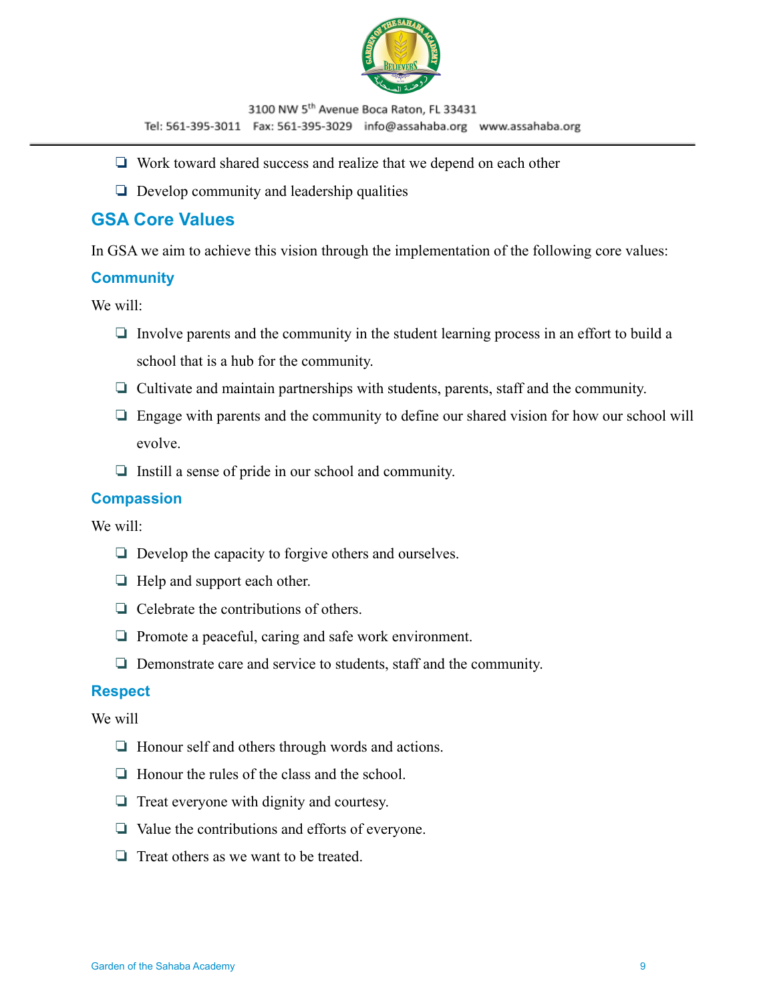

- ❏ Work toward shared success and realize that we depend on each other
- ❏ Develop community and leadership qualities

### <span id="page-8-0"></span>**GSA Core Values**

In GSA we aim to achieve this vision through the implementation of the following core values:

#### **Community**

We will:

- ❏ Involve parents and the community in the student learning process in an effort to build a school that is a hub for the community.
- ❏ Cultivate and maintain partnerships with students, parents, staff and the community.
- ❏ Engage with parents and the community to define our shared vision for how our school will evolve.
- ❏ Instill a sense of pride in our school and community.

#### **Compassion**

We will:

- ❏ Develop the capacity to forgive others and ourselves.
- ❏ Help and support each other.
- ❏ Celebrate the contributions of others.
- ❏ Promote a peaceful, caring and safe work environment.
- ❏ Demonstrate care and service to students, staff and the community.

#### **Respect**

We will

- ❏ Honour self and others through words and actions.
- ❏ Honour the rules of the class and the school.
- ❏ Treat everyone with dignity and courtesy.
- ❏ Value the contributions and efforts of everyone.
- ❏ Treat others as we want to be treated.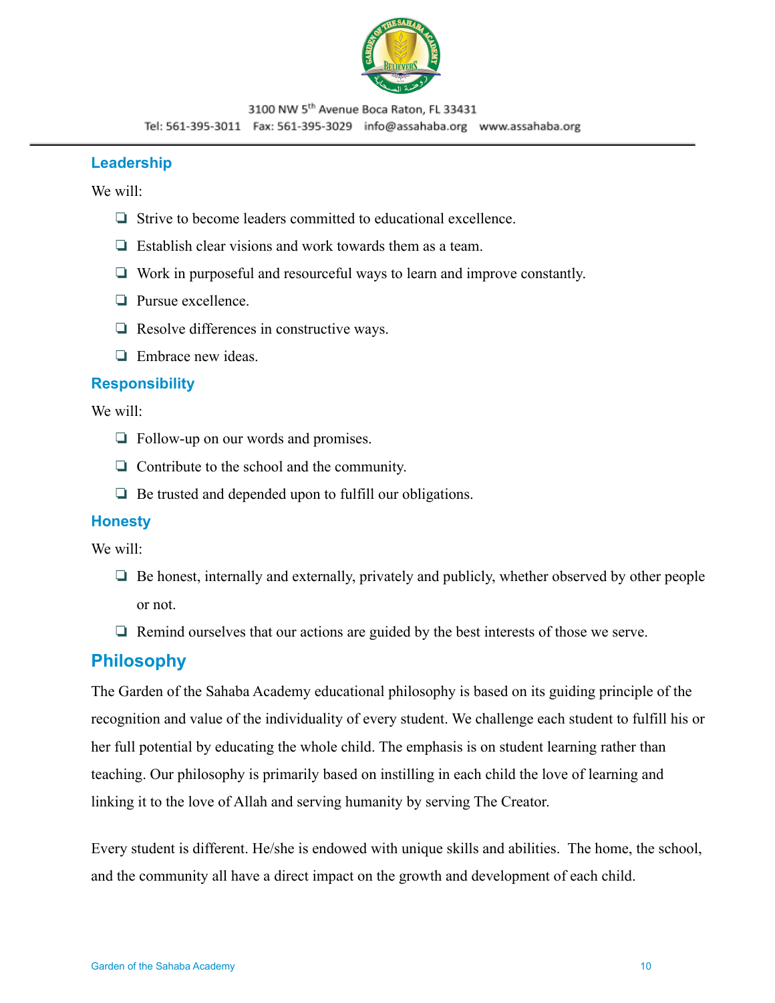

#### **Leadership**

We will:

- ❏ Strive to become leaders committed to educational excellence.
- ❏ Establish clear visions and work towards them as a team.
- ❏ Work in purposeful and resourceful ways to learn and improve constantly.
- ❏ Pursue excellence.
- ❏ Resolve differences in constructive ways.
- ❏ Embrace new ideas.

#### **Responsibility**

We will:

- ❏ Follow-up on our words and promises.
- ❏ Contribute to the school and the community.
- ❏ Be trusted and depended upon to fulfill our obligations.

#### **Honesty**

We will:

- ❏ Be honest, internally and externally, privately and publicly, whether observed by other people or not.
- ❏ Remind ourselves that our actions are guided by the best interests of those we serve.

### <span id="page-9-0"></span>**Philosophy**

The Garden of the Sahaba Academy educational philosophy is based on its guiding principle of the recognition and value of the individuality of every student. We challenge each student to fulfill his or her full potential by educating the whole child. The emphasis is on student learning rather than teaching. Our philosophy is primarily based on instilling in each child the love of learning and linking it to the love of Allah and serving humanity by serving The Creator.

Every student is different. He/she is endowed with unique skills and abilities. The home, the school, and the community all have a direct impact on the growth and development of each child.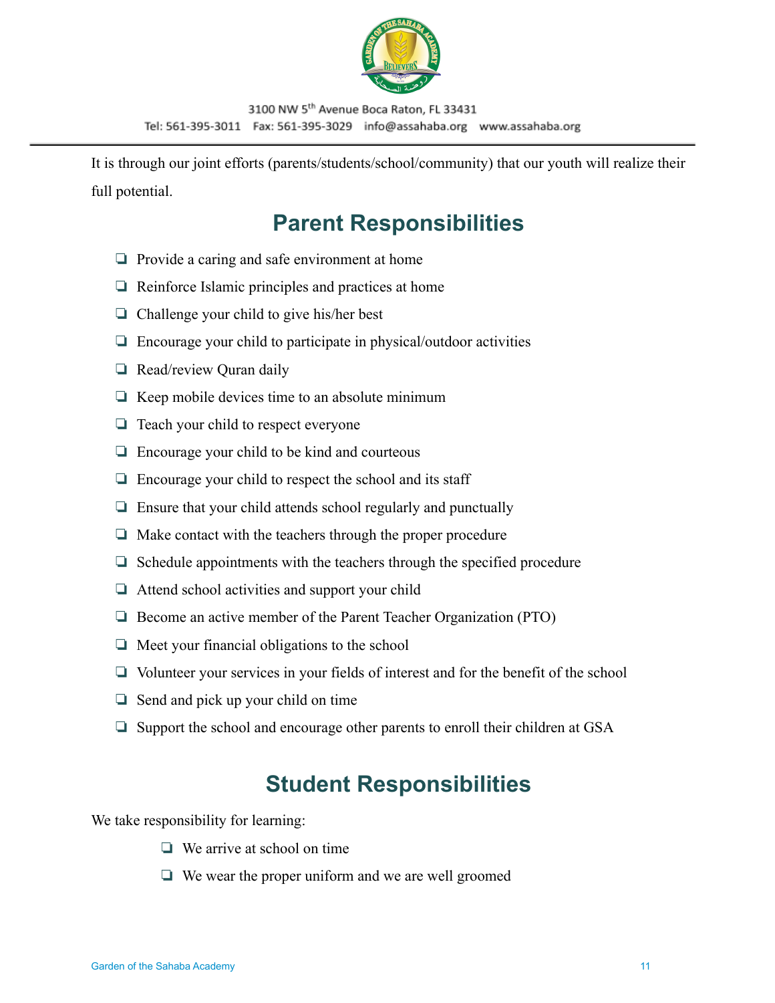

It is through our joint efforts (parents/students/school/community) that our youth will realize their full potential.

# **Parent Responsibilities**

- ❏ Provide a caring and safe environment at home
- ❏ Reinforce Islamic principles and practices at home
- ❏ Challenge your child to give his/her best
- ❏ Encourage your child to participate in physical/outdoor activities
- ❏ Read/review Quran daily
- $\Box$  Keep mobile devices time to an absolute minimum
- ❏ Teach your child to respect everyone
- ❏ Encourage your child to be kind and courteous
- ❏ Encourage your child to respect the school and its staff
- ❏ Ensure that your child attends school regularly and punctually
- ❏ Make contact with the teachers through the proper procedure
- ❏ Schedule appointments with the teachers through the specified procedure
- ❏ Attend school activities and support your child
- ❏ Become an active member of the Parent Teacher Organization (PTO)
- ❏ Meet your financial obligations to the school
- ❏ Volunteer your services in your fields of interest and for the benefit of the school
- ❏ Send and pick up your child on time
- ❏ Support the school and encourage other parents to enroll their children at GSA

# **Student Responsibilities**

<span id="page-10-0"></span>We take responsibility for learning:

- ❏ We arrive at school on time
- ❏ We wear the proper uniform and we are well groomed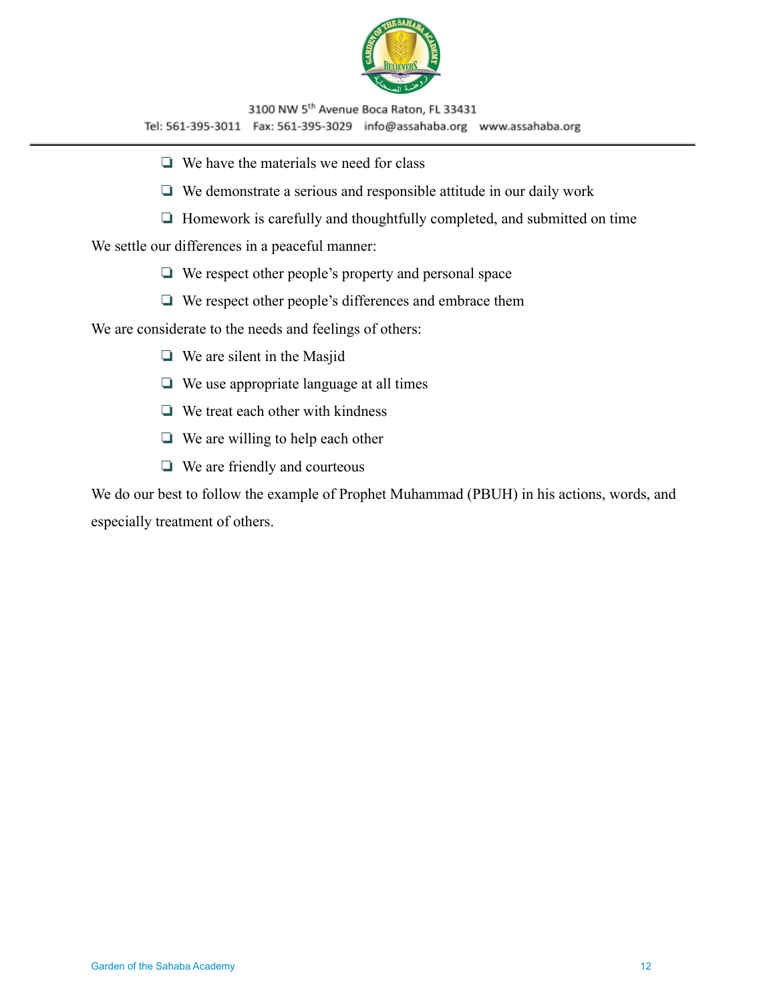

- ❏ We have the materials we need for class
- ❏ We demonstrate a serious and responsible attitude in our daily work
- ❏ Homework is carefully and thoughtfully completed, and submitted on time

We settle our differences in a peaceful manner:

- ❏ We respect other people's property and personal space
- ❏ We respect other people's differences and embrace them

We are considerate to the needs and feelings of others:

- ❏ We are silent in the Masjid
- ❏ We use appropriate language at all times
- ❏ We treat each other with kindness
- ❏ We are willing to help each other
- ❏ We are friendly and courteous

We do our best to follow the example of Prophet Muhammad (PBUH) in his actions, words, and especially treatment of others.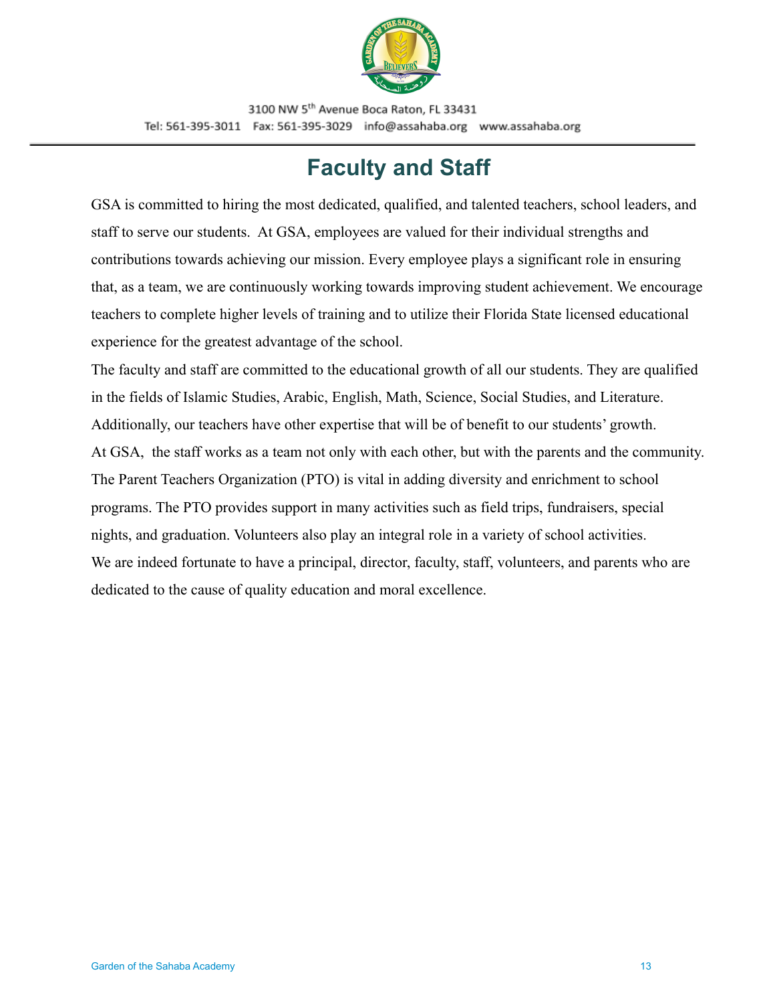

# **Faculty and Staff**

<span id="page-12-0"></span>GSA is committed to hiring the most dedicated, qualified, and talented teachers, school leaders, and staff to serve our students. At GSA, employees are valued for their individual strengths and contributions towards achieving our mission. Every employee plays a significant role in ensuring that, as a team, we are continuously working towards improving student achievement. We encourage teachers to complete higher levels of training and to utilize their Florida State licensed educational experience for the greatest advantage of the school.

The faculty and staff are committed to the educational growth of all our students. They are qualified in the fields of Islamic Studies, Arabic, English, Math, Science, Social Studies, and Literature. Additionally, our teachers have other expertise that will be of benefit to our students' growth. At GSA, the staff works as a team not only with each other, but with the parents and the community. The Parent Teachers Organization (PTO) is vital in adding diversity and enrichment to school programs. The PTO provides support in many activities such as field trips, fundraisers, special nights, and graduation. Volunteers also play an integral role in a variety of school activities. We are indeed fortunate to have a principal, director, faculty, staff, volunteers, and parents who are dedicated to the cause of quality education and moral excellence.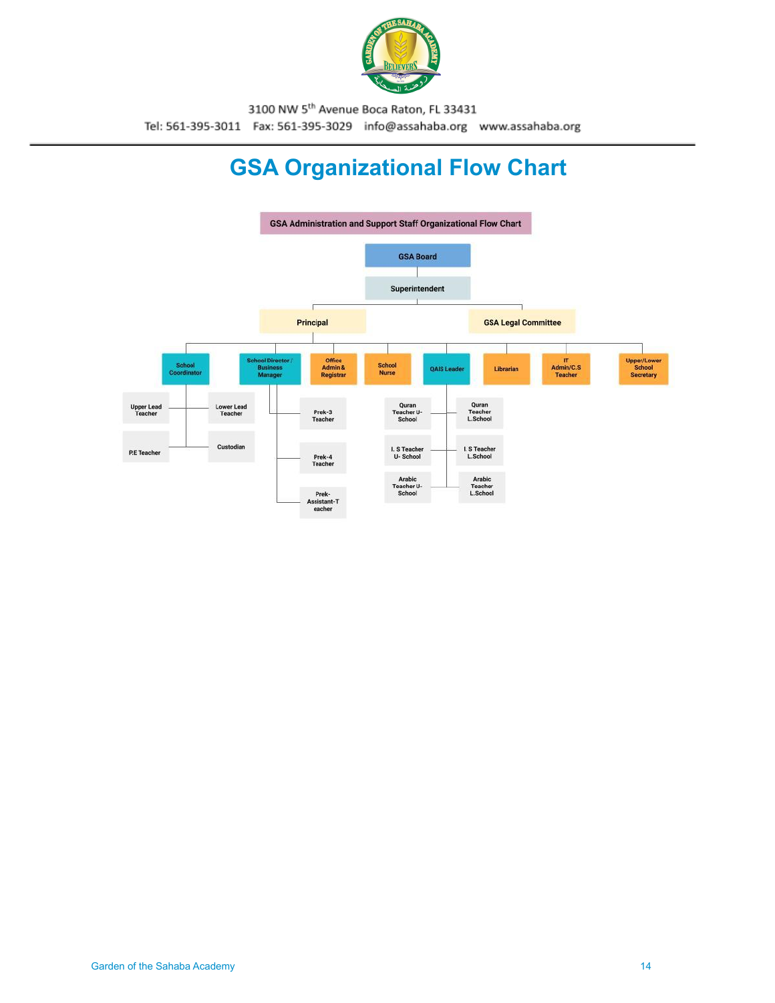

# **GSA Organizational Flow Chart**

<span id="page-13-0"></span>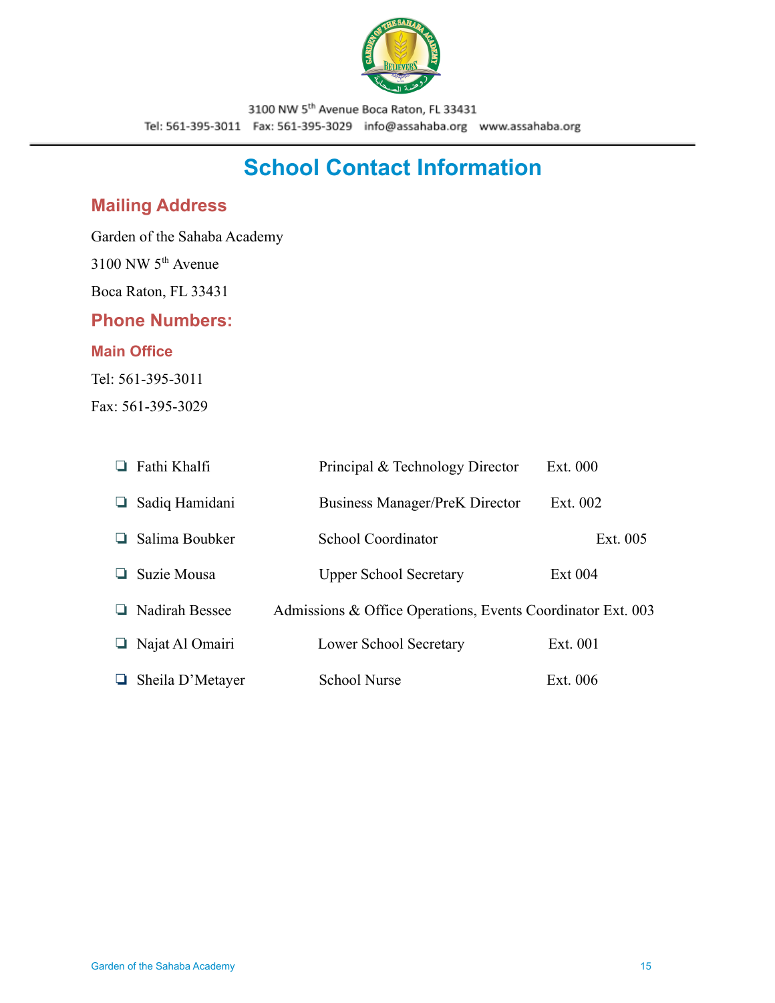

# **School Contact Information**

# <span id="page-14-1"></span><span id="page-14-0"></span>**Mailing Address**

Garden of the Sahaba Academy

3100 NW 5th Avenue

Boca Raton, FL 33431

#### <span id="page-14-2"></span>**Phone Numbers:**

#### **Main Office**

Tel: 561-395-3011

Fax: 561-395-3029

|   | $\Box$ Fathi Khalfi     | Principal & Technology Director                             | Ext. 000   |
|---|-------------------------|-------------------------------------------------------------|------------|
| ப | Sadiq Hamidani          | <b>Business Manager/PreK Director</b>                       | Ext. 002   |
|   | Salima Boubker          | School Coordinator                                          | Ext. 005   |
|   | Suzie Mousa             | <b>Upper School Secretary</b>                               | Ext 004    |
|   | $\Box$ Nadirah Bessee   | Admissions & Office Operations, Events Coordinator Ext. 003 |            |
|   | $\Box$ Najat Al Omairi  | Lower School Secretary                                      | Ext. 001   |
|   | $\Box$ Sheila D'Metayer | <b>School Nurse</b>                                         | Ext. $006$ |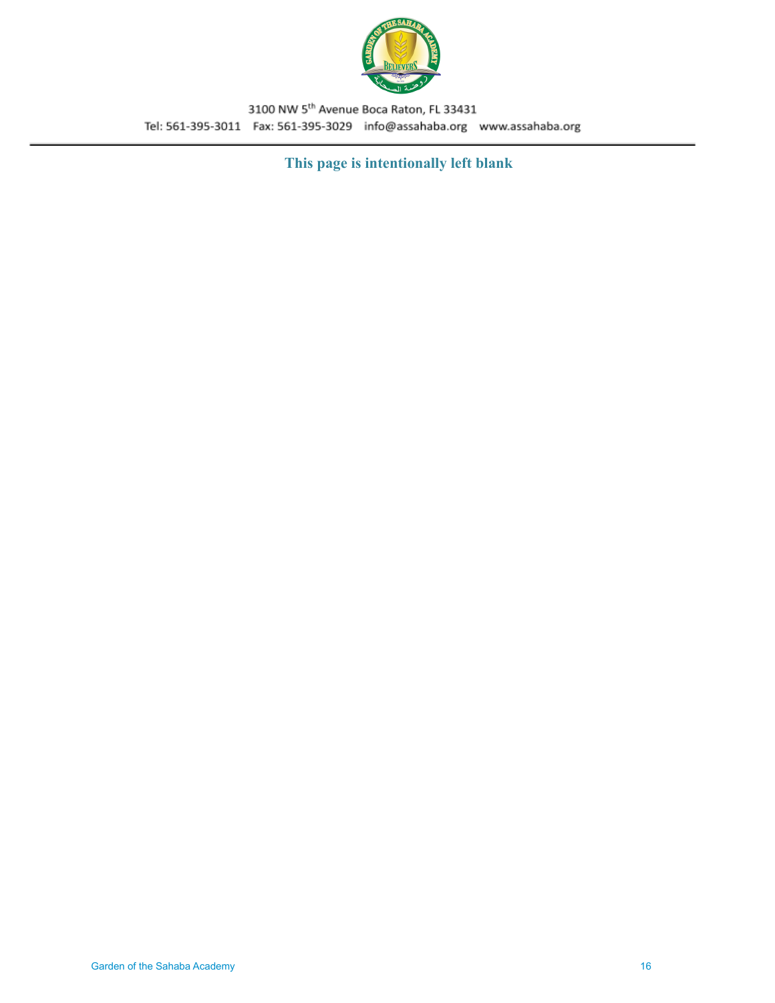

**This page is intentionally left blank**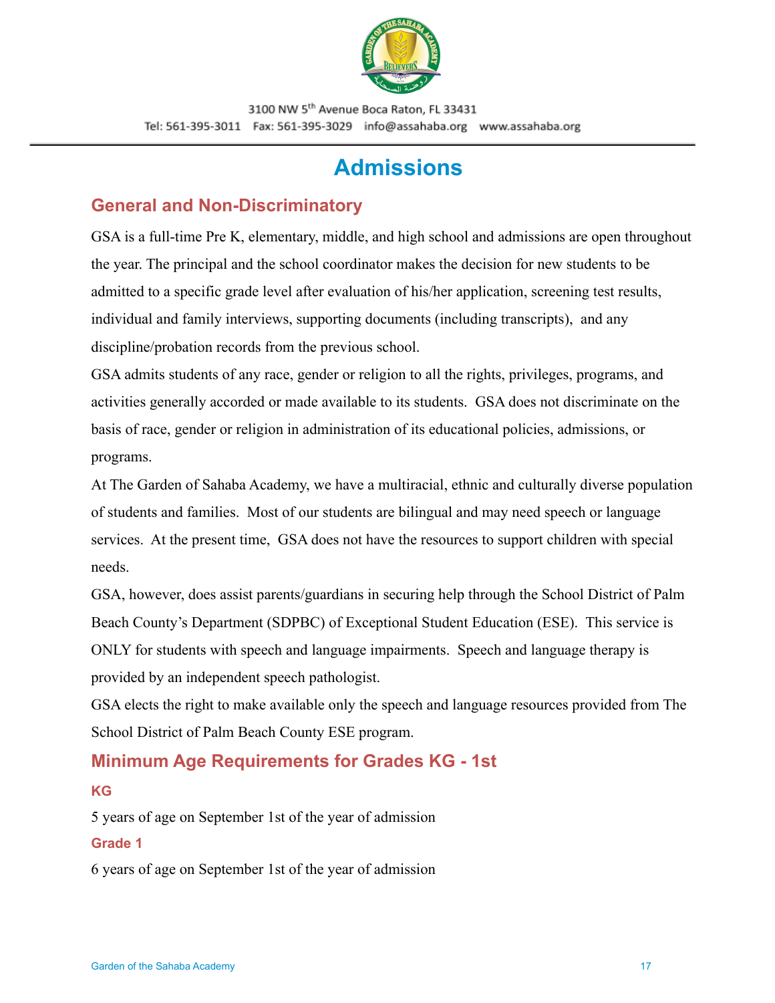

# **Admissions**

## <span id="page-16-1"></span><span id="page-16-0"></span>**General and Non-Discriminatory**

GSA is a full-time Pre K, elementary, middle, and high school and admissions are open throughout the year. The principal and the school coordinator makes the decision for new students to be admitted to a specific grade level after evaluation of his/her application, screening test results, individual and family interviews, supporting documents (including transcripts), and any discipline/probation records from the previous school.

GSA admits students of any race, gender or religion to all the rights, privileges, programs, and activities generally accorded or made available to its students. GSA does not discriminate on the basis of race, gender or religion in administration of its educational policies, admissions, or programs.

At The Garden of Sahaba Academy, we have a multiracial, ethnic and culturally diverse population of students and families. Most of our students are bilingual and may need speech or language services. At the present time, GSA does not have the resources to support children with special needs.

GSA, however, does assist parents/guardians in securing help through the School District of Palm Beach County's Department (SDPBC) of Exceptional Student Education (ESE). This service is ONLY for students with speech and language impairments. Speech and language therapy is provided by an independent speech pathologist.

GSA elects the right to make available only the speech and language resources provided from The School District of Palm Beach County ESE program.

# <span id="page-16-2"></span>**Minimum Age Requirements for Grades KG - 1st**

#### **KG**

5 years of age on September 1st of the year of admission

#### **Grade 1**

6 years of age on September 1st of the year of admission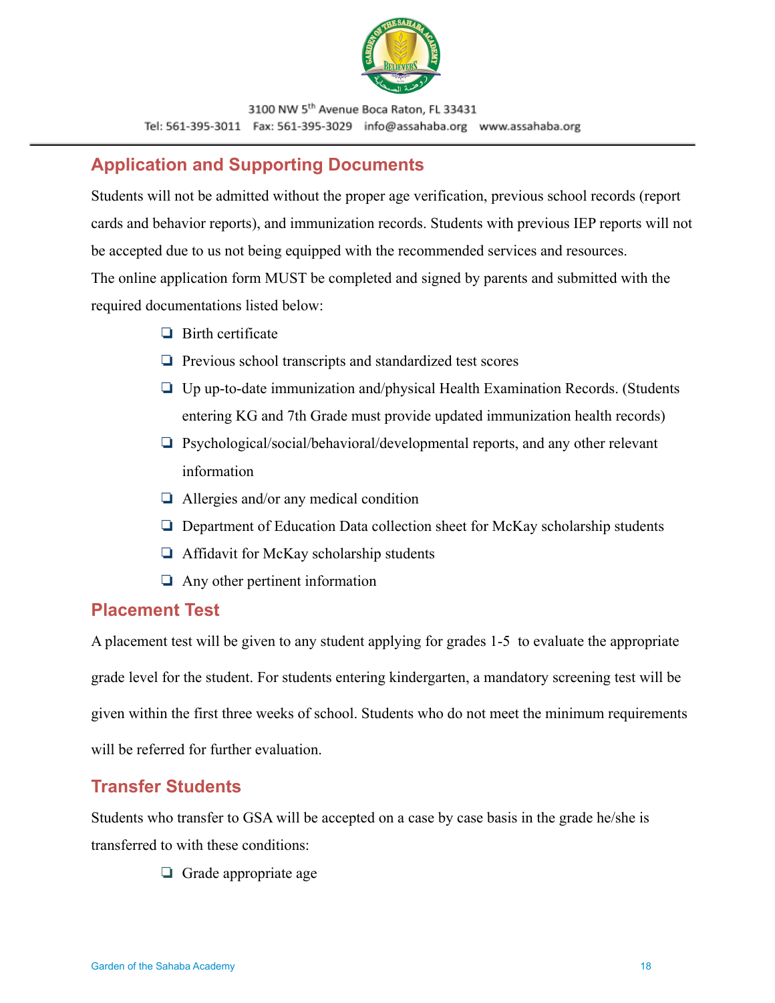

# <span id="page-17-0"></span>**Application and Supporting Documents**

Students will not be admitted without the proper age verification, previous school records (report cards and behavior reports), and immunization records. Students with previous IEP reports will not be accepted due to us not being equipped with the recommended services and resources. The online application form MUST be completed and signed by parents and submitted with the required documentations listed below:

- ❏ Birth certificate
- ❏ Previous school transcripts and standardized test scores
- ❏ Up up-to-date immunization and/physical Health Examination Records. (Students entering KG and 7th Grade must provide updated immunization health records)
- ❏ Psychological/social/behavioral/developmental reports, and any other relevant information
- ❏ Allergies and/or any medical condition
- ❏ Department of Education Data collection sheet for McKay scholarship students
- ❏ Affidavit for McKay scholarship students
- ❏ Any other pertinent information

## <span id="page-17-1"></span>**Placement Test**

A placement test will be given to any student applying for grades 1-5 to evaluate the appropriate grade level for the student. For students entering kindergarten, a mandatory screening test will be given within the first three weeks of school. Students who do not meet the minimum requirements will be referred for further evaluation.

# <span id="page-17-2"></span>**Transfer Students**

Students who transfer to GSA will be accepted on a case by case basis in the grade he/she is transferred to with these conditions:

❏ Grade appropriate age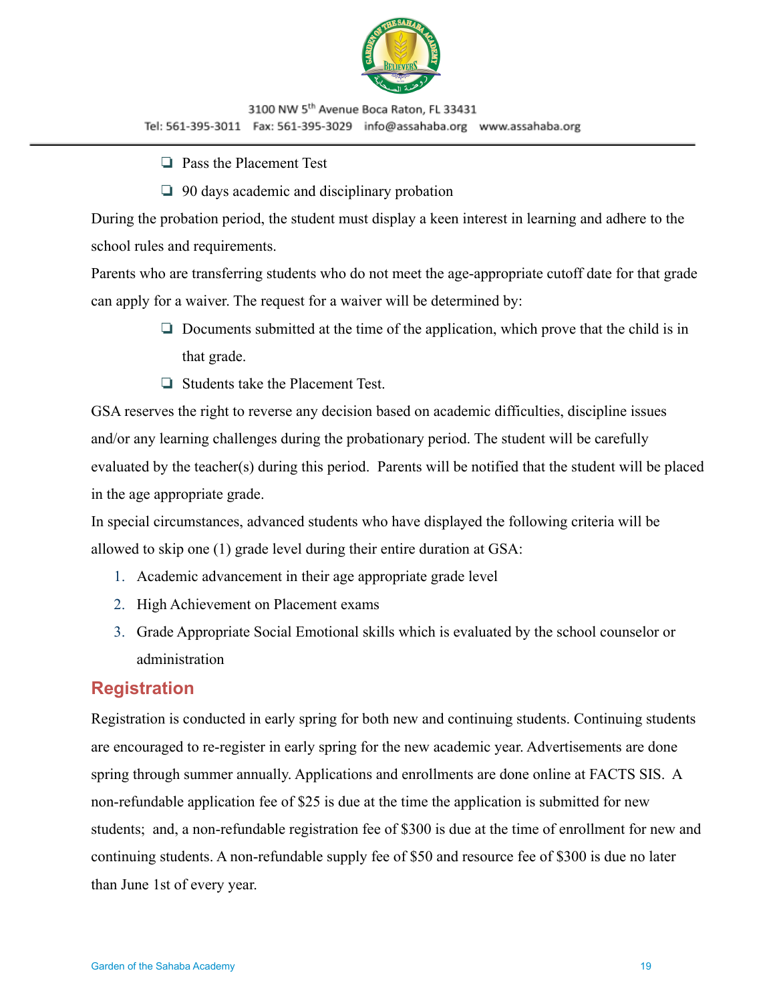

- ❏ Pass the Placement Test
- ❏ 90 days academic and disciplinary probation

During the probation period, the student must display a keen interest in learning and adhere to the school rules and requirements.

Parents who are transferring students who do not meet the age-appropriate cutoff date for that grade can apply for a waiver. The request for a waiver will be determined by:

- ❏ Documents submitted at the time of the application, which prove that the child is in that grade.
- ❏ Students take the Placement Test.

GSA reserves the right to reverse any decision based on academic difficulties, discipline issues and/or any learning challenges during the probationary period. The student will be carefully evaluated by the teacher(s) during this period. Parents will be notified that the student will be placed in the age appropriate grade.

In special circumstances, advanced students who have displayed the following criteria will be allowed to skip one (1) grade level during their entire duration at GSA:

- 1. Academic advancement in their age appropriate grade level
- 2. High Achievement on Placement exams
- 3. Grade Appropriate Social Emotional skills which is evaluated by the school counselor or administration

## <span id="page-18-0"></span>**Registration**

Registration is conducted in early spring for both new and continuing students. Continuing students are encouraged to re-register in early spring for the new academic year. Advertisements are done spring through summer annually. Applications and enrollments are done online at FACTS SIS. A non-refundable application fee of \$25 is due at the time the application is submitted for new students; and, a non-refundable registration fee of \$300 is due at the time of enrollment for new and continuing students. A non-refundable supply fee of \$50 and resource fee of \$300 is due no later than June 1st of every year.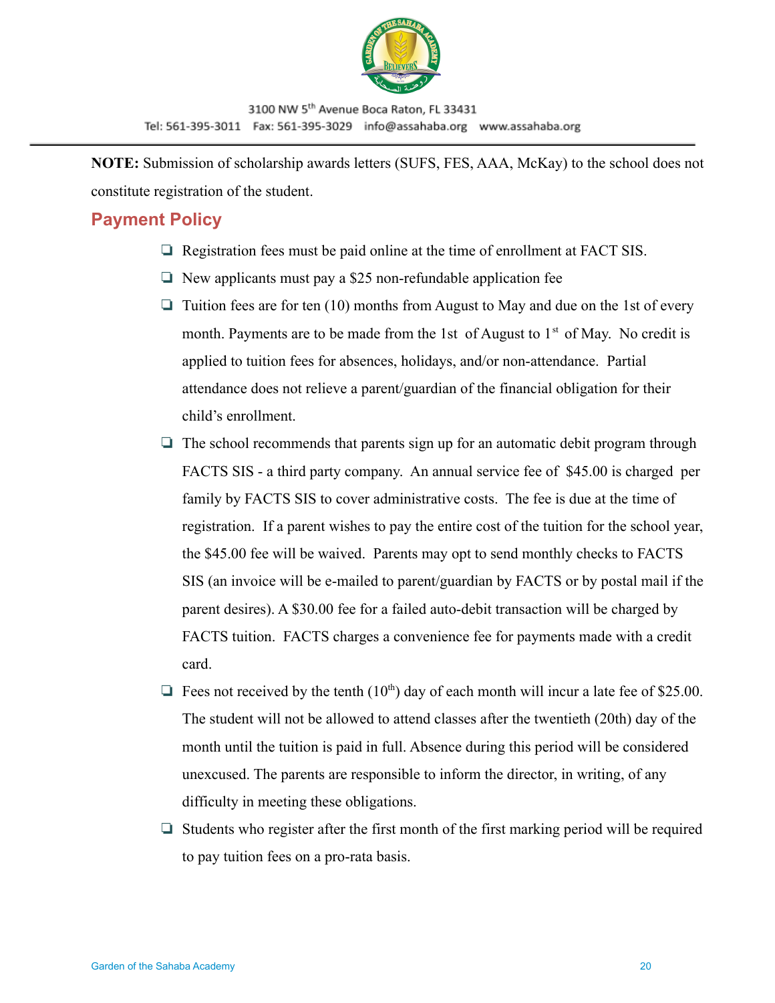

**NOTE:** Submission of scholarship awards letters (SUFS, FES, AAA, McKay) to the school does not constitute registration of the student.

## <span id="page-19-0"></span>**Payment Policy**

- ❏ Registration fees must be paid online at the time of enrollment at FACT SIS.
- ❏ New applicants must pay a \$25 non-refundable application fee
- $\Box$  Tuition fees are for ten (10) months from August to May and due on the 1st of every month. Payments are to be made from the 1st of August to  $1<sup>st</sup>$  of May. No credit is applied to tuition fees for absences, holidays, and/or non-attendance. Partial attendance does not relieve a parent/guardian of the financial obligation for their child's enrollment.
- ❏ The school recommends that parents sign up for an automatic debit program through FACTS SIS - a third party company. An annual service fee of \$45.00 is charged per family by FACTS SIS to cover administrative costs. The fee is due at the time of registration. If a parent wishes to pay the entire cost of the tuition for the school year, the \$45.00 fee will be waived. Parents may opt to send monthly checks to FACTS SIS (an invoice will be e-mailed to parent/guardian by FACTS or by postal mail if the parent desires). A \$30.00 fee for a failed auto-debit transaction will be charged by FACTS tuition. FACTS charges a convenience fee for payments made with a credit card.
- $\Box$  Fees not received by the tenth (10<sup>th</sup>) day of each month will incur a late fee of \$25.00. The student will not be allowed to attend classes after the twentieth (20th) day of the month until the tuition is paid in full. Absence during this period will be considered unexcused. The parents are responsible to inform the director, in writing, of any difficulty in meeting these obligations.
- ❏ Students who register after the first month of the first marking period will be required to pay tuition fees on a pro-rata basis.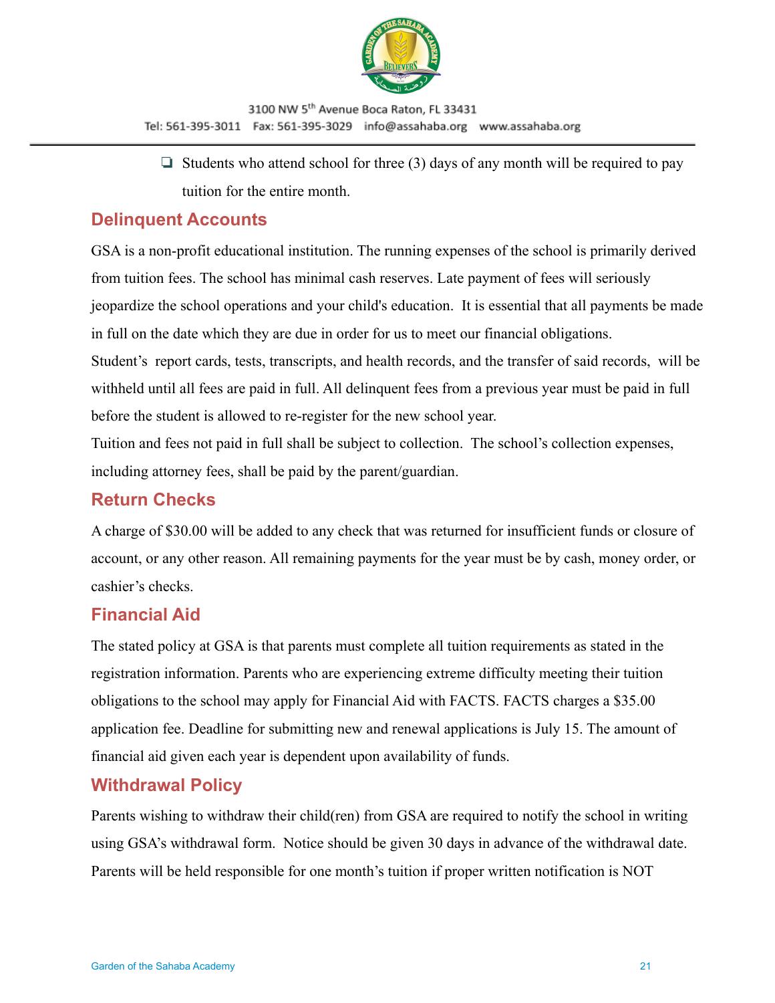

 $\Box$  Students who attend school for three (3) days of any month will be required to pay tuition for the entire month.

# <span id="page-20-0"></span>**Delinquent Accounts**

GSA is a non-profit educational institution. The running expenses of the school is primarily derived from tuition fees. The school has minimal cash reserves. Late payment of fees will seriously jeopardize the school operations and your child's education. It is essential that all payments be made in full on the date which they are due in order for us to meet our financial obligations.

Student's report cards, tests, transcripts, and health records, and the transfer of said records, will be withheld until all fees are paid in full. All delinquent fees from a previous year must be paid in full before the student is allowed to re-register for the new school year.

Tuition and fees not paid in full shall be subject to collection. The school's collection expenses, including attorney fees, shall be paid by the parent/guardian.

# <span id="page-20-1"></span>**Return Checks**

A charge of \$30.00 will be added to any check that was returned for insufficient funds or closure of account, or any other reason. All remaining payments for the year must be by cash, money order, or cashier's checks.

# <span id="page-20-2"></span>**Financial Aid**

The stated policy at GSA is that parents must complete all tuition requirements as stated in the registration information. Parents who are experiencing extreme difficulty meeting their tuition obligations to the school may apply for Financial Aid with FACTS. FACTS charges a \$35.00 application fee. Deadline for submitting new and renewal applications is July 15. The amount of financial aid given each year is dependent upon availability of funds.

# <span id="page-20-3"></span>**Withdrawal Policy**

Parents wishing to withdraw their child(ren) from GSA are required to notify the school in writing using GSA's withdrawal form. Notice should be given 30 days in advance of the withdrawal date. Parents will be held responsible for one month's tuition if proper written notification is NOT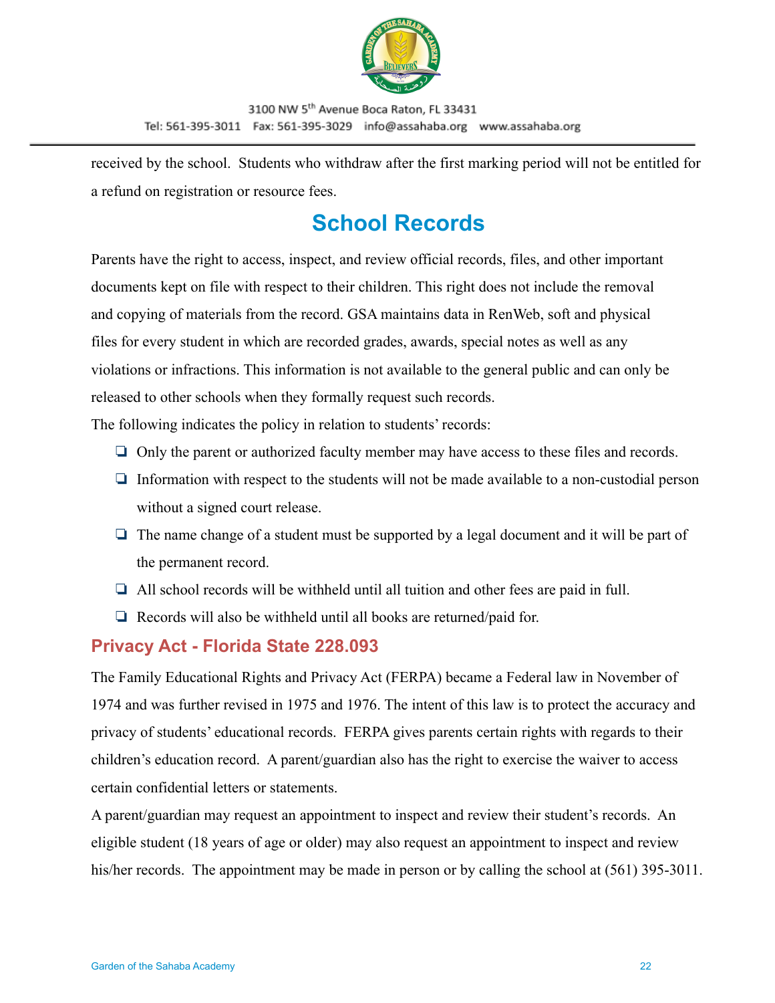

received by the school. Students who withdraw after the first marking period will not be entitled for a refund on registration or resource fees.

# **School Records**

<span id="page-21-0"></span>Parents have the right to access, inspect, and review official records, files, and other important documents kept on file with respect to their children. This right does not include the removal and copying of materials from the record. GSA maintains data in RenWeb, soft and physical files for every student in which are recorded grades, awards, special notes as well as any violations or infractions. This information is not available to the general public and can only be released to other schools when they formally request such records.

The following indicates the policy in relation to students' records:

- ❏ Only the parent or authorized faculty member may have access to these files and records.
- ❏ Information with respect to the students will not be made available to a non-custodial person without a signed court release.
- ❏ The name change of a student must be supported by a legal document and it will be part of the permanent record.
- ❏ All school records will be withheld until all tuition and other fees are paid in full.
- ❏ Records will also be withheld until all books are returned/paid for.

## <span id="page-21-1"></span>**Privacy Act - Florida State 228.093**

The Family Educational Rights and Privacy Act (FERPA) became a Federal law in November of 1974 and was further revised in 1975 and 1976. The intent of this law is to protect the accuracy and privacy of students' educational records. FERPA gives parents certain rights with regards to their children's education record. A parent/guardian also has the right to exercise the waiver to access certain confidential letters or statements.

A parent/guardian may request an appointment to inspect and review their student's records. An eligible student (18 years of age or older) may also request an appointment to inspect and review his/her records. The appointment may be made in person or by calling the school at (561) 395-3011.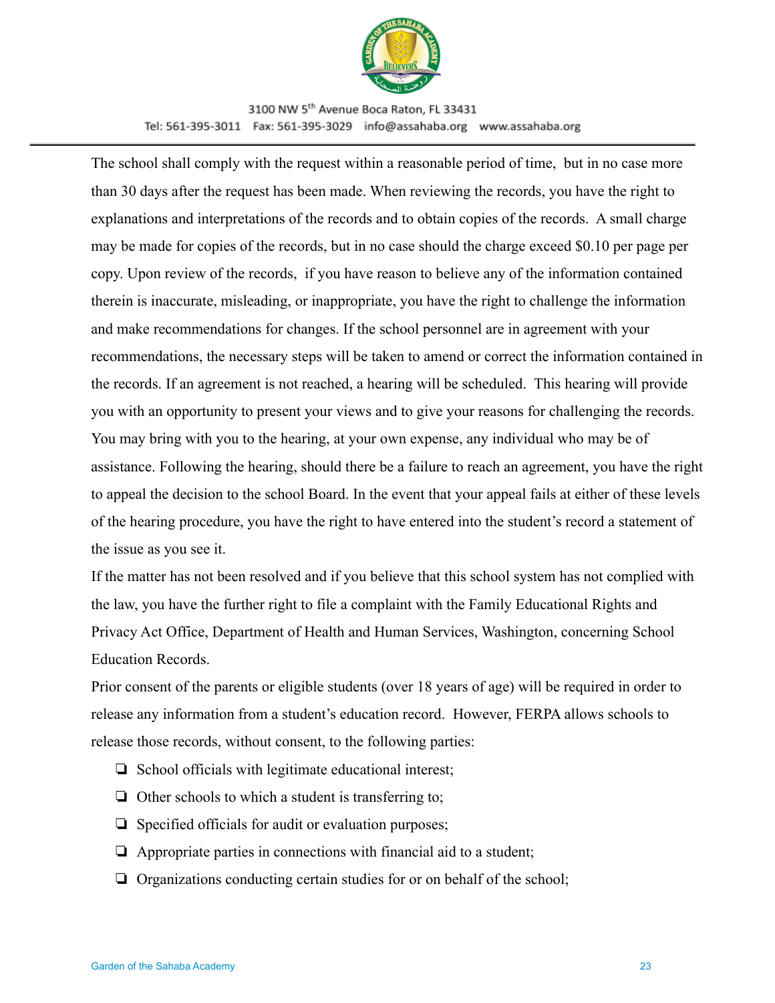

The school shall comply with the request within a reasonable period of time, but in no case more than 30 days after the request has been made. When reviewing the records, you have the right to explanations and interpretations of the records and to obtain copies of the records. A small charge may be made for copies of the records, but in no case should the charge exceed \$0.10 per page per copy. Upon review of the records, if you have reason to believe any of the information contained therein is inaccurate, misleading, or inappropriate, you have the right to challenge the information and make recommendations for changes. If the school personnel are in agreement with your recommendations, the necessary steps will be taken to amend or correct the information contained in the records. If an agreement is not reached, a hearing will be scheduled. This hearing will provide you with an opportunity to present your views and to give your reasons for challenging the records. You may bring with you to the hearing, at your own expense, any individual who may be of assistance. Following the hearing, should there be a failure to reach an agreement, you have the right to appeal the decision to the school Board. In the event that your appeal fails at either of these levels of the hearing procedure, you have the right to have entered into the student's record a statement of the issue as you see it.

If the matter has not been resolved and if you believe that this school system has not complied with the law, you have the further right to file a complaint with the Family Educational Rights and Privacy Act Office, Department of Health and Human Services, Washington, concerning School Education Records.

Prior consent of the parents or eligible students (over 18 years of age) will be required in order to release any information from a student's education record. However, FERPA allows schools to release those records, without consent, to the following parties:

- ❏ School officials with legitimate educational interest;
- ❏ Other schools to which a student is transferring to;
- ❏ Specified officials for audit or evaluation purposes;
- ❏ Appropriate parties in connections with financial aid to a student;
- ❏ Organizations conducting certain studies for or on behalf of the school;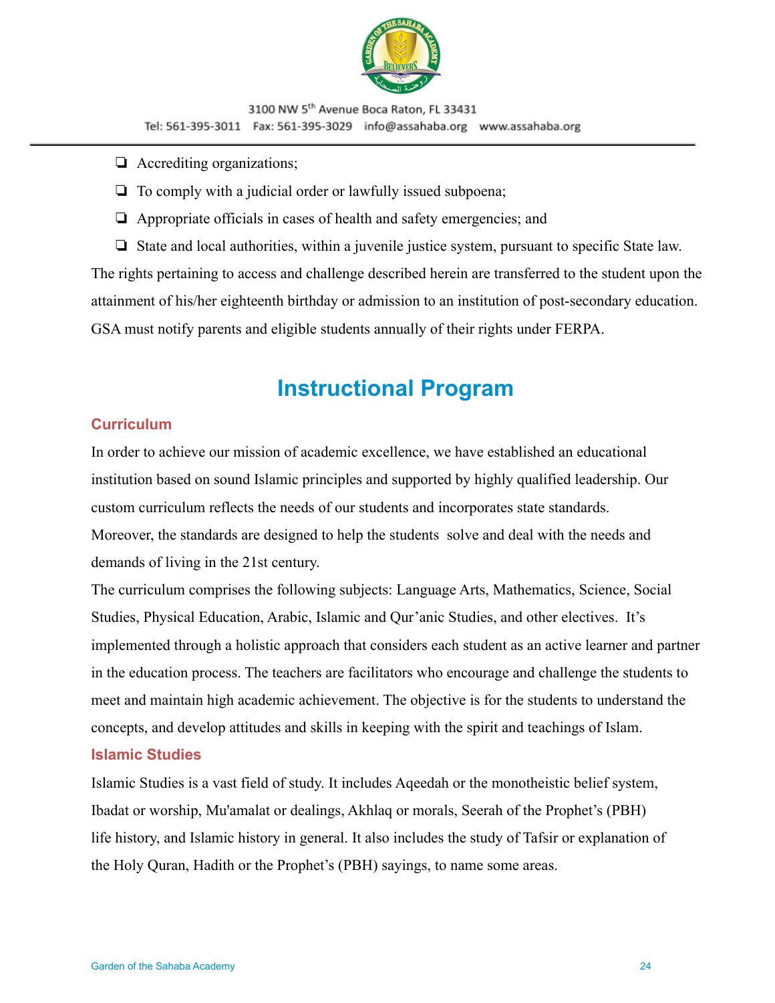

- ❏ Accrediting organizations;
- ❏ To comply with a judicial order or lawfully issued subpoena;
- ❏ Appropriate officials in cases of health and safety emergencies; and
- ❏ State and local authorities, within a juvenile justice system, pursuant to specific State law.

The rights pertaining to access and challenge described herein are transferred to the student upon the attainment of his/her eighteenth birthday or admission to an institution of post-secondary education. GSA must notify parents and eligible students annually of their rights under FERPA.

# **Instructional Program**

#### <span id="page-23-0"></span>**Curriculum**

In order to achieve our mission of academic excellence, we have established an educational institution based on sound Islamic principles and supported by highly qualified leadership. Our custom curriculum reflects the needs of our students and incorporates state standards. Moreover, the standards are designed to help the students solve and deal with the needs and demands of living in the 21st century.

The curriculum comprises the following subjects: Language Arts, Mathematics, Science, Social Studies, Physical Education, Arabic, Islamic and Qur'anic Studies, and other electives. It's implemented through a holistic approach that considers each student as an active learner and partner in the education process. The teachers are facilitators who encourage and challenge the students to meet and maintain high academic achievement. The objective is for the students to understand the concepts, and develop attitudes and skills in keeping with the spirit and teachings of Islam.

### **Islamic Studies**

Islamic Studies is a vast field of study. It includes Aqeedah or the monotheistic belief system, Ibadat or worship, Mu'amalat or dealings, Akhlaq or morals, Seerah of the Prophet's (PBH) life history, and Islamic history in general. It also includes the study of Tafsir or explanation of the Holy Quran, Hadith or the Prophet's (PBH) sayings, to name some areas.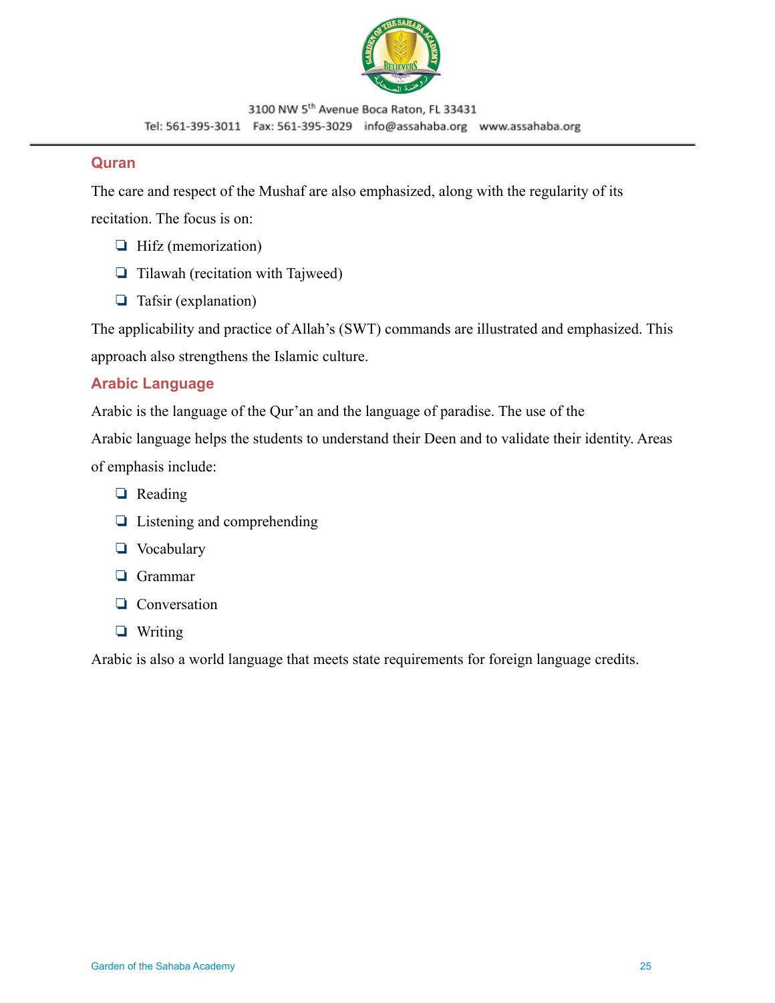

#### **Quran**

The care and respect of the Mushaf are also emphasized, along with the regularity of its recitation. The focus is on:

- ❏ Hifz (memorization)
- ❏ Tilawah (recitation with Tajweed)
- ❏ Tafsir (explanation)

The applicability and practice of Allah's (SWT) commands are illustrated and emphasized. This approach also strengthens the Islamic culture.

#### **Arabic Language**

Arabic is the language of the Qur'an and the language of paradise. The use of the

Arabic language helps the students to understand their Deen and to validate their identity. Areas of emphasis include:

- ❏ Reading
- ❏ Listening and comprehending
- ❏ Vocabulary
- ❏ Grammar
- ❏ Conversation
- ❏ Writing

Arabic is also a world language that meets state requirements for foreign language credits.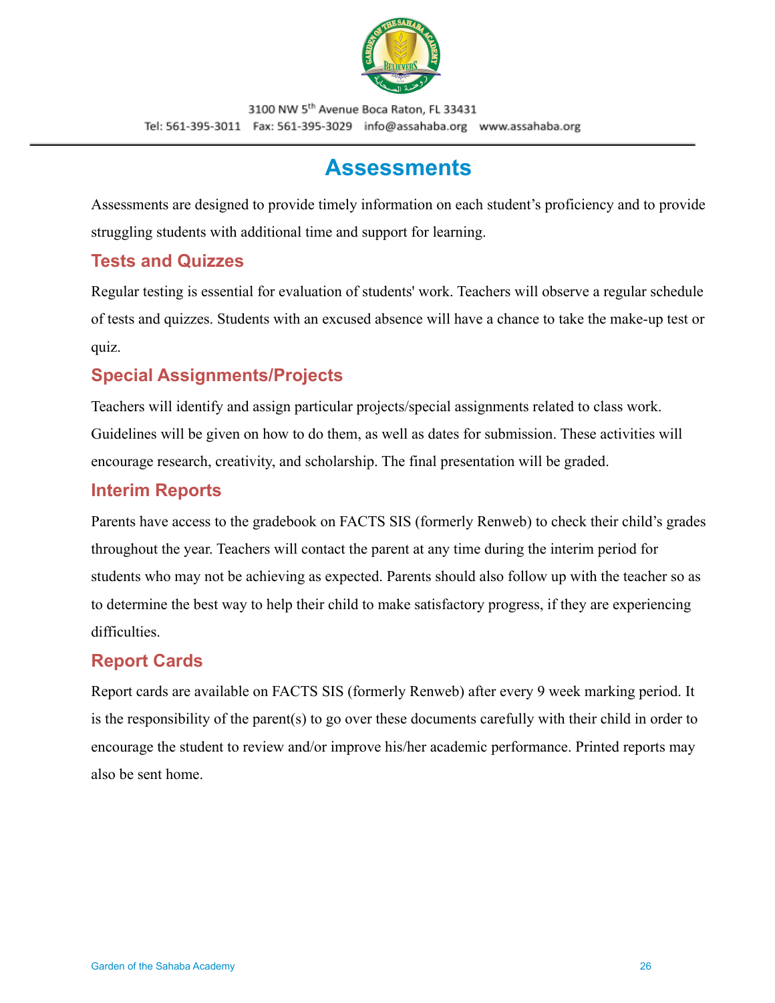

# **Assessments**

<span id="page-25-0"></span>Assessments are designed to provide timely information on each student's proficiency and to provide struggling students with additional time and support for learning.

## <span id="page-25-1"></span>**Tests and Quizzes**

Regular testing is essential for evaluation of students' work. Teachers will observe a regular schedule of tests and quizzes. Students with an excused absence will have a chance to take the make-up test or quiz.

# <span id="page-25-2"></span>**Special Assignments/Projects**

Teachers will identify and assign particular projects/special assignments related to class work. Guidelines will be given on how to do them, as well as dates for submission. These activities will encourage research, creativity, and scholarship. The final presentation will be graded.

## <span id="page-25-3"></span>**Interim Reports**

Parents have access to the gradebook on FACTS SIS (formerly Renweb) to check their child's grades throughout the year. Teachers will contact the parent at any time during the interim period for students who may not be achieving as expected. Parents should also follow up with the teacher so as to determine the best way to help their child to make satisfactory progress, if they are experiencing difficulties.

# <span id="page-25-4"></span>**Report Cards**

Report cards are available on FACTS SIS (formerly Renweb) after every 9 week marking period. It is the responsibility of the parent(s) to go over these documents carefully with their child in order to encourage the student to review and/or improve his/her academic performance. Printed reports may also be sent home.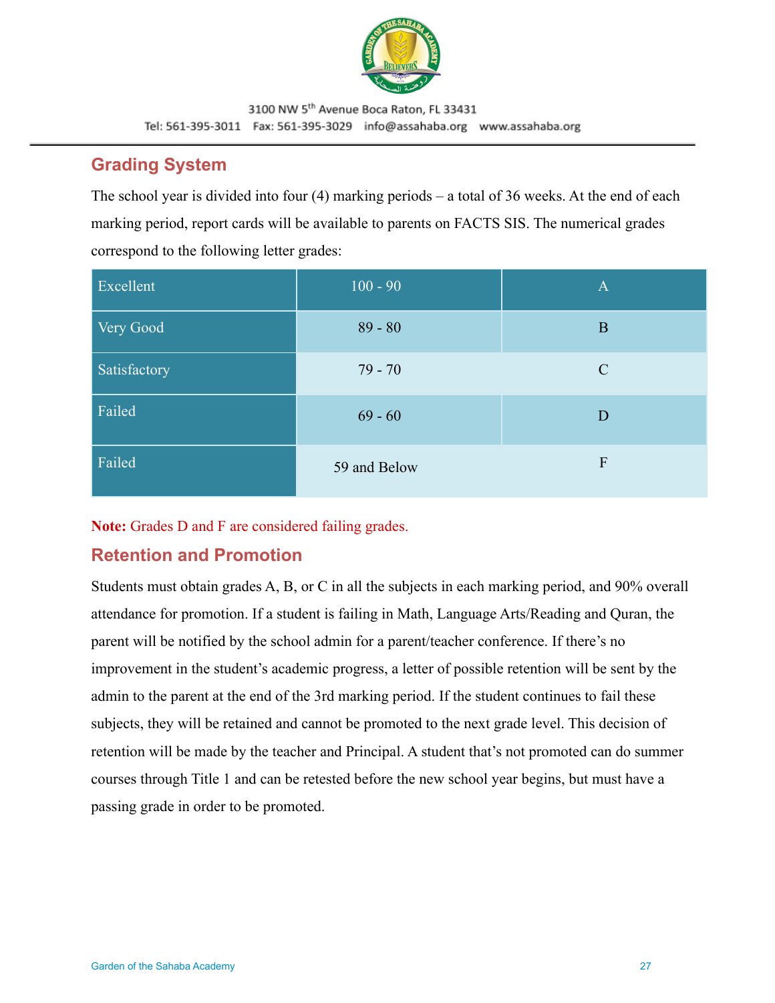

## <span id="page-26-0"></span>**Grading System**

The school year is divided into four (4) marking periods – a total of 36 weeks. At the end of each marking period, report cards will be available to parents on FACTS SIS. The numerical grades correspond to the following letter grades:

| Excellent    | $100 - 90$   | $\mathbf{A}$  |
|--------------|--------------|---------------|
| Very Good    | $89 - 80$    | B             |
| Satisfactory | $79 - 70$    | $\mathcal{C}$ |
| Failed       | $69 - 60$    | D             |
| Failed       | 59 and Below | F             |

**Note:** Grades D and F are considered failing grades.

# <span id="page-26-1"></span>**Retention and Promotion**

Students must obtain grades A, B, or C in all the subjects in each marking period, and 90% overall attendance for promotion. If a student is failing in Math, Language Arts/Reading and Quran, the parent will be notified by the school admin for a parent/teacher conference. If there's no improvement in the student's academic progress, a letter of possible retention will be sent by the admin to the parent at the end of the 3rd marking period. If the student continues to fail these subjects, they will be retained and cannot be promoted to the next grade level. This decision of retention will be made by the teacher and Principal. A student that's not promoted can do summer courses through Title 1 and can be retested before the new school year begins, but must have a passing grade in order to be promoted.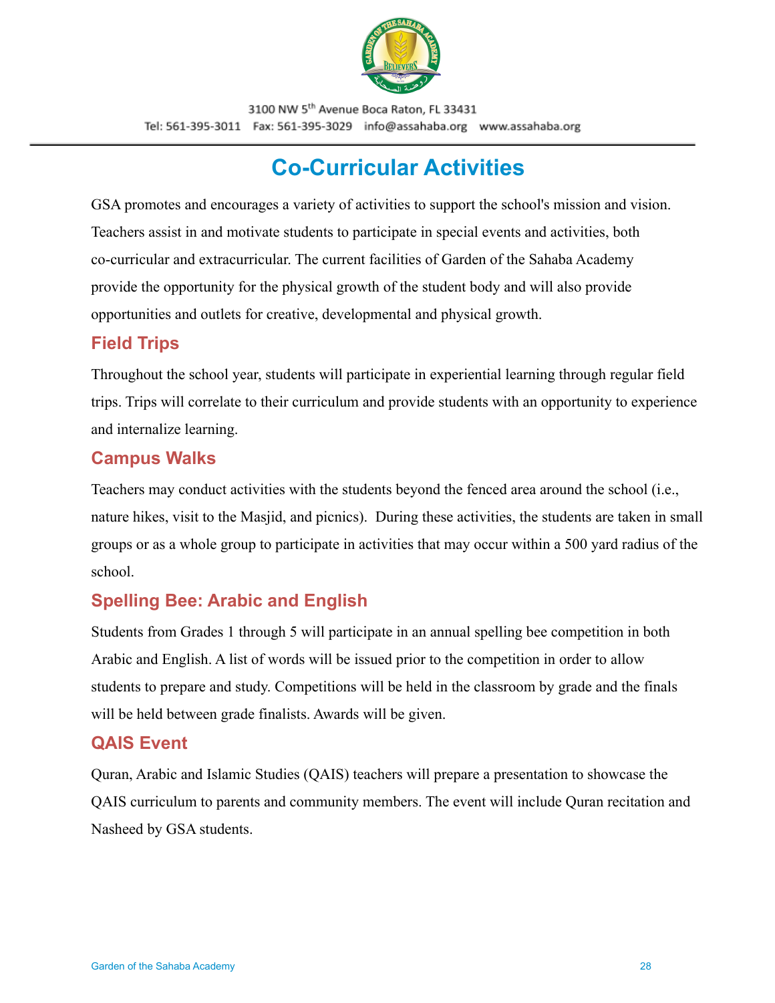

# **Co-Curricular Activities**

<span id="page-27-0"></span>GSA promotes and encourages a variety of activities to support the school's mission and vision. Teachers assist in and motivate students to participate in special events and activities, both co-curricular and extracurricular. The current facilities of Garden of the Sahaba Academy provide the opportunity for the physical growth of the student body and will also provide opportunities and outlets for creative, developmental and physical growth.

### <span id="page-27-1"></span>**Field Trips**

Throughout the school year, students will participate in experiential learning through regular field trips. Trips will correlate to their curriculum and provide students with an opportunity to experience and internalize learning.

## <span id="page-27-2"></span>**Campus Walks**

Teachers may conduct activities with the students beyond the fenced area around the school (i.e., nature hikes, visit to the Masjid, and picnics). During these activities, the students are taken in small groups or as a whole group to participate in activities that may occur within a 500 yard radius of the school.

# <span id="page-27-3"></span>**Spelling Bee: Arabic and English**

Students from Grades 1 through 5 will participate in an annual spelling bee competition in both Arabic and English. A list of words will be issued prior to the competition in order to allow students to prepare and study. Competitions will be held in the classroom by grade and the finals will be held between grade finalists. Awards will be given.

### <span id="page-27-4"></span>**QAIS Event**

Quran, Arabic and Islamic Studies (QAIS) teachers will prepare a presentation to showcase the QAIS curriculum to parents and community members. The event will include Quran recitation and Nasheed by GSA students.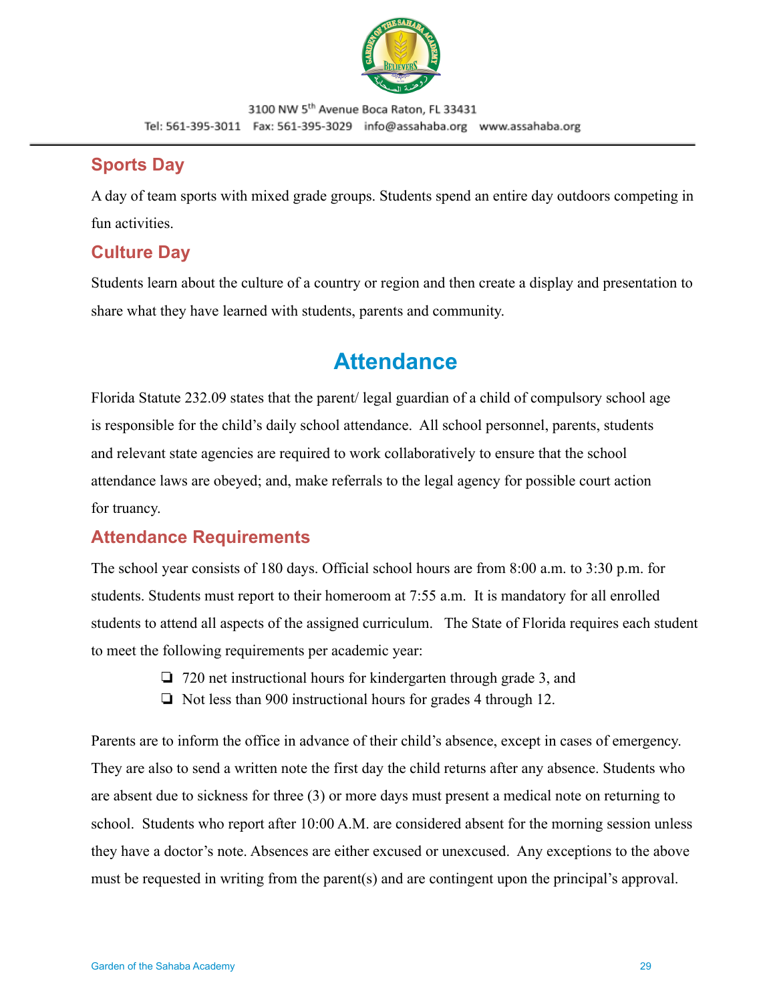

### <span id="page-28-0"></span>**Sports Day**

A day of team sports with mixed grade groups. Students spend an entire day outdoors competing in fun activities.

## <span id="page-28-1"></span>**Culture Day**

Students learn about the culture of a country or region and then create a display and presentation to share what they have learned with students, parents and community.

# **Attendance**

<span id="page-28-2"></span>Florida Statute 232.09 states that the parent/ legal guardian of a child of compulsory school age is responsible for the child's daily school attendance. All school personnel, parents, students and relevant state agencies are required to work collaboratively to ensure that the school attendance laws are obeyed; and, make referrals to the legal agency for possible court action for truancy.

# **Attendance Requirements**

The school year consists of 180 days. Official school hours are from 8:00 a.m. to 3:30 p.m. for students. Students must report to their homeroom at 7:55 a.m. It is mandatory for all enrolled students to attend all aspects of the assigned curriculum. The State of Florida requires each student to meet the following requirements per academic year:

- ❏ 720 net instructional hours for kindergarten through grade 3, and
- ❏ Not less than 900 instructional hours for grades 4 through 12.

Parents are to inform the office in advance of their child's absence, except in cases of emergency. They are also to send a written note the first day the child returns after any absence. Students who are absent due to sickness for three (3) or more days must present a medical note on returning to school. Students who report after 10:00 A.M. are considered absent for the morning session unless they have a doctor's note. Absences are either excused or unexcused. Any exceptions to the above must be requested in writing from the parent(s) and are contingent upon the principal's approval.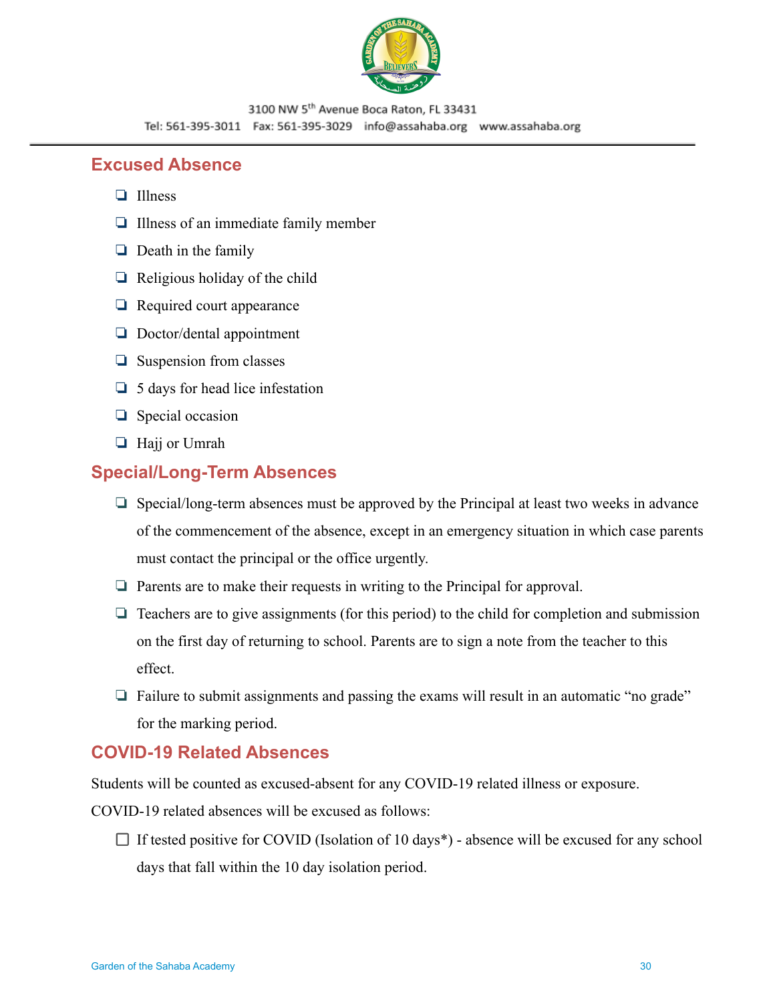

#### <span id="page-29-0"></span>**Excused Absence**

- ❏ Illness
- ❏ Illness of an immediate family member
- ❏ Death in the family
- $\Box$  Religious holiday of the child
- ❏ Required court appearance
- ❏ Doctor/dental appointment
- ❏ Suspension from classes
- ❏ 5 days for head lice infestation
- ❏ Special occasion
- ❏ Hajj or Umrah

### **Special/Long-Term Absences**

- ❏ Special/long-term absences must be approved by the Principal at least two weeks in advance of the commencement of the absence, except in an emergency situation in which case parents must contact the principal or the office urgently.
- ❏ Parents are to make their requests in writing to the Principal for approval.
- ❏ Teachers are to give assignments (for this period) to the child for completion and submission on the first day of returning to school. Parents are to sign a note from the teacher to this effect.
- ❏ Failure to submit assignments and passing the exams will result in an automatic "no grade" for the marking period.

### **COVID-19 Related Absences**

Students will be counted as excused-absent for any COVID-19 related illness or exposure.

COVID-19 related absences will be excused as follows:

 $\Box$  If tested positive for COVID (Isolation of 10 days<sup>\*</sup>) - absence will be excused for any school days that fall within the 10 day isolation period.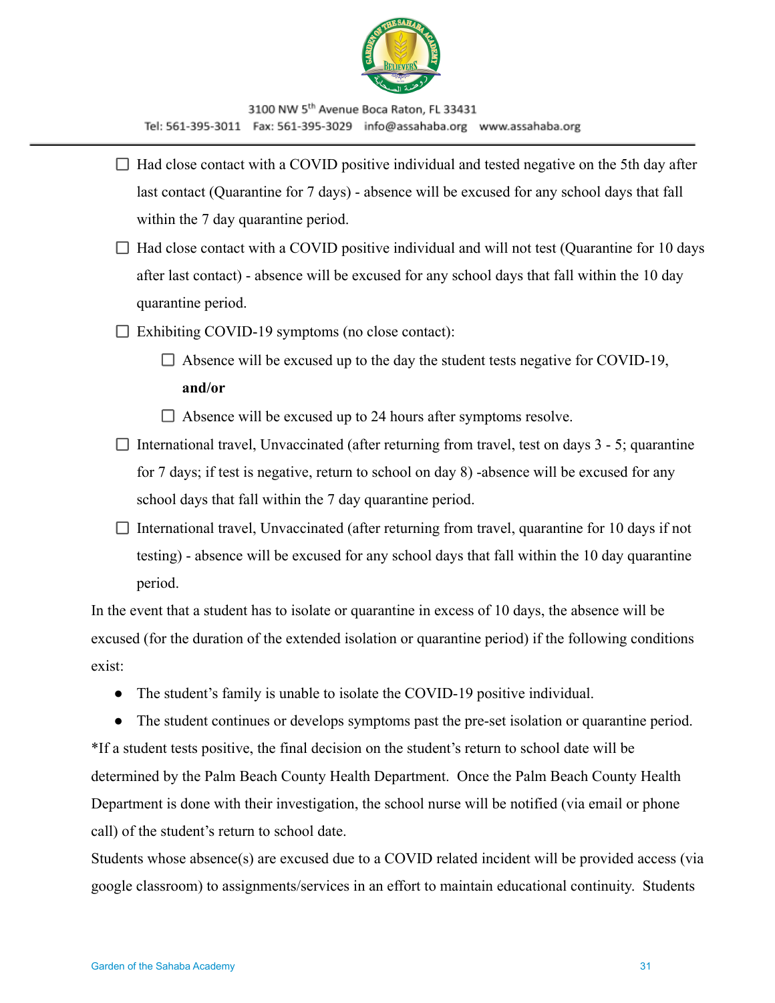

- $\Box$  Had close contact with a COVID positive individual and tested negative on the 5th day after last contact (Quarantine for 7 days) - absence will be excused for any school days that fall within the 7 day quarantine period.
- $\Box$  Had close contact with a COVID positive individual and will not test (Quarantine for 10 days after last contact) - absence will be excused for any school days that fall within the 10 day quarantine period.
- $\Box$  Exhibiting COVID-19 symptoms (no close contact):
	- $\Box$  Absence will be excused up to the day the student tests negative for COVID-19, **and/or**
	- $\Box$  Absence will be excused up to 24 hours after symptoms resolve.
- $\Box$  International travel, Unvaccinated (after returning from travel, test on days 3 5; quarantine for 7 days; if test is negative, return to school on day 8) -absence will be excused for any school days that fall within the 7 day quarantine period.
- $\Box$  International travel, Unvaccinated (after returning from travel, quarantine for 10 days if not testing) - absence will be excused for any school days that fall within the 10 day quarantine period.

In the event that a student has to isolate or quarantine in excess of 10 days, the absence will be excused (for the duration of the extended isolation or quarantine period) if the following conditions exist:

● The student's family is unable to isolate the COVID-19 positive individual.

● The student continues or develops symptoms past the pre-set isolation or quarantine period. \*If a student tests positive, the final decision on the student's return to school date will be determined by the Palm Beach County Health Department. Once the Palm Beach County Health Department is done with their investigation, the school nurse will be notified (via email or phone call) of the student's return to school date.

Students whose absence(s) are excused due to a COVID related incident will be provided access (via google classroom) to assignments/services in an effort to maintain educational continuity. Students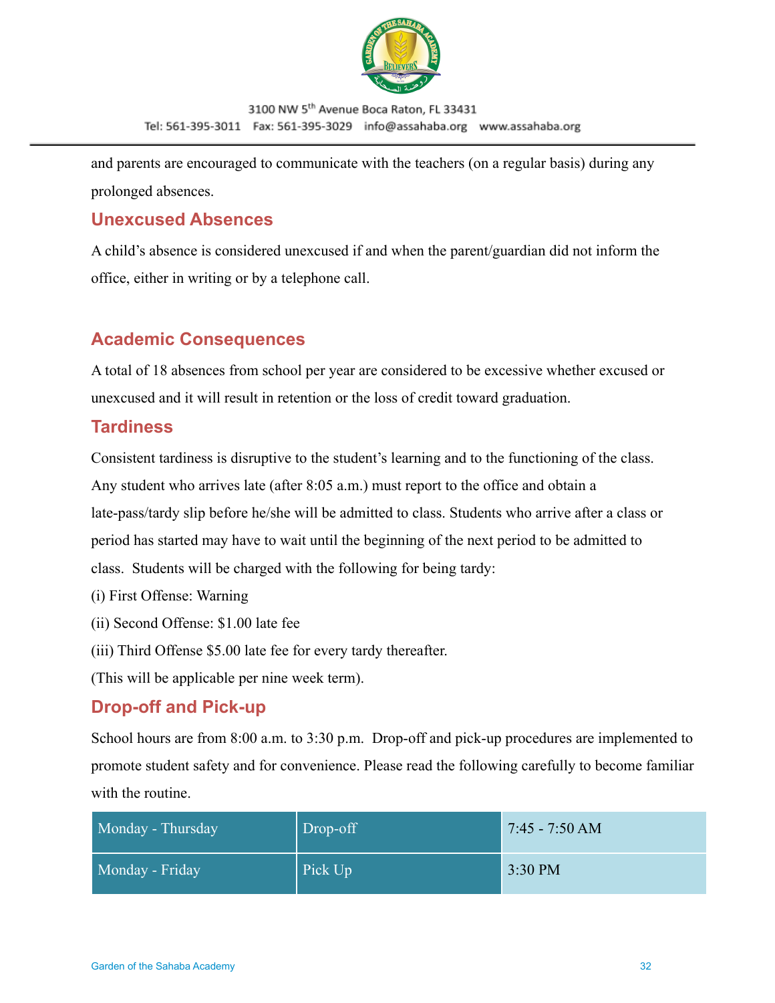

and parents are encouraged to communicate with the teachers (on a regular basis) during any prolonged absences.

# <span id="page-31-0"></span>**Unexcused Absences**

A child's absence is considered unexcused if and when the parent/guardian did not inform the office, either in writing or by a telephone call.

# <span id="page-31-1"></span>**Academic Consequences**

A total of 18 absences from school per year are considered to be excessive whether excused or unexcused and it will result in retention or the loss of credit toward graduation.

## **Tardiness**

Consistent tardiness is disruptive to the student's learning and to the functioning of the class. Any student who arrives late (after 8:05 a.m.) must report to the office and obtain a late-pass/tardy slip before he/she will be admitted to class. Students who arrive after a class or period has started may have to wait until the beginning of the next period to be admitted to class. Students will be charged with the following for being tardy:

- (i) First Offense: Warning
- (ii) Second Offense: \$1.00 late fee
- (iii) Third Offense \$5.00 late fee for every tardy thereafter.

(This will be applicable per nine week term).

## **Drop-off and Pick-up**

School hours are from 8:00 a.m. to 3:30 p.m. Drop-off and pick-up procedures are implemented to promote student safety and for convenience. Please read the following carefully to become familiar with the routine.

| Monday - Thursday | Drop-off | $7:45 - 7:50$ AM |
|-------------------|----------|------------------|
| Monday - Friday   | Pick Up  | 3:30 PM          |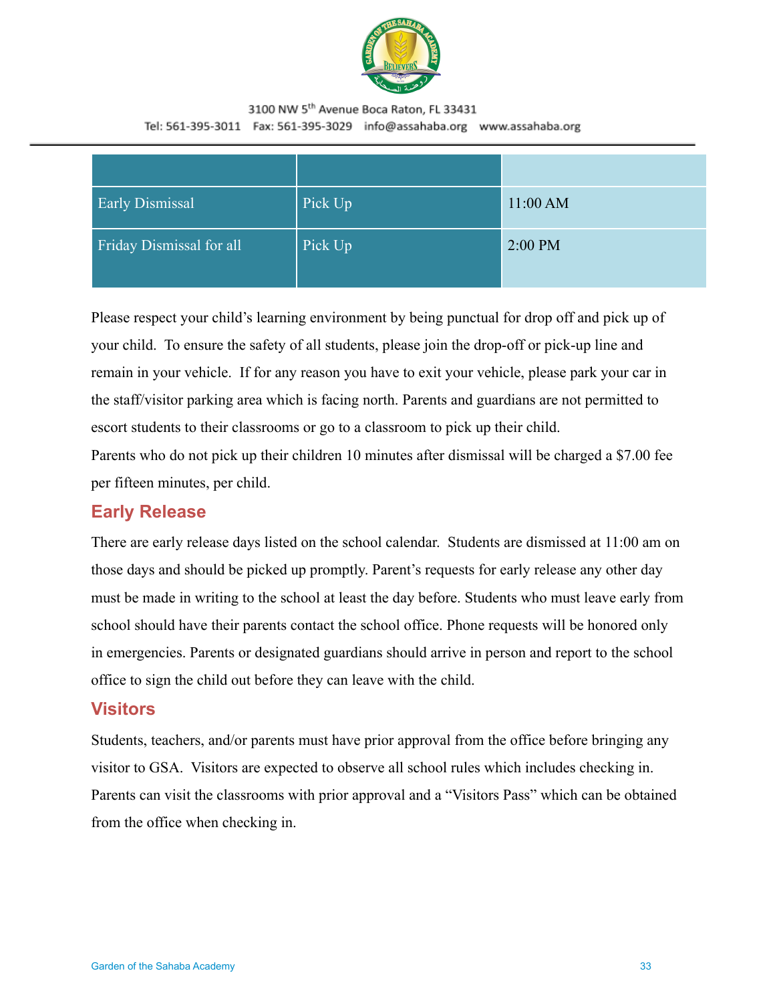

| <b>Early Dismissal</b>   | Pick Up | 11:00 AM  |
|--------------------------|---------|-----------|
| Friday Dismissal for all | Pick Up | $2:00$ PM |

Please respect your child's learning environment by being punctual for drop off and pick up of your child. To ensure the safety of all students, please join the drop-off or pick-up line and remain in your vehicle. If for any reason you have to exit your vehicle, please park your car in the staff/visitor parking area which is facing north. Parents and guardians are not permitted to escort students to their classrooms or go to a classroom to pick up their child. Parents who do not pick up their children 10 minutes after dismissal will be charged a \$7.00 fee per fifteen minutes, per child.

### **Early Release**

There are early release days listed on the school calendar. Students are dismissed at 11:00 am on those days and should be picked up promptly. Parent's requests for early release any other day must be made in writing to the school at least the day before. Students who must leave early from school should have their parents contact the school office. Phone requests will be honored only in emergencies. Parents or designated guardians should arrive in person and report to the school office to sign the child out before they can leave with the child.

#### <span id="page-32-0"></span>**Visitors**

Students, teachers, and/or parents must have prior approval from the office before bringing any visitor to GSA. Visitors are expected to observe all school rules which includes checking in. Parents can visit the classrooms with prior approval and a "Visitors Pass" which can be obtained from the office when checking in.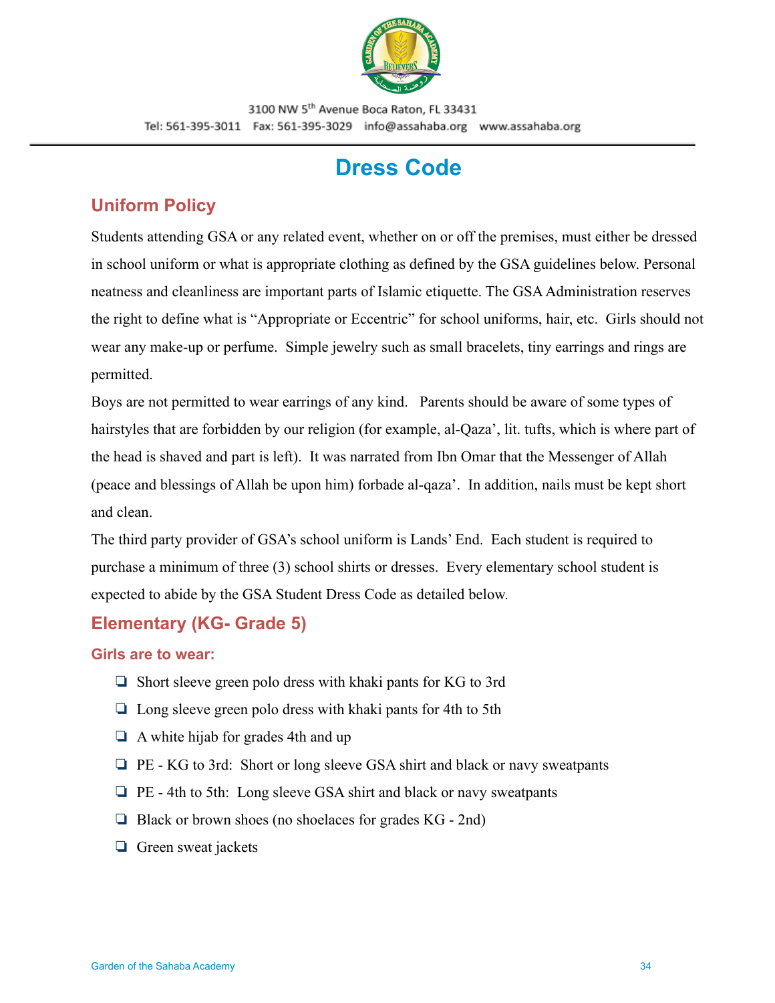

# **Dress Code**

# <span id="page-33-1"></span><span id="page-33-0"></span>**Uniform Policy**

Students attending GSA or any related event, whether on or off the premises, must either be dressed in school uniform or what is appropriate clothing as defined by the GSA guidelines below. Personal neatness and cleanliness are important parts of Islamic etiquette. The GSA Administration reserves the right to define what is "Appropriate or Eccentric" for school uniforms, hair, etc. Girls should not wear any make-up or perfume. Simple jewelry such as small bracelets, tiny earrings and rings are permitted.

Boys are not permitted to wear earrings of any kind. Parents should be aware of some types of hairstyles that are forbidden by our religion (for example, al-Qaza', lit. tufts, which is where part of the head is shaved and part is left). It was narrated from Ibn Omar that the Messenger of Allah (peace and blessings of Allah be upon him) forbade al-qaza'. In addition, nails must be kept short and clean.

The third party provider of GSA's school uniform is Lands' End. Each student is required to purchase a minimum of three (3) school shirts or dresses. Every elementary school student is expected to abide by the GSA Student Dress Code as detailed below.

# **Elementary (KG- Grade 5)**

#### **Girls are to wear:**

- ❏ Short sleeve green polo dress with khaki pants for KG to 3rd
- ❏ Long sleeve green polo dress with khaki pants for 4th to 5th
- ❏ A white hijab for grades 4th and up
- ❏ PE KG to 3rd: Short or long sleeve GSA shirt and black or navy sweatpants
- ❏ PE 4th to 5th: Long sleeve GSA shirt and black or navy sweatpants
- ❏ Black or brown shoes (no shoelaces for grades KG 2nd)
- ❏ Green sweat jackets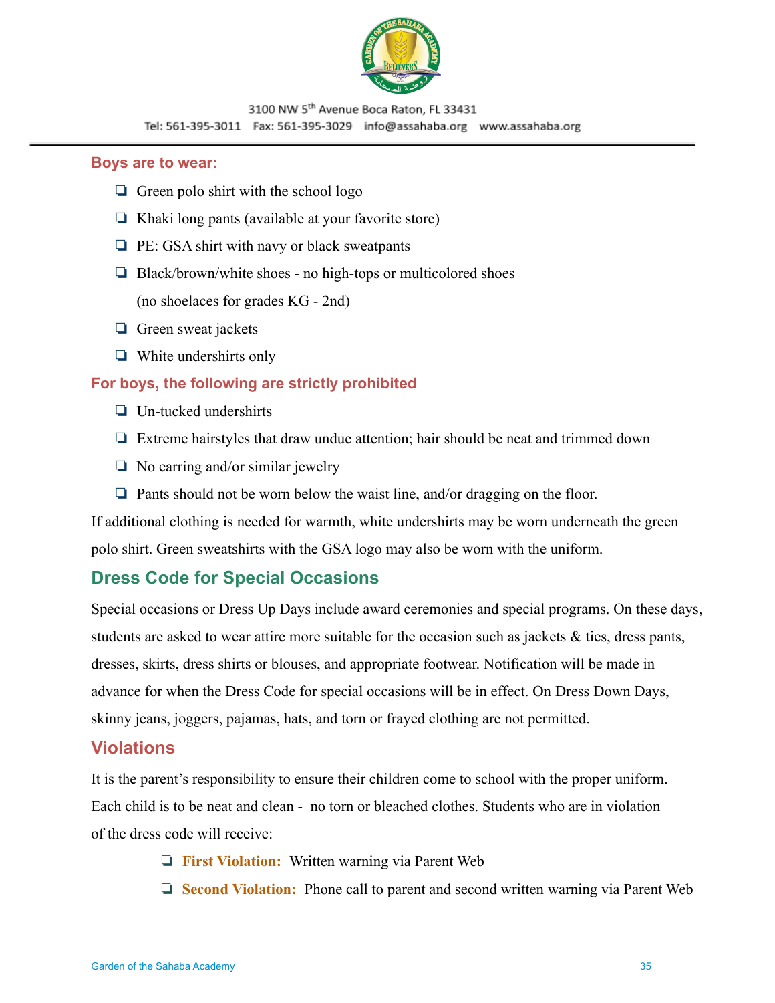

#### **Boys are to wear:**

- ❏ Green polo shirt with the school logo
- ❏ Khaki long pants (available at your favorite store)
- ❏ PE: GSA shirt with navy or black sweatpants
- ❏ Black/brown/white shoes no high-tops or multicolored shoes (no shoelaces for grades KG - 2nd)
- ❏ Green sweat jackets
- ❏ White undershirts only

#### **For boys, the following are strictly prohibited**

- ❏ Un-tucked undershirts
- ❏ Extreme hairstyles that draw undue attention; hair should be neat and trimmed down
- ❏ No earring and/or similar jewelry
- ❏ Pants should not be worn below the waist line, and/or dragging on the floor.

If additional clothing is needed for warmth, white undershirts may be worn underneath the green polo shirt. Green sweatshirts with the GSA logo may also be worn with the uniform.

## <span id="page-34-0"></span>**Dress Code for Special Occasions**

Special occasions or Dress Up Days include award ceremonies and special programs. On these days, students are asked to wear attire more suitable for the occasion such as jackets & ties, dress pants, dresses, skirts, dress shirts or blouses, and appropriate footwear. Notification will be made in advance for when the Dress Code for special occasions will be in effect. On Dress Down Days, skinny jeans, joggers, pajamas, hats, and torn or frayed clothing are not permitted.

### <span id="page-34-1"></span>**Violations**

It is the parent's responsibility to ensure their children come to school with the proper uniform. Each child is to be neat and clean - no torn or bleached clothes. Students who are in violation of the dress code will receive:

- ❏ **First Violation:** Written warning via Parent Web
- ❏ **Second Violation:** Phone call to parent and second written warning via Parent Web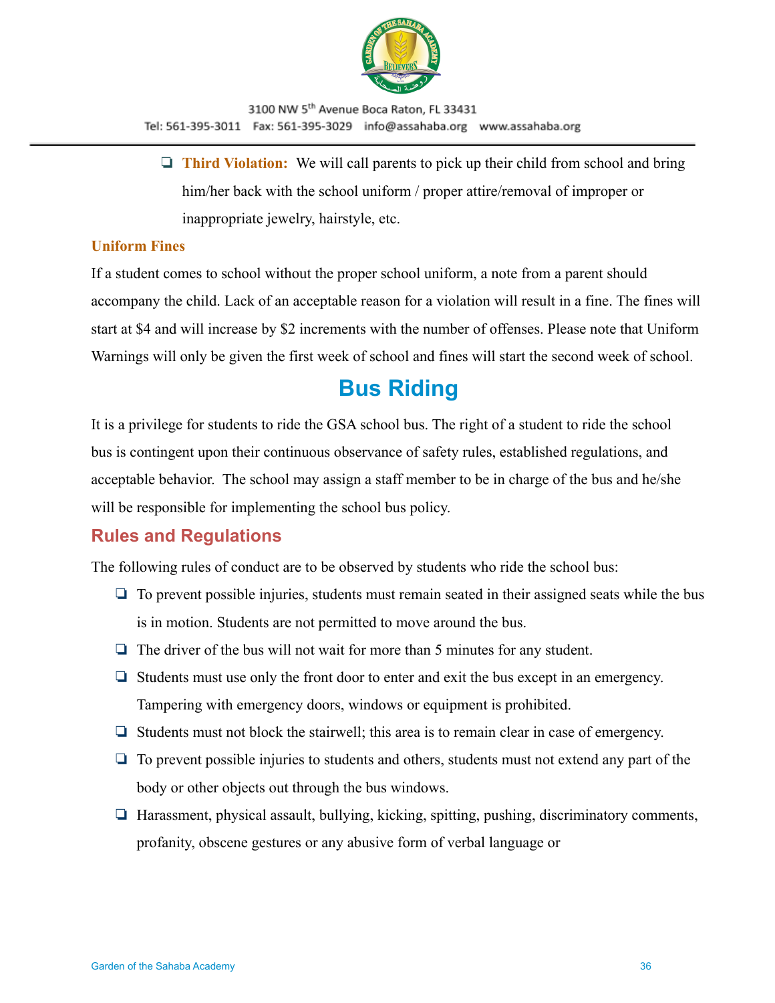

❏ **Third Violation:** We will call parents to pick up their child from school and bring him/her back with the school uniform / proper attire/removal of improper or inappropriate jewelry, hairstyle, etc.

#### **Uniform Fines**

If a student comes to school without the proper school uniform, a note from a parent should accompany the child. Lack of an acceptable reason for a violation will result in a fine. The fines will start at \$4 and will increase by \$2 increments with the number of offenses. Please note that Uniform Warnings will only be given the first week of school and fines will start the second week of school.

# **Bus Riding**

<span id="page-35-0"></span>It is a privilege for students to ride the GSA school bus. The right of a student to ride the school bus is contingent upon their continuous observance of safety rules, established regulations, and acceptable behavior. The school may assign a staff member to be in charge of the bus and he/she will be responsible for implementing the school bus policy.

## <span id="page-35-1"></span>**Rules and Regulations**

The following rules of conduct are to be observed by students who ride the school bus:

- ❏ To prevent possible injuries, students must remain seated in their assigned seats while the bus is in motion. Students are not permitted to move around the bus.
- ❏ The driver of the bus will not wait for more than 5 minutes for any student.
- ❏ Students must use only the front door to enter and exit the bus except in an emergency. Tampering with emergency doors, windows or equipment is prohibited.
- ❏ Students must not block the stairwell; this area is to remain clear in case of emergency.
- ❏ To prevent possible injuries to students and others, students must not extend any part of the body or other objects out through the bus windows.
- ❏ Harassment, physical assault, bullying, kicking, spitting, pushing, discriminatory comments, profanity, obscene gestures or any abusive form of verbal language or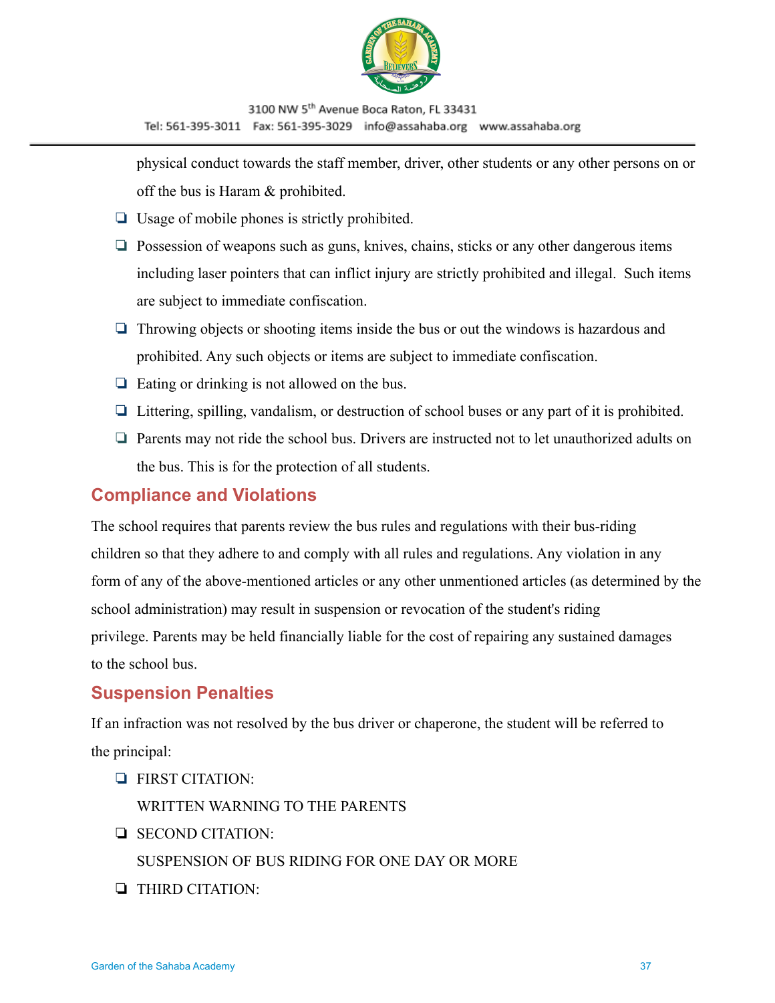

physical conduct towards the staff member, driver, other students or any other persons on or off the bus is Haram & prohibited.

- ❏ Usage of mobile phones is strictly prohibited.
- ❏ Possession of weapons such as guns, knives, chains, sticks or any other dangerous items including laser pointers that can inflict injury are strictly prohibited and illegal. Such items are subject to immediate confiscation.
- ❏ Throwing objects or shooting items inside the bus or out the windows is hazardous and prohibited. Any such objects or items are subject to immediate confiscation.
- ❏ Eating or drinking is not allowed on the bus.
- ❏ Littering, spilling, vandalism, or destruction of school buses or any part of it is prohibited.
- ❏ Parents may not ride the school bus. Drivers are instructed not to let unauthorized adults on the bus. This is for the protection of all students.

#### <span id="page-36-0"></span>**Compliance and Violations**

The school requires that parents review the bus rules and regulations with their bus-riding children so that they adhere to and comply with all rules and regulations. Any violation in any form of any of the above-mentioned articles or any other unmentioned articles (as determined by the school administration) may result in suspension or revocation of the student's riding privilege. Parents may be held financially liable for the cost of repairing any sustained damages to the school bus.

#### **Suspension Penalties**

If an infraction was not resolved by the bus driver or chaperone, the student will be referred to the principal:

❏ FIRST CITATION:

WRITTEN WARNING TO THE PARENTS

❏ SECOND CITATION:

SUSPENSION OF BUS RIDING FOR ONE DAY OR MORE

❏ THIRD CITATION: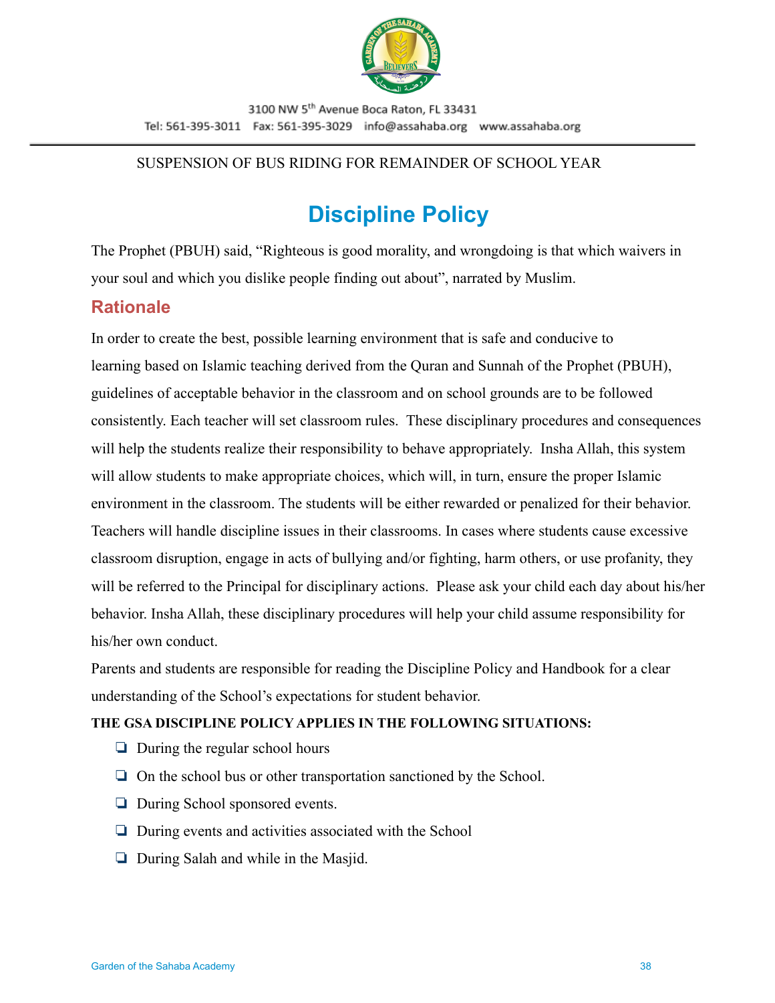

#### SUSPENSION OF BUS RIDING FOR REMAINDER OF SCHOOL YEAR

# **Discipline Policy**

<span id="page-37-0"></span>The Prophet (PBUH) said, "Righteous is good morality, and wrongdoing is that which waivers in your soul and which you dislike people finding out about", narrated by Muslim.

# **Rationale**

In order to create the best, possible learning environment that is safe and conducive to learning based on Islamic teaching derived from the Quran and Sunnah of the Prophet (PBUH), guidelines of acceptable behavior in the classroom and on school grounds are to be followed consistently. Each teacher will set classroom rules. These disciplinary procedures and consequences will help the students realize their responsibility to behave appropriately. Insha Allah, this system will allow students to make appropriate choices, which will, in turn, ensure the proper Islamic environment in the classroom. The students will be either rewarded or penalized for their behavior. Teachers will handle discipline issues in their classrooms. In cases where students cause excessive classroom disruption, engage in acts of bullying and/or fighting, harm others, or use profanity, they will be referred to the Principal for disciplinary actions. Please ask your child each day about his/her behavior. Insha Allah, these disciplinary procedures will help your child assume responsibility for his/her own conduct.

Parents and students are responsible for reading the Discipline Policy and Handbook for a clear understanding of the School's expectations for student behavior.

#### **THE GSA DISCIPLINE POLICY APPLIES IN THE FOLLOWING SITUATIONS:**

- ❏ During the regular school hours
- ❏ On the school bus or other transportation sanctioned by the School.
- ❏ During School sponsored events.
- ❏ During events and activities associated with the School
- ❏ During Salah and while in the Masjid.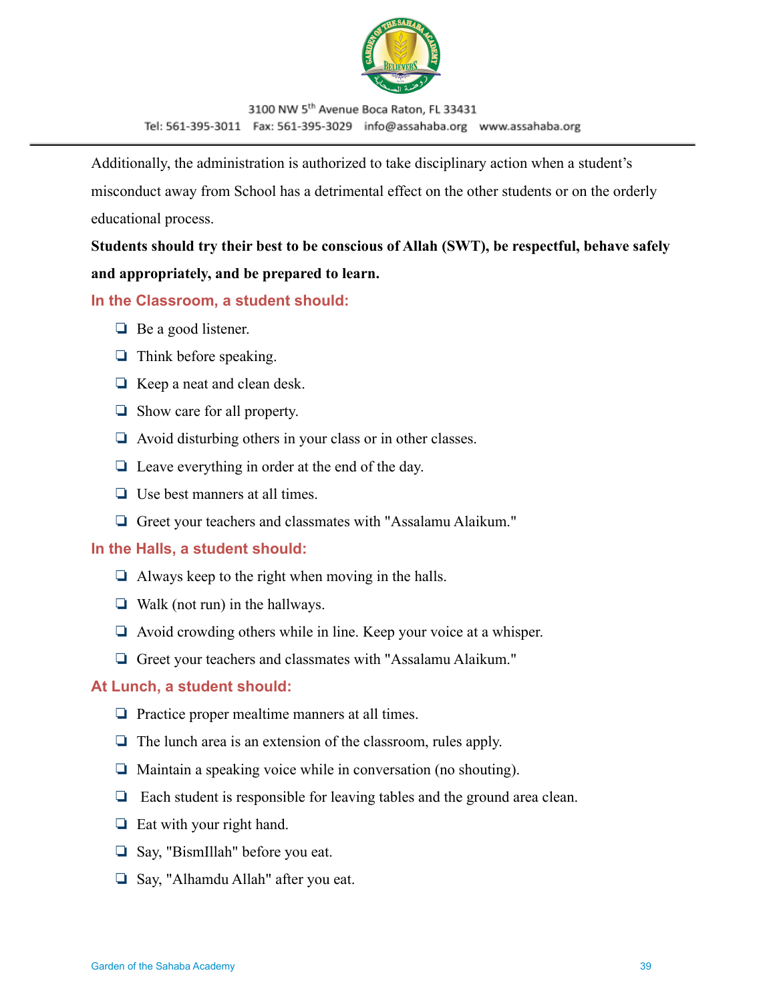

Additionally, the administration is authorized to take disciplinary action when a student's misconduct away from School has a detrimental effect on the other students or on the orderly educational process.

**Students should try their best to be conscious of Allah (SWT), be respectful, behave safely and appropriately, and be prepared to learn.**

#### **In the Classroom, a student should:**

- ❏ Be a good listener.
- ❏ Think before speaking.
- ❏ Keep a neat and clean desk.
- ❏ Show care for all property.
- ❏ Avoid disturbing others in your class or in other classes.
- ❏ Leave everything in order at the end of the day.
- ❏ Use best manners at all times.
- ❏ Greet your teachers and classmates with "Assalamu Alaikum."

#### **In the Halls, a student should:**

- $\Box$  Always keep to the right when moving in the halls.
- ❏ Walk (not run) in the hallways.
- ❏ Avoid crowding others while in line. Keep your voice at a whisper.
- ❏ Greet your teachers and classmates with "Assalamu Alaikum."

#### **At Lunch, a student should:**

- ❏ Practice proper mealtime manners at all times.
- ❏ The lunch area is an extension of the classroom, rules apply.
- ❏ Maintain a speaking voice while in conversation (no shouting).
- ❏ Each student is responsible for leaving tables and the ground area clean.
- ❏ Eat with your right hand.
- ❏ Say, "BismIllah" before you eat.
- ❏ Say, "Alhamdu Allah" after you eat.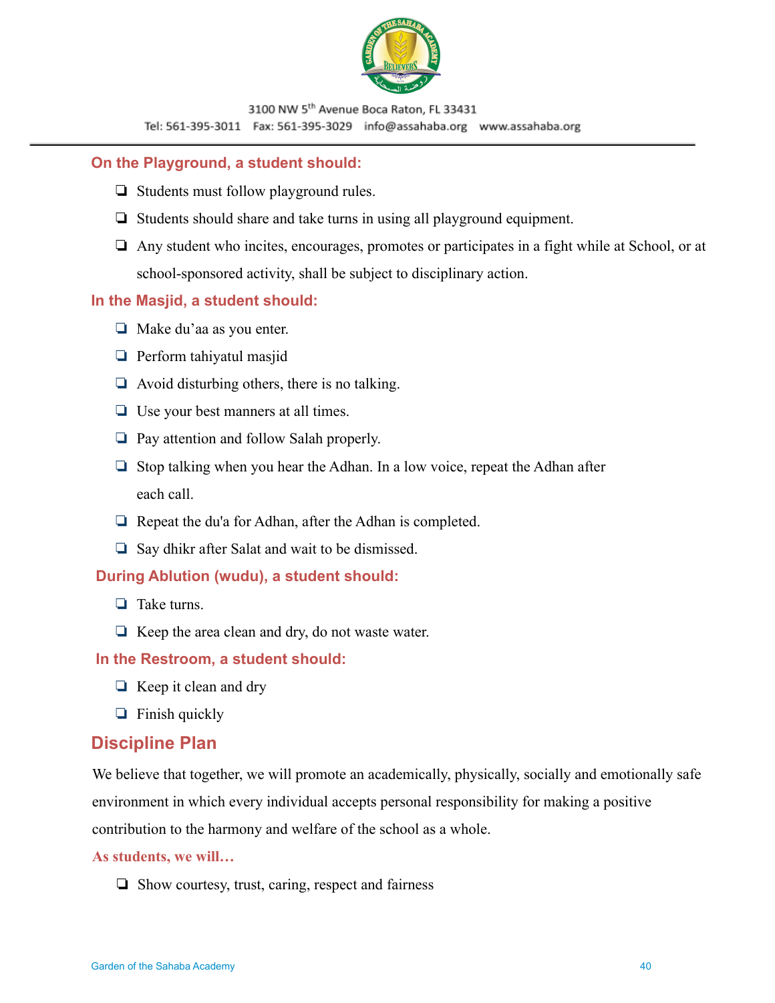

#### **On the Playground, a student should:**

- ❏ Students must follow playground rules.
- ❏ Students should share and take turns in using all playground equipment.
- ❏ Any student who incites, encourages, promotes or participates in a fight while at School, or at school-sponsored activity, shall be subject to disciplinary action.

#### **In the Masjid, a student should:**

- ❏ Make du'aa as you enter.
- ❏ Perform tahiyatul masjid
- $\Box$  Avoid disturbing others, there is no talking.
- ❏ Use your best manners at all times.
- ❏ Pay attention and follow Salah properly.
- ❏ Stop talking when you hear the Adhan. In a low voice, repeat the Adhan after each call.
- ❏ Repeat the du'a for Adhan, after the Adhan is completed.
- ❏ Say dhikr after Salat and wait to be dismissed.

#### **During Ablution (wudu), a student should:**

- ❏ Take turns.
- ❏ Keep the area clean and dry, do not waste water.

#### **In the Restroom, a student should:**

- ❏ Keep it clean and dry
- ❏ Finish quickly

#### <span id="page-39-0"></span>**Discipline Plan**

We believe that together, we will promote an academically, physically, socially and emotionally safe environment in which every individual accepts personal responsibility for making a positive contribution to the harmony and welfare of the school as a whole.

#### **As students, we will…**

❏ Show courtesy, trust, caring, respect and fairness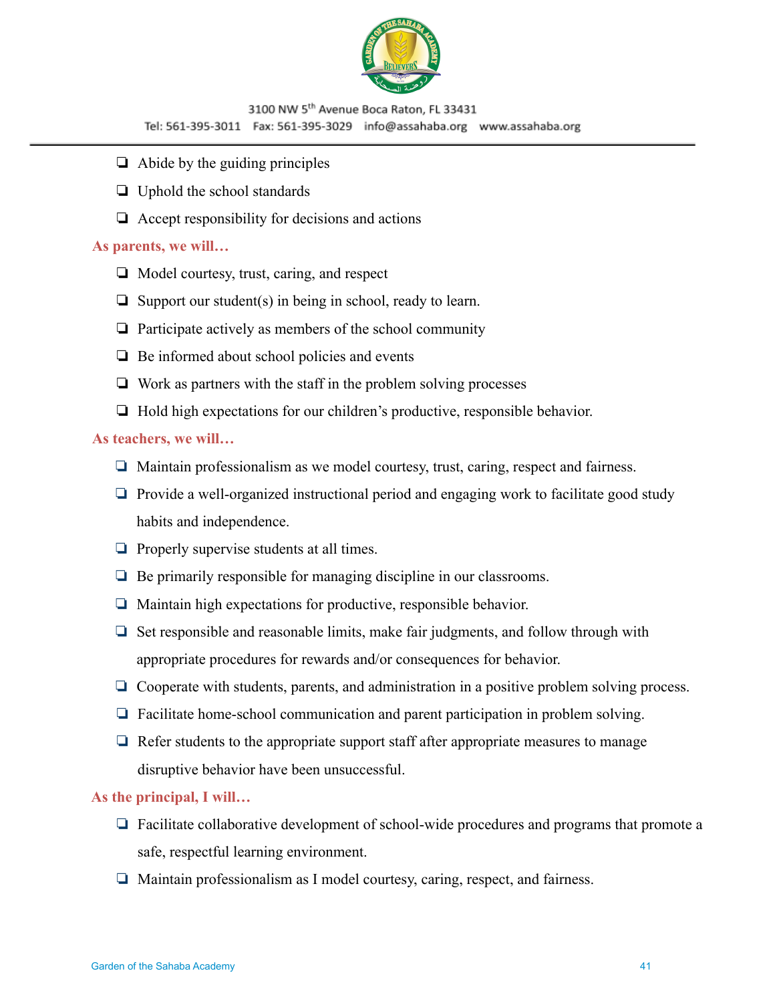

- $\Box$  Abide by the guiding principles
- ❏ Uphold the school standards
- $\Box$  Accept responsibility for decisions and actions

#### **As parents, we will…**

- ❏ Model courtesy, trust, caring, and respect
- ❏ Support our student(s) in being in school, ready to learn.
- ❏ Participate actively as members of the school community
- ❏ Be informed about school policies and events
- ❏ Work as partners with the staff in the problem solving processes
- ❏ Hold high expectations for our children's productive, responsible behavior.

#### **As teachers, we will…**

- ❏ Maintain professionalism as we model courtesy, trust, caring, respect and fairness.
- ❏ Provide a well-organized instructional period and engaging work to facilitate good study habits and independence.
- ❏ Properly supervise students at all times.
- ❏ Be primarily responsible for managing discipline in our classrooms.
- ❏ Maintain high expectations for productive, responsible behavior.
- ❏ Set responsible and reasonable limits, make fair judgments, and follow through with appropriate procedures for rewards and/or consequences for behavior.
- ❏ Cooperate with students, parents, and administration in a positive problem solving process.
- ❏ Facilitate home-school communication and parent participation in problem solving.
- ❏ Refer students to the appropriate support staff after appropriate measures to manage disruptive behavior have been unsuccessful.

#### **As the principal, I will…**

- ❏ Facilitate collaborative development of school-wide procedures and programs that promote a safe, respectful learning environment.
- ❏ Maintain professionalism as I model courtesy, caring, respect, and fairness.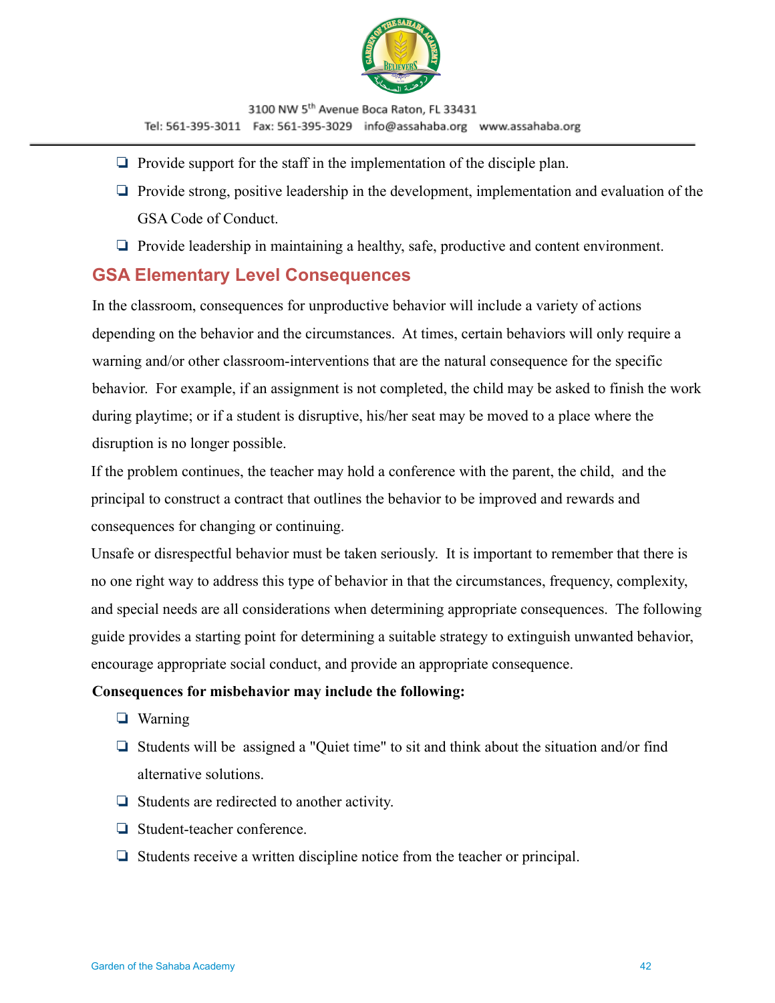

- ❏ Provide support for the staff in the implementation of the disciple plan.
- ❏ Provide strong, positive leadership in the development, implementation and evaluation of the GSA Code of Conduct.
- ❏ Provide leadership in maintaining a healthy, safe, productive and content environment.

#### <span id="page-41-0"></span>**GSA Elementary Level Consequences**

In the classroom, consequences for unproductive behavior will include a variety of actions depending on the behavior and the circumstances. At times, certain behaviors will only require a warning and/or other classroom-interventions that are the natural consequence for the specific behavior. For example, if an assignment is not completed, the child may be asked to finish the work during playtime; or if a student is disruptive, his/her seat may be moved to a place where the disruption is no longer possible.

If the problem continues, the teacher may hold a conference with the parent, the child, and the principal to construct a contract that outlines the behavior to be improved and rewards and consequences for changing or continuing.

Unsafe or disrespectful behavior must be taken seriously. It is important to remember that there is no one right way to address this type of behavior in that the circumstances, frequency, complexity, and special needs are all considerations when determining appropriate consequences. The following guide provides a starting point for determining a suitable strategy to extinguish unwanted behavior, encourage appropriate social conduct, and provide an appropriate consequence.

#### **Consequences for misbehavior may include the following:**

- ❏ Warning
- ❏ Students will be assigned a "Quiet time" to sit and think about the situation and/or find alternative solutions.
- ❏ Students are redirected to another activity.
- ❏ Student-teacher conference.
- ❏ Students receive a written discipline notice from the teacher or principal.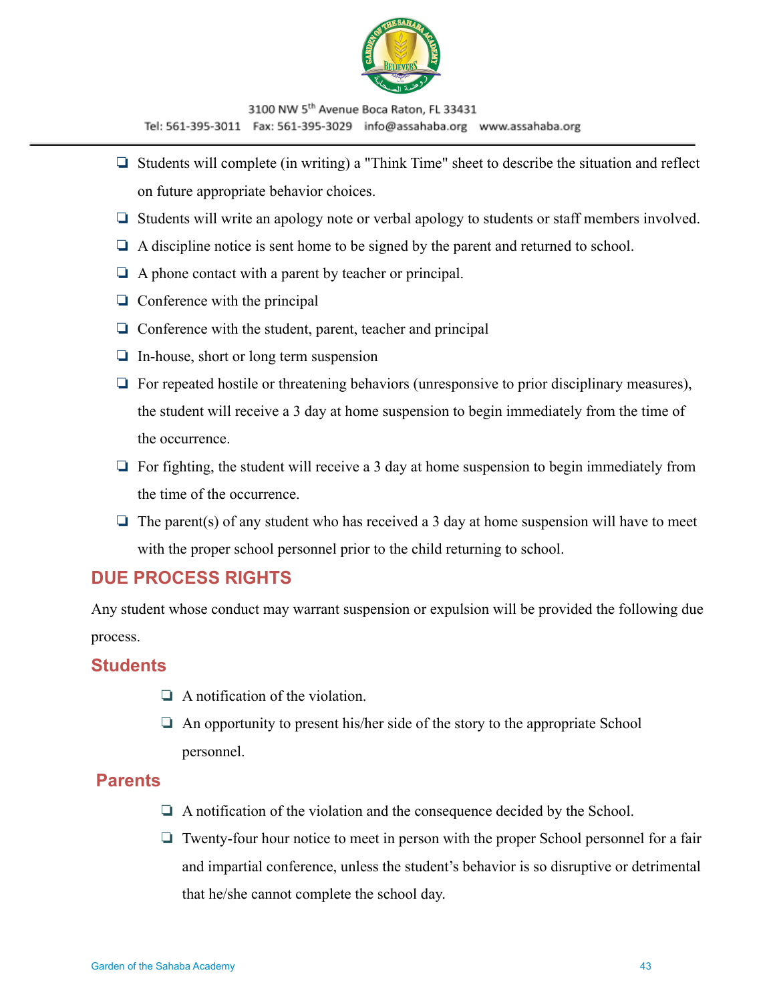

- ❏ Students will complete (in writing) a "Think Time" sheet to describe the situation and reflect on future appropriate behavior choices.
- ❏ Students will write an apology note or verbal apology to students or staff members involved.
- ❏ A discipline notice is sent home to be signed by the parent and returned to school.
- ❏ A phone contact with a parent by teacher or principal.
- ❏ Conference with the principal
- ❏ Conference with the student, parent, teacher and principal
- ❏ In-house, short or long term suspension
- ❏ For repeated hostile or threatening behaviors (unresponsive to prior disciplinary measures), the student will receive a 3 day at home suspension to begin immediately from the time of the occurrence.
- ❏ For fighting, the student will receive a 3 day at home suspension to begin immediately from the time of the occurrence.
- $\Box$  The parent(s) of any student who has received a 3 day at home suspension will have to meet with the proper school personnel prior to the child returning to school.

## <span id="page-42-0"></span>**DUE PROCESS RIGHTS**

Any student whose conduct may warrant suspension or expulsion will be provided the following due process.

### <span id="page-42-1"></span>**Students**

- ❏ A notification of the violation.
- ❏ An opportunity to present his/her side of the story to the appropriate School personnel.

### <span id="page-42-2"></span>**Parents**

- ❏ A notification of the violation and the consequence decided by the School.
- ❏ Twenty-four hour notice to meet in person with the proper School personnel for a fair and impartial conference, unless the student's behavior is so disruptive or detrimental that he/she cannot complete the school day.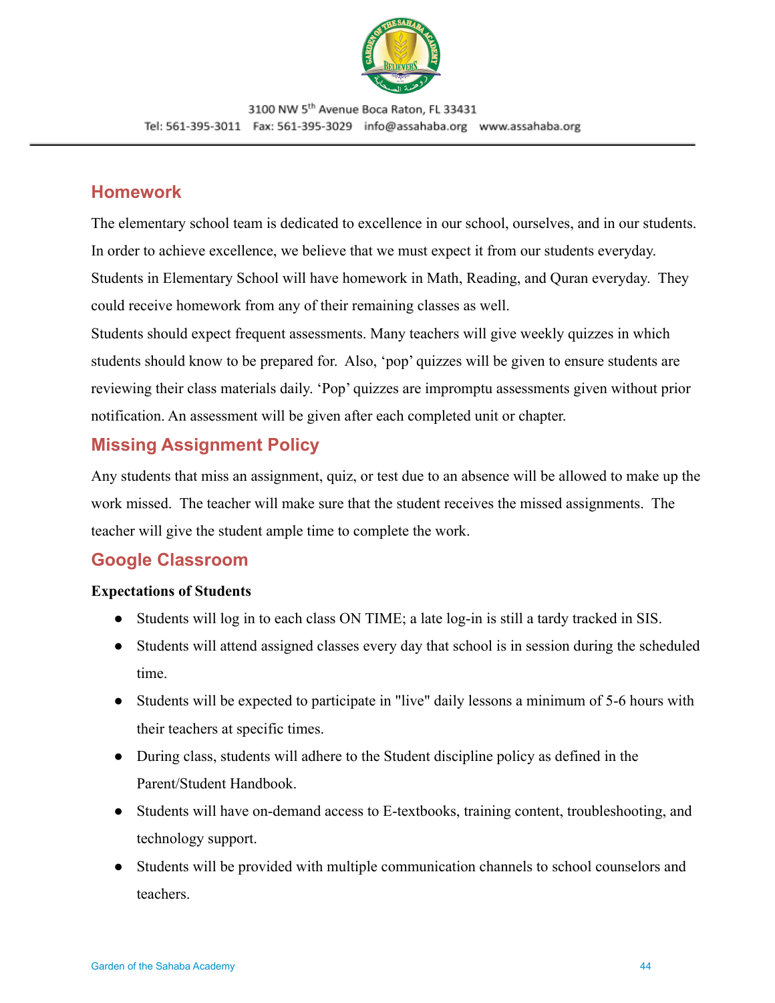

## <span id="page-43-0"></span>**Homework**

The elementary school team is dedicated to excellence in our school, ourselves, and in our students. In order to achieve excellence, we believe that we must expect it from our students everyday. Students in Elementary School will have homework in Math, Reading, and Quran everyday. They could receive homework from any of their remaining classes as well.

Students should expect frequent assessments. Many teachers will give weekly quizzes in which students should know to be prepared for. Also, 'pop' quizzes will be given to ensure students are reviewing their class materials daily. 'Pop' quizzes are impromptu assessments given without prior notification. An assessment will be given after each completed unit or chapter.

# <span id="page-43-1"></span>**Missing Assignment Policy**

Any students that miss an assignment, quiz, or test due to an absence will be allowed to make up the work missed. The teacher will make sure that the student receives the missed assignments. The teacher will give the student ample time to complete the work.

# <span id="page-43-2"></span>**Google Classroom**

#### **Expectations of Students**

- Students will log in to each class ON TIME; a late log-in is still a tardy tracked in SIS.
- Students will attend assigned classes every day that school is in session during the scheduled time.
- Students will be expected to participate in "live" daily lessons a minimum of 5-6 hours with their teachers at specific times.
- During class, students will adhere to the Student discipline policy as defined in the Parent/Student Handbook.
- Students will have on-demand access to E-textbooks, training content, troubleshooting, and technology support.
- Students will be provided with multiple communication channels to school counselors and teachers.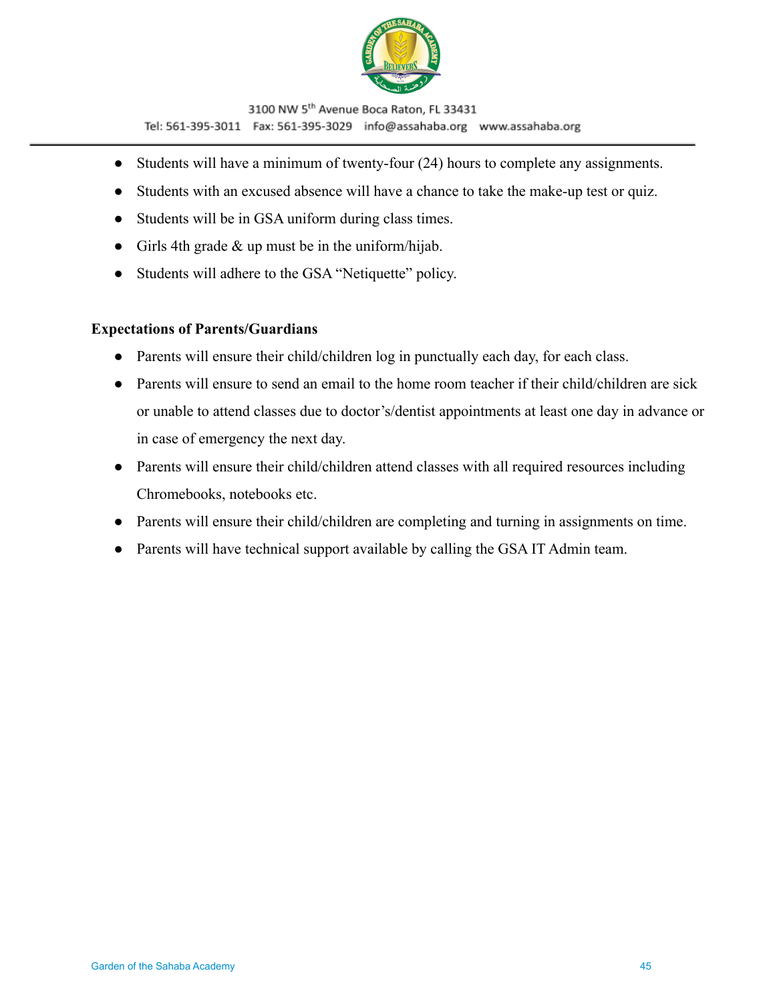

- Students will have a minimum of twenty-four (24) hours to complete any assignments.
- Students with an excused absence will have a chance to take the make-up test or quiz.
- Students will be in GSA uniform during class times.
- Girls 4th grade  $&$  up must be in the uniform/hijab.
- Students will adhere to the GSA "Netiquette" policy.

#### **Expectations of Parents/Guardians**

- Parents will ensure their child/children log in punctually each day, for each class.
- Parents will ensure to send an email to the home room teacher if their child/children are sick or unable to attend classes due to doctor's/dentist appointments at least one day in advance or in case of emergency the next day.
- Parents will ensure their child/children attend classes with all required resources including Chromebooks, notebooks etc.
- Parents will ensure their child/children are completing and turning in assignments on time.
- Parents will have technical support available by calling the GSA IT Admin team.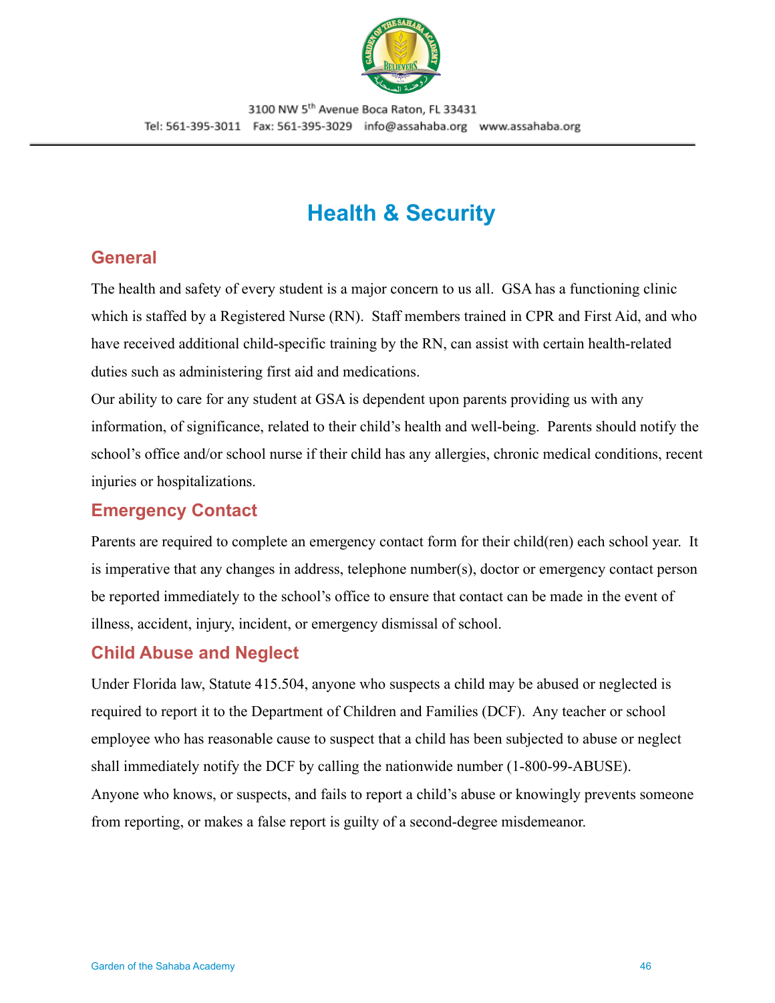

# **Health & Security**

## <span id="page-45-1"></span><span id="page-45-0"></span>**General**

The health and safety of every student is a major concern to us all. GSA has a functioning clinic which is staffed by a Registered Nurse (RN). Staff members trained in CPR and First Aid, and who have received additional child-specific training by the RN, can assist with certain health-related duties such as administering first aid and medications.

Our ability to care for any student at GSA is dependent upon parents providing us with any information, of significance, related to their child's health and well-being. Parents should notify the school's office and/or school nurse if their child has any allergies, chronic medical conditions, recent injuries or hospitalizations.

# <span id="page-45-2"></span>**Emergency Contact**

Parents are required to complete an emergency contact form for their child(ren) each school year. It is imperative that any changes in address, telephone number(s), doctor or emergency contact person be reported immediately to the school's office to ensure that contact can be made in the event of illness, accident, injury, incident, or emergency dismissal of school.

## <span id="page-45-3"></span>**Child Abuse and Neglect**

Under Florida law, Statute 415.504, anyone who suspects a child may be abused or neglected is required to report it to the Department of Children and Families (DCF). Any teacher or school employee who has reasonable cause to suspect that a child has been subjected to abuse or neglect shall immediately notify the DCF by calling the nationwide number (1-800-99-ABUSE). Anyone who knows, or suspects, and fails to report a child's abuse or knowingly prevents someone from reporting, or makes a false report is guilty of a second-degree misdemeanor.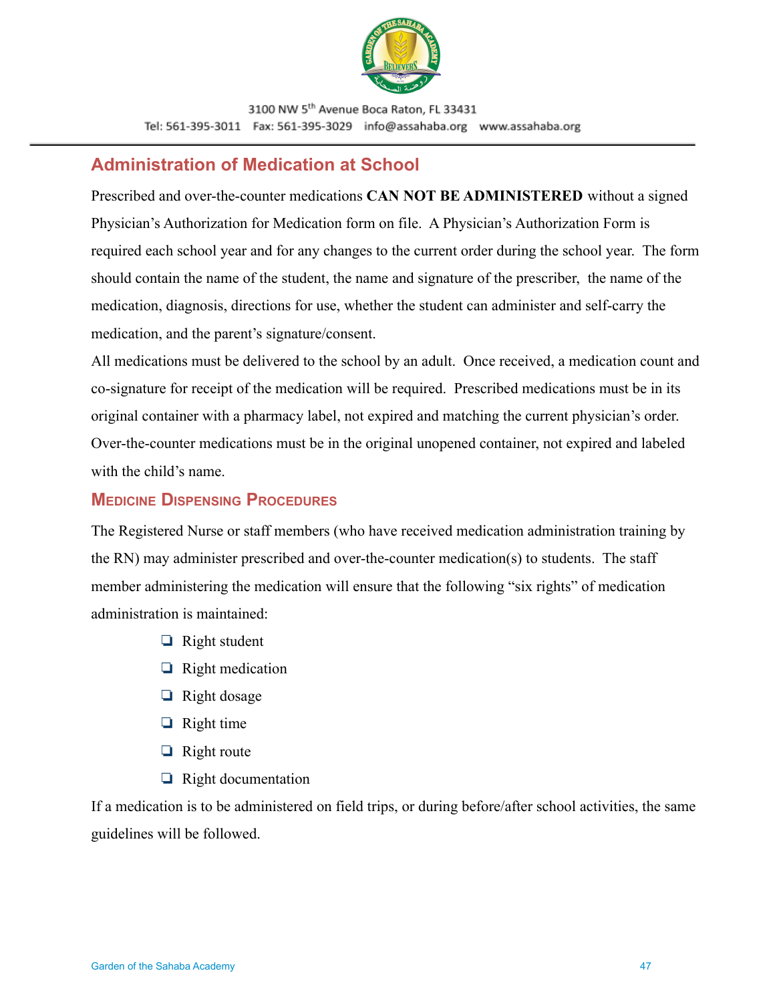

### <span id="page-46-0"></span>**Administration of Medication at School**

Prescribed and over-the-counter medications **CAN NOT BE ADMINISTERED** without a signed Physician's Authorization for Medication form on file. A Physician's Authorization Form is required each school year and for any changes to the current order during the school year. The form should contain the name of the student, the name and signature of the prescriber, the name of the medication, diagnosis, directions for use, whether the student can administer and self-carry the medication, and the parent's signature/consent.

All medications must be delivered to the school by an adult. Once received, a medication count and co-signature for receipt of the medication will be required. Prescribed medications must be in its original container with a pharmacy label, not expired and matching the current physician's order. Over-the-counter medications must be in the original unopened container, not expired and labeled with the child's name.

#### <span id="page-46-1"></span>**MEDICINE DISPENSING PROCEDURES**

The Registered Nurse or staff members (who have received medication administration training by the RN) may administer prescribed and over-the-counter medication(s) to students. The staff member administering the medication will ensure that the following "six rights" of medication administration is maintained:

- ❏ Right student
- ❏ Right medication
- ❏ Right dosage
- ❏ Right time
- ❏ Right route
- ❏ Right documentation

If a medication is to be administered on field trips, or during before/after school activities, the same guidelines will be followed.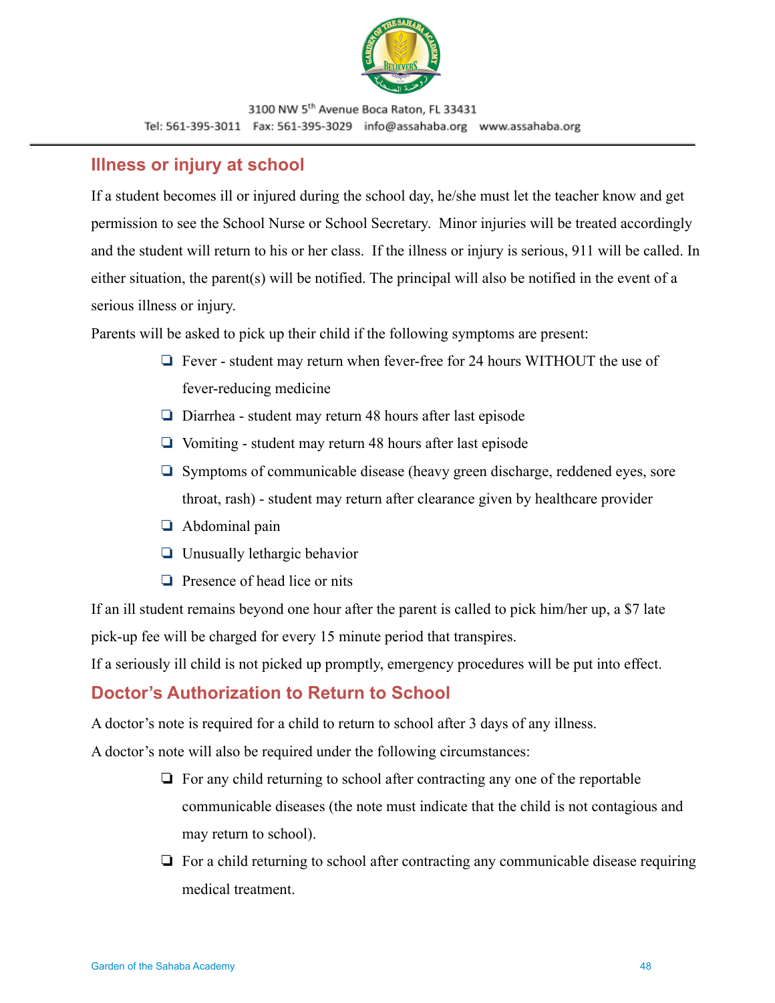

## <span id="page-47-0"></span>**Illness or injury at school**

If a student becomes ill or injured during the school day, he/she must let the teacher know and get permission to see the School Nurse or School Secretary. Minor injuries will be treated accordingly and the student will return to his or her class. If the illness or injury is serious, 911 will be called. In either situation, the parent(s) will be notified. The principal will also be notified in the event of a serious illness or injury.

Parents will be asked to pick up their child if the following symptoms are present:

- ❏ Fever student may return when fever-free for 24 hours WITHOUT the use of fever-reducing medicine
- ❏ Diarrhea student may return 48 hours after last episode
- ❏ Vomiting student may return 48 hours after last episode
- ❏ Symptoms of communicable disease (heavy green discharge, reddened eyes, sore throat, rash) - student may return after clearance given by healthcare provider
- ❏ Abdominal pain
- ❏ Unusually lethargic behavior
- ❏ Presence of head lice or nits

If an ill student remains beyond one hour after the parent is called to pick him/her up, a \$7 late pick-up fee will be charged for every 15 minute period that transpires.

If a seriously ill child is not picked up promptly, emergency procedures will be put into effect.

## <span id="page-47-1"></span>**Doctor's Authorization to Return to School**

A doctor's note is required for a child to return to school after 3 days of any illness.

A doctor's note will also be required under the following circumstances:

- ❏ For any child returning to school after contracting any one of the reportable communicable diseases (the note must indicate that the child is not contagious and may return to school).
- ❏ For a child returning to school after contracting any communicable disease requiring medical treatment.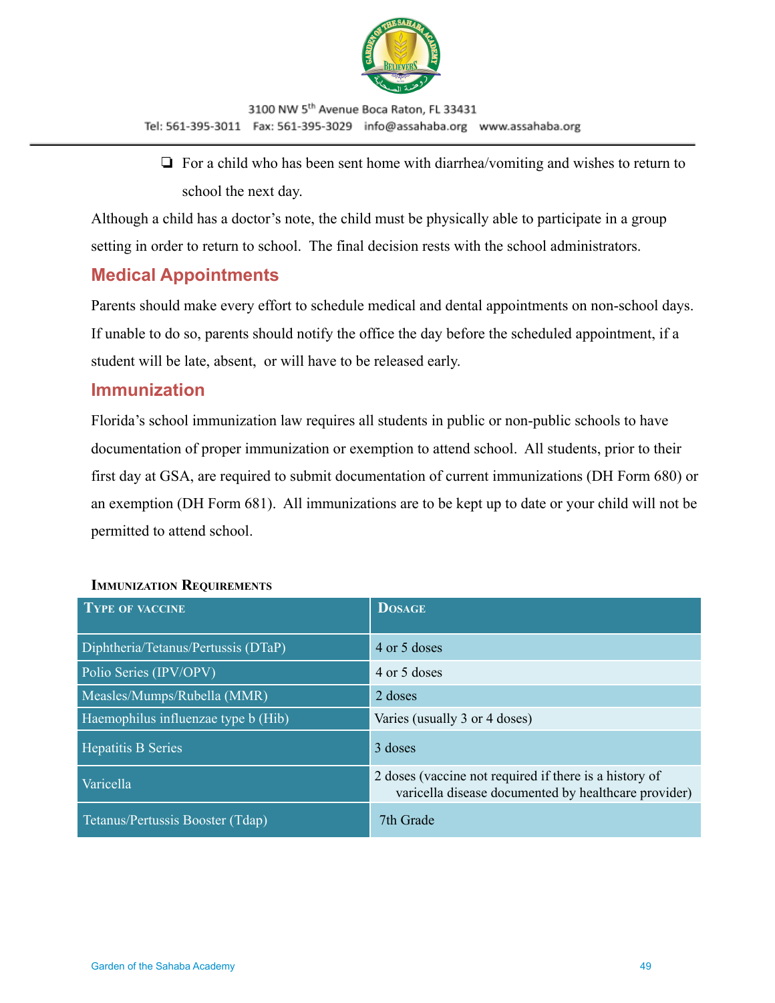

❏ For a child who has been sent home with diarrhea/vomiting and wishes to return to school the next day.

Although a child has a doctor's note, the child must be physically able to participate in a group setting in order to return to school. The final decision rests with the school administrators.

## <span id="page-48-0"></span>**Medical Appointments**

Parents should make every effort to schedule medical and dental appointments on non-school days. If unable to do so, parents should notify the office the day before the scheduled appointment, if a student will be late, absent, or will have to be released early.

### <span id="page-48-1"></span>**Immunization**

Florida's school immunization law requires all students in public or non-public schools to have documentation of proper immunization or exemption to attend school. All students, prior to their first day at GSA, are required to submit documentation of current immunizations (DH Form 680) or an exemption (DH Form 681). All immunizations are to be kept up to date or your child will not be permitted to attend school.

| <b>TYPE OF VACCINE</b>              | <b>DOSAGE</b>                                                                                                  |
|-------------------------------------|----------------------------------------------------------------------------------------------------------------|
| Diphtheria/Tetanus/Pertussis (DTaP) | 4 or 5 doses                                                                                                   |
| Polio Series (IPV/OPV)              | 4 or 5 doses                                                                                                   |
| Measles/Mumps/Rubella (MMR)         | 2 doses                                                                                                        |
| Haemophilus influenzae type b (Hib) | Varies (usually 3 or 4 doses)                                                                                  |
| <b>Hepatitis B Series</b>           | 3 doses                                                                                                        |
| Varicella                           | 2 doses (vaccine not required if there is a history of<br>varicella disease documented by healthcare provider) |
| Tetanus/Pertussis Booster (Tdap)    | 7th Grade                                                                                                      |

#### **IMMUNIZATION REQUIREMENTS**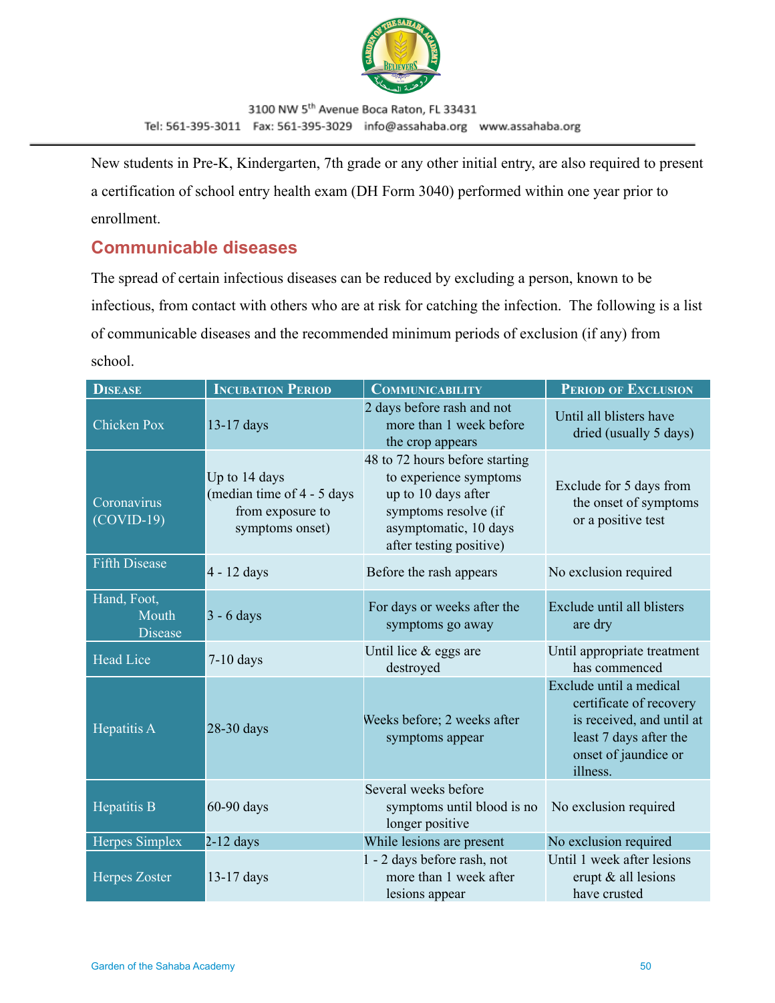

New students in Pre-K, Kindergarten, 7th grade or any other initial entry, are also required to present a certification of school entry health exam (DH Form 3040) performed within one year prior to enrollment.

## <span id="page-49-0"></span>**Communicable diseases**

The spread of certain infectious diseases can be reduced by excluding a person, known to be infectious, from contact with others who are at risk for catching the infection. The following is a list of communicable diseases and the recommended minimum periods of exclusion (if any) from school.

| <b>DISEASE</b>                         | <b>INCUBATION PERIOD</b>                                                           | <b>COMMUNICABILITY</b>                                                                                                                                      | <b>PERIOD OF EXCLUSION</b>                                                                                                                    |
|----------------------------------------|------------------------------------------------------------------------------------|-------------------------------------------------------------------------------------------------------------------------------------------------------------|-----------------------------------------------------------------------------------------------------------------------------------------------|
| <b>Chicken Pox</b>                     | 13-17 days                                                                         | 2 days before rash and not<br>more than 1 week before<br>the crop appears                                                                                   | Until all blisters have<br>dried (usually 5 days)                                                                                             |
| Coronavirus<br>$(COVID-19)$            | Up to 14 days<br>(median time of 4 - 5 days<br>from exposure to<br>symptoms onset) | 48 to 72 hours before starting<br>to experience symptoms<br>up to 10 days after<br>symptoms resolve (if<br>asymptomatic, 10 days<br>after testing positive) | Exclude for 5 days from<br>the onset of symptoms<br>or a positive test                                                                        |
| <b>Fifth Disease</b>                   | 4 - 12 days                                                                        | Before the rash appears                                                                                                                                     | No exclusion required                                                                                                                         |
| Hand, Foot,<br>Mouth<br><b>Disease</b> | $3 - 6$ days                                                                       | For days or weeks after the<br>symptoms go away                                                                                                             | Exclude until all blisters<br>are dry                                                                                                         |
| <b>Head Lice</b>                       | $7-10$ days                                                                        | Until lice $&$ eggs are<br>destroyed                                                                                                                        | Until appropriate treatment<br>has commenced                                                                                                  |
| Hepatitis A                            | 28-30 days                                                                         | Weeks before; 2 weeks after<br>symptoms appear                                                                                                              | Exclude until a medical<br>certificate of recovery<br>is received, and until at<br>least 7 days after the<br>onset of jaundice or<br>illness. |
| Hepatitis B                            | 60-90 days                                                                         | Several weeks before<br>symptoms until blood is no<br>longer positive                                                                                       | No exclusion required                                                                                                                         |
| Herpes Simplex                         | $2-12$ days                                                                        | While lesions are present                                                                                                                                   | No exclusion required                                                                                                                         |
| <b>Herpes Zoster</b>                   | 13-17 days                                                                         | 1 - 2 days before rash, not<br>more than 1 week after<br>lesions appear                                                                                     | Until 1 week after lesions<br>erupt & all lesions<br>have crusted                                                                             |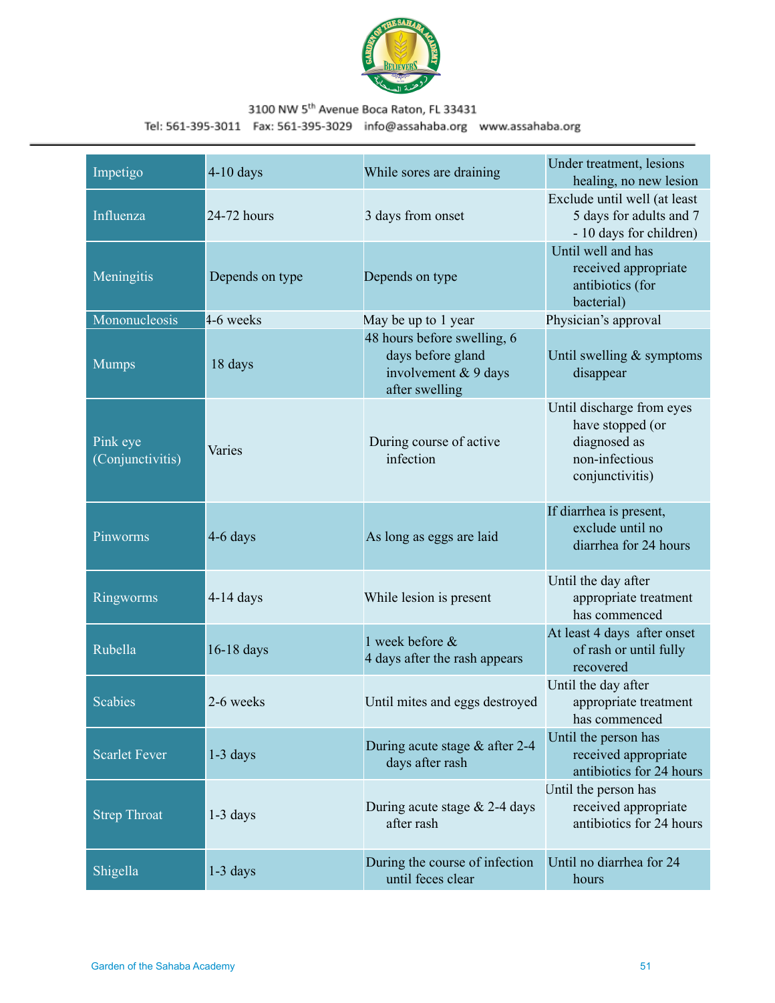

| Impetigo                     | $4-10$ days     | While sores are draining                                                                   | Under treatment, lesions<br>healing, no new lesion                                                 |
|------------------------------|-----------------|--------------------------------------------------------------------------------------------|----------------------------------------------------------------------------------------------------|
| Influenza                    | 24-72 hours     | 3 days from onset                                                                          | Exclude until well (at least<br>5 days for adults and 7<br>- 10 days for children)                 |
| Meningitis                   | Depends on type | Depends on type                                                                            | Until well and has<br>received appropriate<br>antibiotics (for<br>bacterial)                       |
| Mononucleosis                | 4-6 weeks       | May be up to 1 year                                                                        | Physician's approval                                                                               |
| <b>Mumps</b>                 | 18 days         | 48 hours before swelling, 6<br>days before gland<br>involvement & 9 days<br>after swelling | Until swelling $&$ symptoms<br>disappear                                                           |
| Pink eye<br>(Conjunctivitis) | Varies          | During course of active<br>infection                                                       | Until discharge from eyes<br>have stopped (or<br>diagnosed as<br>non-infectious<br>conjunctivitis) |
| Pinworms                     | 4-6 days        | As long as eggs are laid                                                                   | If diarrhea is present,<br>exclude until no<br>diarrhea for 24 hours                               |
| Ringworms                    | $4-14$ days     | While lesion is present                                                                    | Until the day after<br>appropriate treatment<br>has commenced                                      |
| Rubella                      | 16-18 days      | 1 week before &<br>4 days after the rash appears                                           | At least 4 days after onset<br>of rash or until fully<br>recovered                                 |
| <b>Scabies</b>               | 2-6 weeks       | Until mites and eggs destroyed                                                             | Until the day after<br>appropriate treatment<br>has commenced                                      |
| Scarlet Fever                | $1-3$ days      | During acute stage & after 2-4<br>days after rash                                          | Until the person has<br>received appropriate<br>antibiotics for 24 hours                           |
| <b>Strep Throat</b>          | $1-3$ days      | During acute stage $& 2-4$ days<br>after rash                                              | Until the person has<br>received appropriate<br>antibiotics for 24 hours                           |
| Shigella                     | $1-3$ days      | During the course of infection<br>until feces clear                                        | Until no diarrhea for 24<br>hours                                                                  |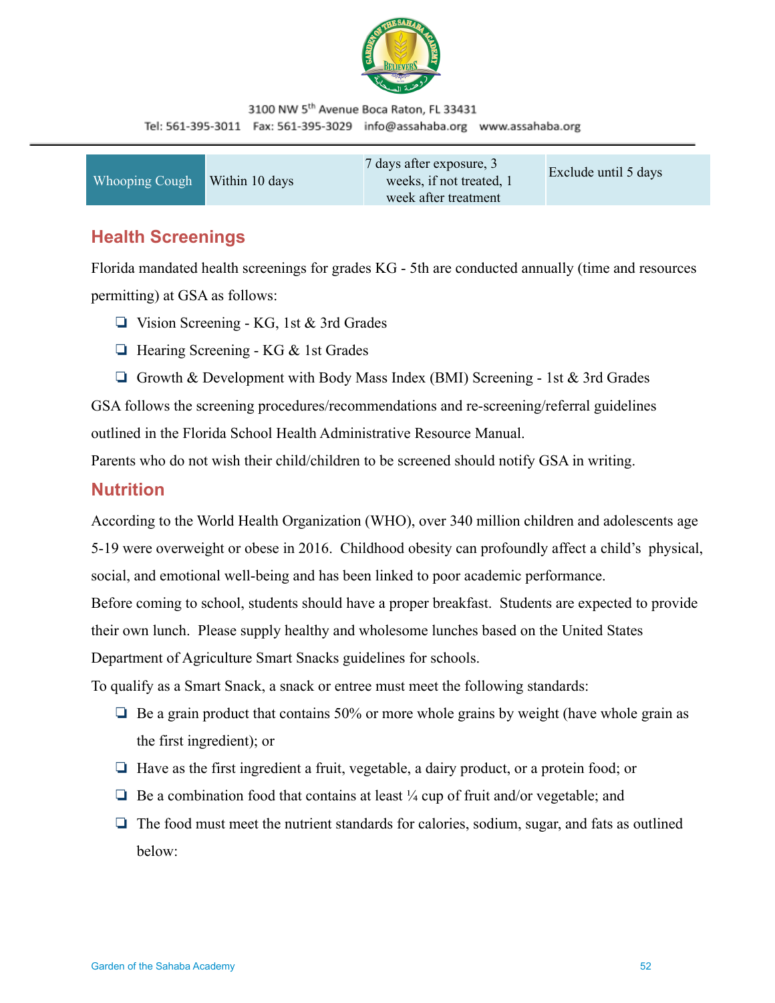

| Whooping Cough | Within 10 days | 7 days after exposure, 3<br>weeks, if not treated, 1<br>week after treatment | Exclude until 5 days |
|----------------|----------------|------------------------------------------------------------------------------|----------------------|
|----------------|----------------|------------------------------------------------------------------------------|----------------------|

### <span id="page-51-0"></span>**Health Screenings**

Florida mandated health screenings for grades KG - 5th are conducted annually (time and resources permitting) at GSA as follows:

- ❏ Vision Screening KG, 1st & 3rd Grades
- ❏ Hearing Screening KG & 1st Grades
- **□** Growth & Development with Body Mass Index (BMI) Screening 1st & 3rd Grades

GSA follows the screening procedures/recommendations and re-screening/referral guidelines outlined in the Florida School Health Administrative Resource Manual.

Parents who do not wish their child/children to be screened should notify GSA in writing.

### <span id="page-51-1"></span>**Nutrition**

According to the World Health Organization (WHO), over 340 million children and adolescents age 5-19 were overweight or obese in 2016. Childhood obesity can profoundly affect a child's physical, social, and emotional well-being and has been linked to poor academic performance. Before coming to school, students should have a proper breakfast. Students are expected to provide their own lunch. Please supply healthy and wholesome lunches based on the United States Department of Agriculture Smart Snacks guidelines for schools.

To qualify as a Smart Snack, a snack or entree must meet the following standards:

- ❏ Be a grain product that contains 50% or more whole grains by weight (have whole grain as the first ingredient); or
- ❏ Have as the first ingredient a fruit, vegetable, a dairy product, or a protein food; or
- $\Box$  Be a combination food that contains at least  $\frac{1}{4}$  cup of fruit and/or vegetable; and
- ❏ The food must meet the nutrient standards for calories, sodium, sugar, and fats as outlined below: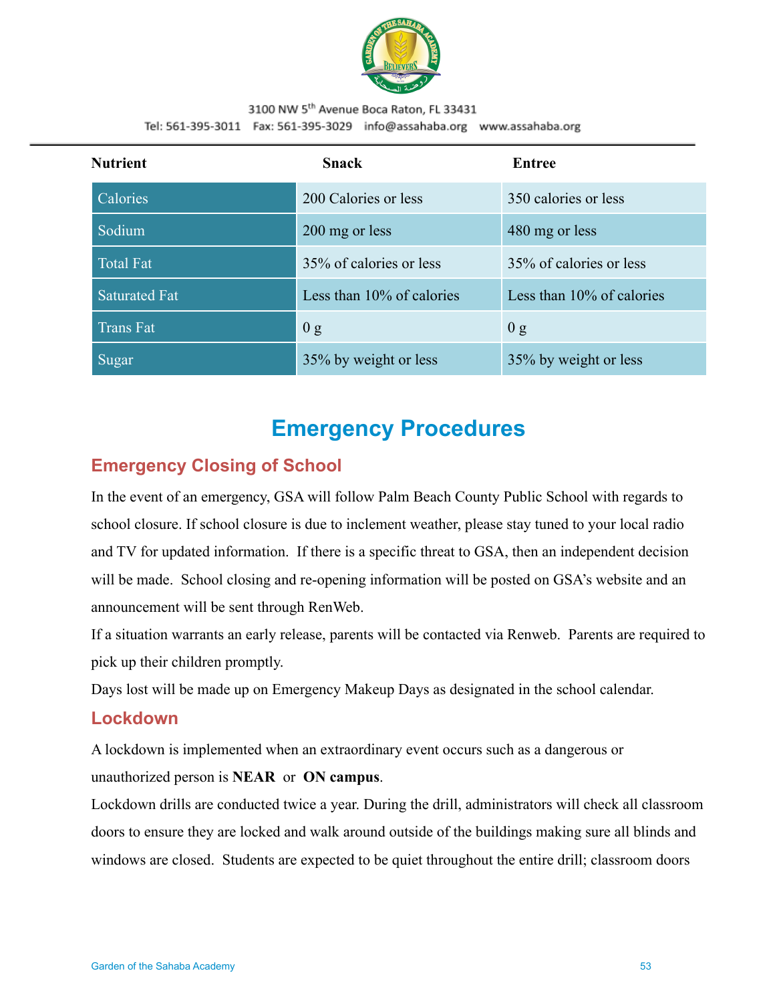

| <b>Nutrient</b>      | <b>Snack</b>              | Entree                       |
|----------------------|---------------------------|------------------------------|
| Calories             | 200 Calories or less      | 350 calories or less         |
| Sodium               | 200 mg or less            | 480 mg or less               |
| <b>Total Fat</b>     | 35% of calories or less   | 35% of calories or less      |
| <b>Saturated Fat</b> | Less than 10% of calories | Less than $10\%$ of calories |
| <b>Trans Fat</b>     | 0 g                       | 0 g                          |
| Sugar                | 35% by weight or less     | 35% by weight or less        |

# **Emergency Procedures**

# <span id="page-52-1"></span><span id="page-52-0"></span>**Emergency Closing of School**

In the event of an emergency, GSA will follow Palm Beach County Public School with regards to school closure. If school closure is due to inclement weather, please stay tuned to your local radio and TV for updated information. If there is a specific threat to GSA, then an independent decision will be made. School closing and re-opening information will be posted on GSA's website and an announcement will be sent through RenWeb.

If a situation warrants an early release, parents will be contacted via Renweb. Parents are required to pick up their children promptly.

Days lost will be made up on Emergency Makeup Days as designated in the school calendar.

### <span id="page-52-2"></span>**Lockdown**

A lockdown is implemented when an extraordinary event occurs such as a dangerous or

unauthorized person is **NEAR** or **ON campus**.

Lockdown drills are conducted twice a year. During the drill, administrators will check all classroom doors to ensure they are locked and walk around outside of the buildings making sure all blinds and windows are closed. Students are expected to be quiet throughout the entire drill; classroom doors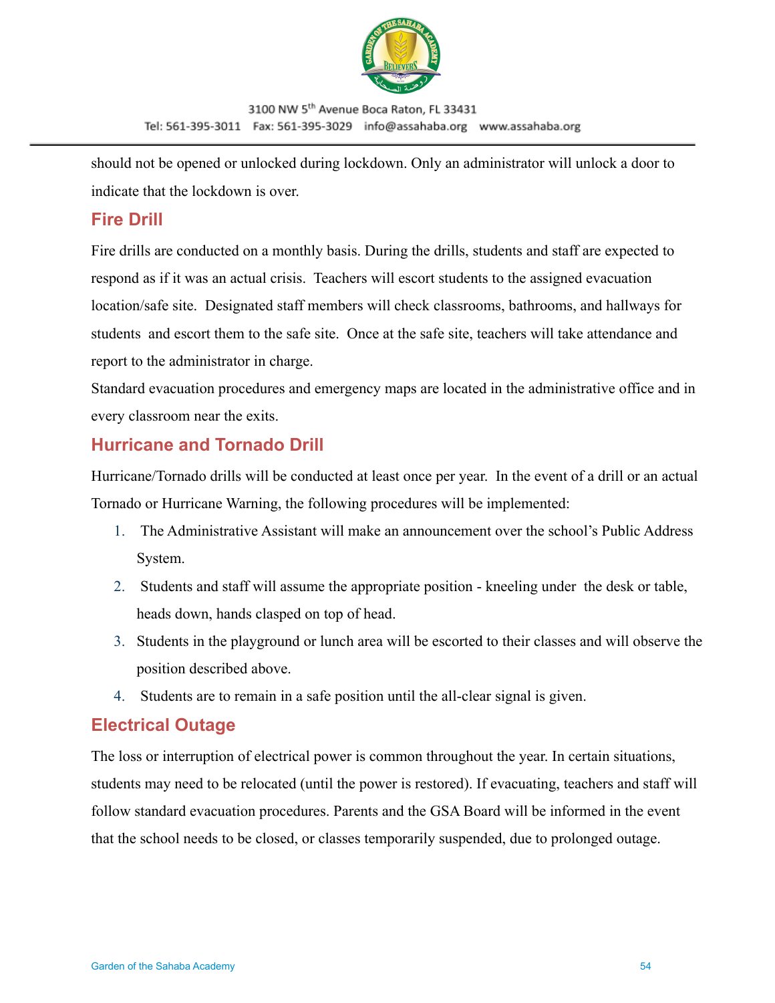

should not be opened or unlocked during lockdown. Only an administrator will unlock a door to indicate that the lockdown is over.

## **Fire Drill**

Fire drills are conducted on a monthly basis. During the drills, students and staff are expected to respond as if it was an actual crisis. Teachers will escort students to the assigned evacuation location/safe site. Designated staff members will check classrooms, bathrooms, and hallways for students and escort them to the safe site. Once at the safe site, teachers will take attendance and report to the administrator in charge.

Standard evacuation procedures and emergency maps are located in the administrative office and in every classroom near the exits.

# <span id="page-53-0"></span>**Hurricane and Tornado Drill**

Hurricane/Tornado drills will be conducted at least once per year. In the event of a drill or an actual Tornado or Hurricane Warning, the following procedures will be implemented:

- 1. The Administrative Assistant will make an announcement over the school's Public Address System.
- 2. Students and staff will assume the appropriate position kneeling under the desk or table, heads down, hands clasped on top of head.
- 3. Students in the playground or lunch area will be escorted to their classes and will observe the position described above.
- 4. Students are to remain in a safe position until the all-clear signal is given.

# <span id="page-53-1"></span>**Electrical Outage**

The loss or interruption of electrical power is common throughout the year. In certain situations, students may need to be relocated (until the power is restored). If evacuating, teachers and staff will follow standard evacuation procedures. Parents and the GSA Board will be informed in the event that the school needs to be closed, or classes temporarily suspended, due to prolonged outage.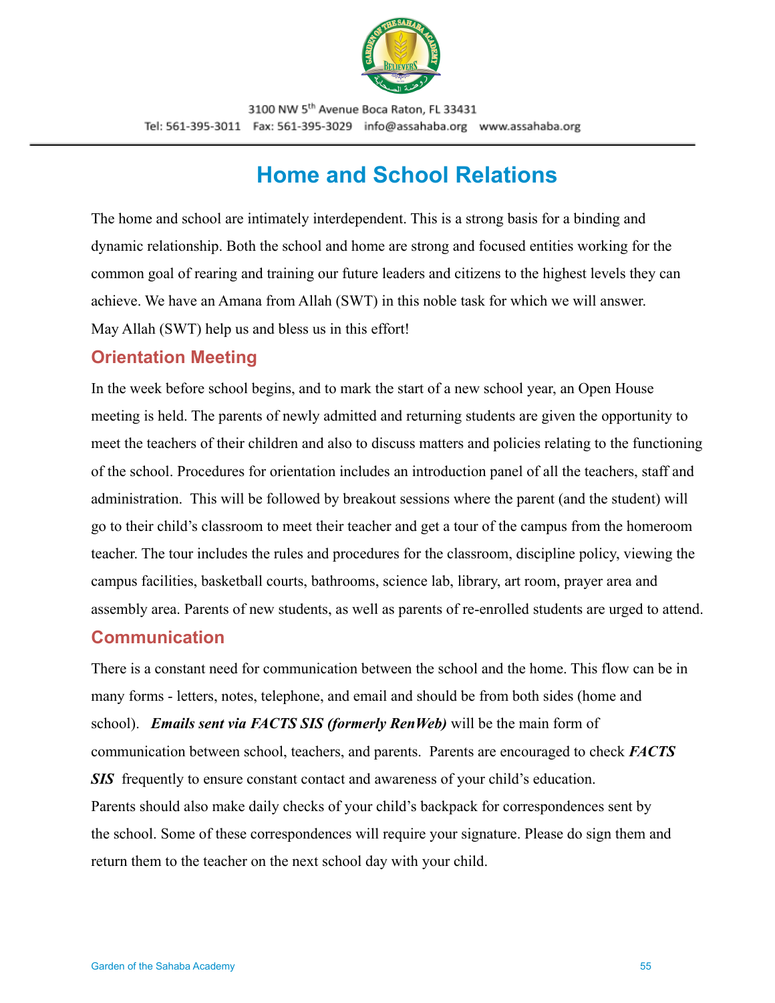

# **Home and School Relations**

<span id="page-54-0"></span>The home and school are intimately interdependent. This is a strong basis for a binding and dynamic relationship. Both the school and home are strong and focused entities working for the common goal of rearing and training our future leaders and citizens to the highest levels they can achieve. We have an Amana from Allah (SWT) in this noble task for which we will answer. May Allah (SWT) help us and bless us in this effort!

### <span id="page-54-1"></span>**Orientation Meeting**

In the week before school begins, and to mark the start of a new school year, an Open House meeting is held. The parents of newly admitted and returning students are given the opportunity to meet the teachers of their children and also to discuss matters and policies relating to the functioning of the school. Procedures for orientation includes an introduction panel of all the teachers, staff and administration. This will be followed by breakout sessions where the parent (and the student) will go to their child's classroom to meet their teacher and get a tour of the campus from the homeroom teacher. The tour includes the rules and procedures for the classroom, discipline policy, viewing the campus facilities, basketball courts, bathrooms, science lab, library, art room, prayer area and assembly area. Parents of new students, as well as parents of re-enrolled students are urged to attend.

### <span id="page-54-2"></span>**Communication**

There is a constant need for communication between the school and the home. This flow can be in many forms - letters, notes, telephone, and email and should be from both sides (home and school). *Emails sent via FACTS SIS (formerly RenWeb)* will be the main form of communication between school, teachers, and parents. Parents are encouraged to check *FACTS* **SIS** frequently to ensure constant contact and awareness of your child's education. Parents should also make daily checks of your child's backpack for correspondences sent by the school. Some of these correspondences will require your signature. Please do sign them and return them to the teacher on the next school day with your child.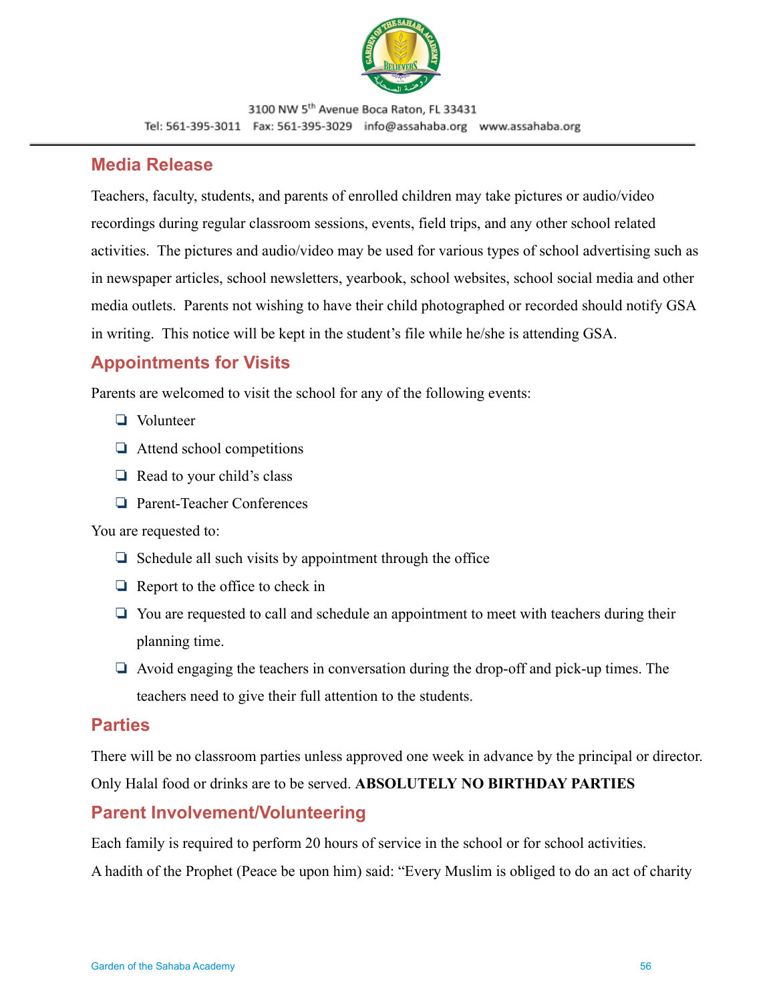

#### <span id="page-55-0"></span>**Media Release**

Teachers, faculty, students, and parents of enrolled children may take pictures or audio/video recordings during regular classroom sessions, events, field trips, and any other school related activities. The pictures and audio/video may be used for various types of school advertising such as in newspaper articles, school newsletters, yearbook, school websites, school social media and other media outlets. Parents not wishing to have their child photographed or recorded should notify GSA in writing. This notice will be kept in the student's file while he/she is attending GSA.

## <span id="page-55-1"></span>**Appointments for Visits**

Parents are welcomed to visit the school for any of the following events:

- ❏ Volunteer
- ❏ Attend school competitions
- ❏ Read to your child's class
- ❏ Parent-Teacher Conferences

You are requested to:

- ❏ Schedule all such visits by appointment through the office
- ❏ Report to the office to check in
- ❏ You are requested to call and schedule an appointment to meet with teachers during their planning time.
- ❏ Avoid engaging the teachers in conversation during the drop-off and pick-up times. The teachers need to give their full attention to the students.

#### <span id="page-55-2"></span>**Parties**

There will be no classroom parties unless approved one week in advance by the principal or director.

Only Halal food or drinks are to be served. **ABSOLUTELY NO BIRTHDAY PARTIES**

### <span id="page-55-3"></span>**Parent Involvement/Volunteering**

Each family is required to perform 20 hours of service in the school or for school activities.

A hadith of the Prophet (Peace be upon him) said: "Every Muslim is obliged to do an act of charity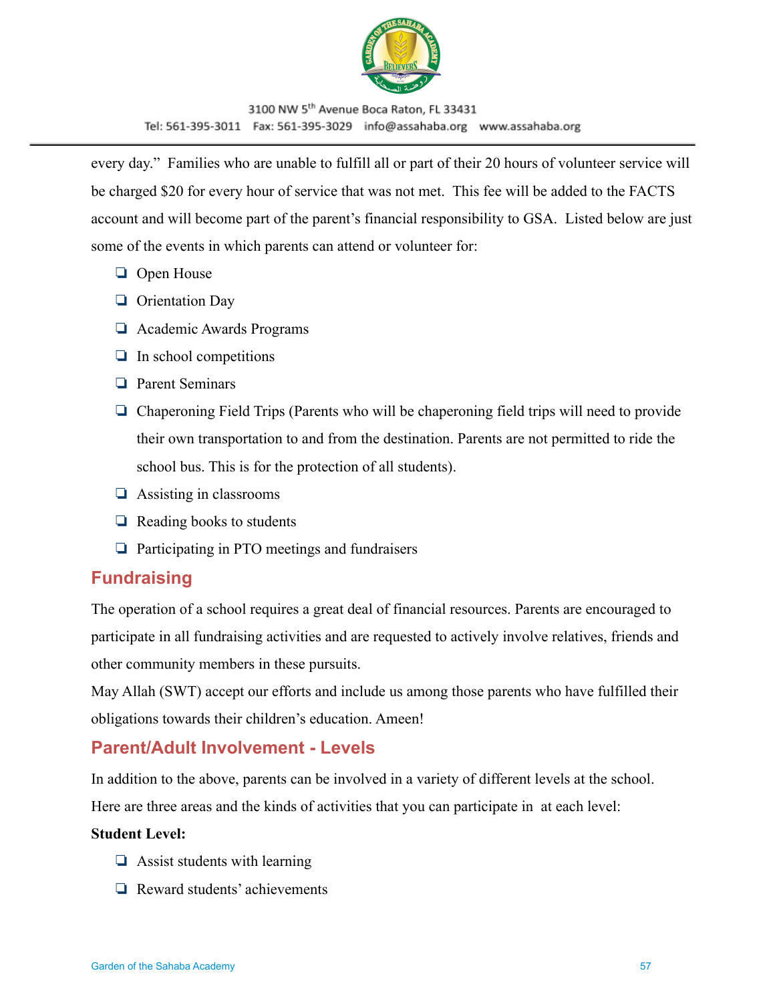

every day." Families who are unable to fulfill all or part of their 20 hours of volunteer service will be charged \$20 for every hour of service that was not met. This fee will be added to the FACTS account and will become part of the parent's financial responsibility to GSA. Listed below are just some of the events in which parents can attend or volunteer for:

- ❏ Open House
- ❏ Orientation Day
- ❏ Academic Awards Programs
- ❏ In school competitions
- ❏ Parent Seminars
- ❏ Chaperoning Field Trips (Parents who will be chaperoning field trips will need to provide their own transportation to and from the destination. Parents are not permitted to ride the school bus. This is for the protection of all students).
- ❏ Assisting in classrooms
- ❏ Reading books to students
- ❏ Participating in PTO meetings and fundraisers

## <span id="page-56-0"></span>**Fundraising**

The operation of a school requires a great deal of financial resources. Parents are encouraged to participate in all fundraising activities and are requested to actively involve relatives, friends and other community members in these pursuits.

May Allah (SWT) accept our efforts and include us among those parents who have fulfilled their obligations towards their children's education. Ameen!

### <span id="page-56-1"></span>**Parent/Adult Involvement - Levels**

In addition to the above, parents can be involved in a variety of different levels at the school.

Here are three areas and the kinds of activities that you can participate in at each level:

#### **Student Level:**

- ❏ Assist students with learning
- ❏ Reward students' achievements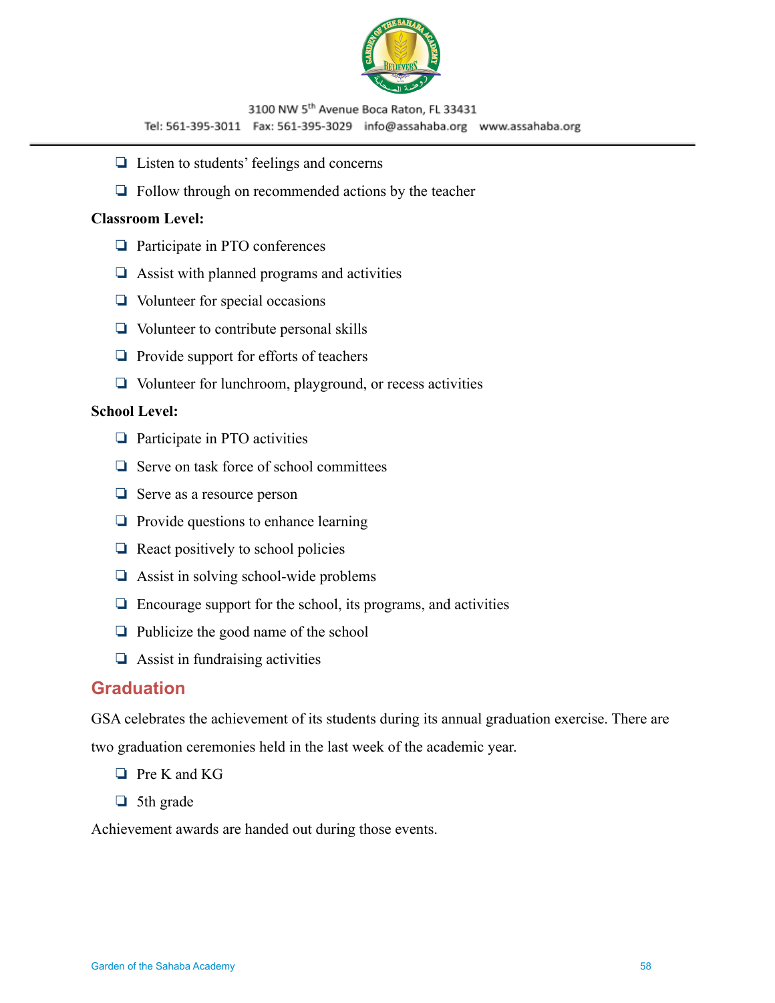

- ❏ Listen to students' feelings and concerns
- ❏ Follow through on recommended actions by the teacher

#### **Classroom Level:**

- ❏ Participate in PTO conferences
- ❏ Assist with planned programs and activities
- ❏ Volunteer for special occasions
- ❏ Volunteer to contribute personal skills
- ❏ Provide support for efforts of teachers
- ❏ Volunteer for lunchroom, playground, or recess activities

#### **School Level:**

- ❏ Participate in PTO activities
- ❏ Serve on task force of school committees
- ❏ Serve as a resource person
- ❏ Provide questions to enhance learning
- ❏ React positively to school policies
- ❏ Assist in solving school-wide problems
- $\Box$  Encourage support for the school, its programs, and activities
- ❏ Publicize the good name of the school
- $\Box$  Assist in fundraising activities

#### <span id="page-57-0"></span>**Graduation**

GSA celebrates the achievement of its students during its annual graduation exercise. There are two graduation ceremonies held in the last week of the academic year.

- ❏ Pre K and KG
- ❏ 5th grade

Achievement awards are handed out during those events.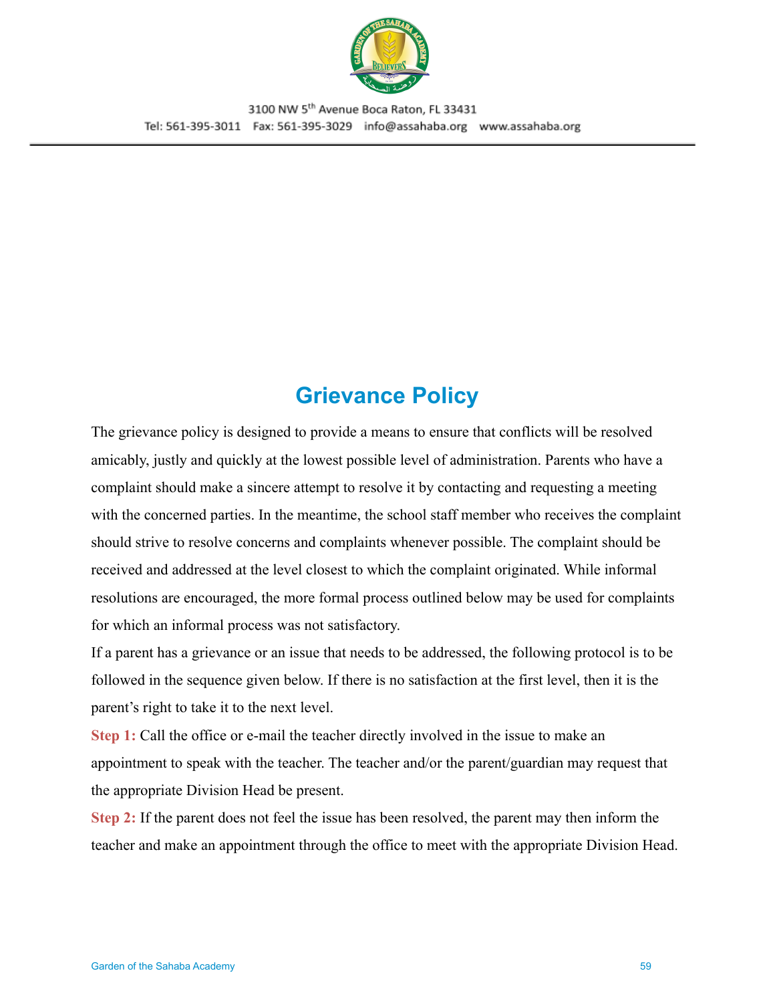

# **Grievance Policy**

<span id="page-58-0"></span>The grievance policy is designed to provide a means to ensure that conflicts will be resolved amicably, justly and quickly at the lowest possible level of administration. Parents who have a complaint should make a sincere attempt to resolve it by contacting and requesting a meeting with the concerned parties. In the meantime, the school staff member who receives the complaint should strive to resolve concerns and complaints whenever possible. The complaint should be received and addressed at the level closest to which the complaint originated. While informal resolutions are encouraged, the more formal process outlined below may be used for complaints for which an informal process was not satisfactory.

If a parent has a grievance or an issue that needs to be addressed, the following protocol is to be followed in the sequence given below. If there is no satisfaction at the first level, then it is the parent's right to take it to the next level.

**Step 1:** Call the office or e-mail the teacher directly involved in the issue to make an appointment to speak with the teacher. The teacher and/or the parent/guardian may request that the appropriate Division Head be present.

**Step 2:** If the parent does not feel the issue has been resolved, the parent may then inform the teacher and make an appointment through the office to meet with the appropriate Division Head.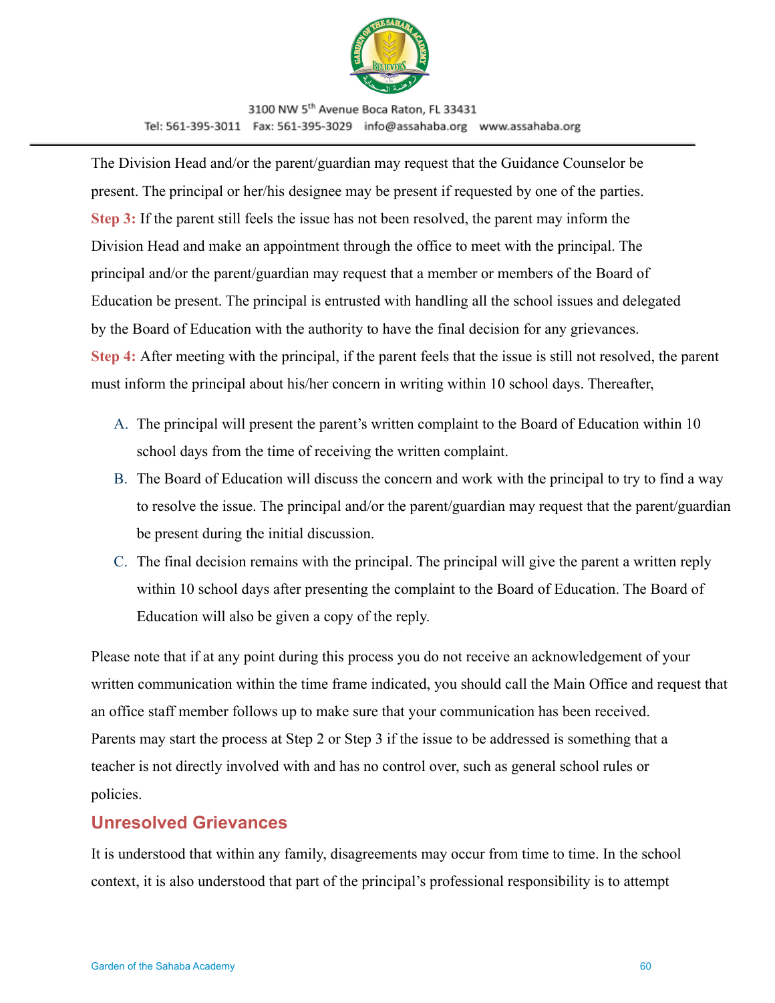

The Division Head and/or the parent/guardian may request that the Guidance Counselor be present. The principal or her/his designee may be present if requested by one of the parties. **Step 3:** If the parent still feels the issue has not been resolved, the parent may inform the Division Head and make an appointment through the office to meet with the principal. The principal and/or the parent/guardian may request that a member or members of the Board of Education be present. The principal is entrusted with handling all the school issues and delegated by the Board of Education with the authority to have the final decision for any grievances. **Step 4:** After meeting with the principal, if the parent feels that the issue is still not resolved, the parent must inform the principal about his/her concern in writing within 10 school days. Thereafter,

- A. The principal will present the parent's written complaint to the Board of Education within 10 school days from the time of receiving the written complaint.
- B. The Board of Education will discuss the concern and work with the principal to try to find a way to resolve the issue. The principal and/or the parent/guardian may request that the parent/guardian be present during the initial discussion.
- C. The final decision remains with the principal. The principal will give the parent a written reply within 10 school days after presenting the complaint to the Board of Education. The Board of Education will also be given a copy of the reply.

Please note that if at any point during this process you do not receive an acknowledgement of your written communication within the time frame indicated, you should call the Main Office and request that an office staff member follows up to make sure that your communication has been received. Parents may start the process at Step 2 or Step 3 if the issue to be addressed is something that a teacher is not directly involved with and has no control over, such as general school rules or policies.

### <span id="page-59-0"></span>**Unresolved Grievances**

It is understood that within any family, disagreements may occur from time to time. In the school context, it is also understood that part of the principal's professional responsibility is to attempt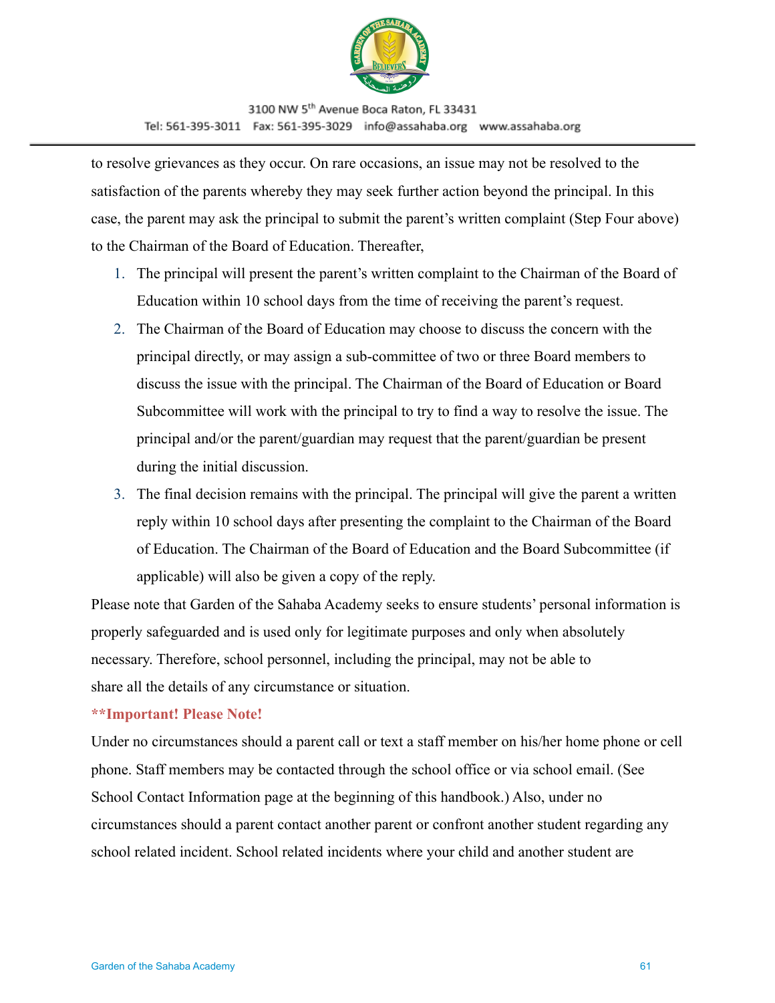

to resolve grievances as they occur. On rare occasions, an issue may not be resolved to the satisfaction of the parents whereby they may seek further action beyond the principal. In this case, the parent may ask the principal to submit the parent's written complaint (Step Four above) to the Chairman of the Board of Education. Thereafter,

- 1. The principal will present the parent's written complaint to the Chairman of the Board of Education within 10 school days from the time of receiving the parent's request.
- 2. The Chairman of the Board of Education may choose to discuss the concern with the principal directly, or may assign a sub-committee of two or three Board members to discuss the issue with the principal. The Chairman of the Board of Education or Board Subcommittee will work with the principal to try to find a way to resolve the issue. The principal and/or the parent/guardian may request that the parent/guardian be present during the initial discussion.
- 3. The final decision remains with the principal. The principal will give the parent a written reply within 10 school days after presenting the complaint to the Chairman of the Board of Education. The Chairman of the Board of Education and the Board Subcommittee (if applicable) will also be given a copy of the reply.

Please note that Garden of the Sahaba Academy seeks to ensure students' personal information is properly safeguarded and is used only for legitimate purposes and only when absolutely necessary. Therefore, school personnel, including the principal, may not be able to share all the details of any circumstance or situation.

#### **\*\*Important! Please Note!**

Under no circumstances should a parent call or text a staff member on his/her home phone or cell phone. Staff members may be contacted through the school office or via school email. (See School Contact Information page at the beginning of this handbook.) Also, under no circumstances should a parent contact another parent or confront another student regarding any school related incident. School related incidents where your child and another student are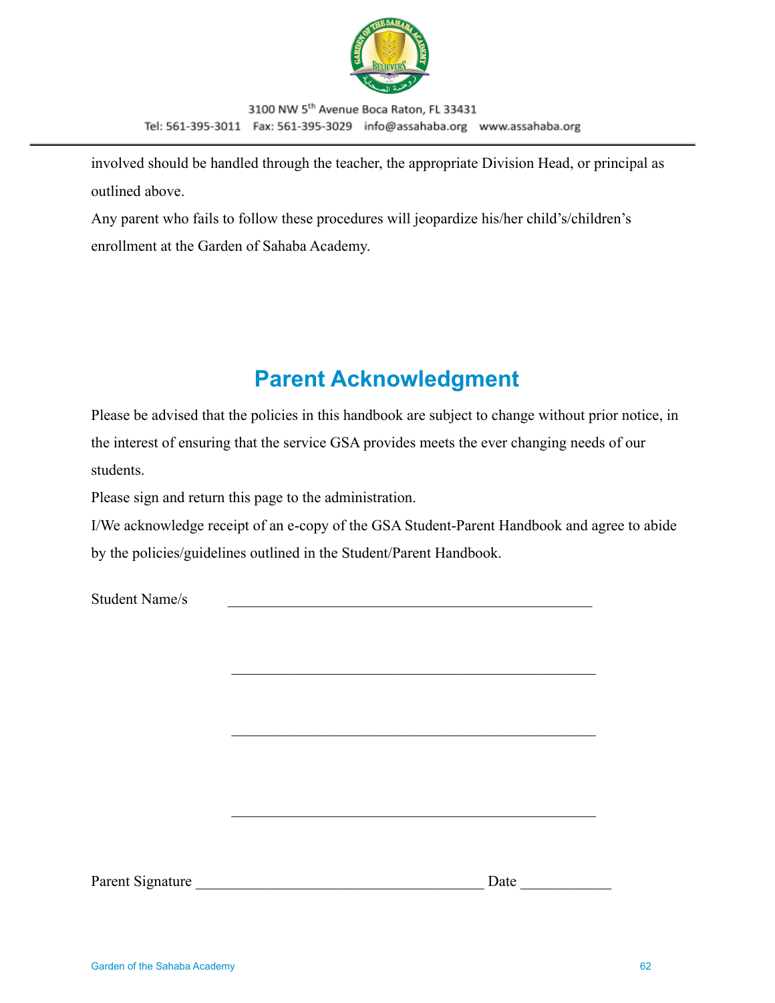

involved should be handled through the teacher, the appropriate Division Head, or principal as outlined above.

Any parent who fails to follow these procedures will jeopardize his/her child's/children's enrollment at the Garden of Sahaba Academy.

# **Parent Acknowledgment**

<span id="page-61-0"></span>Please be advised that the policies in this handbook are subject to change without prior notice, in the interest of ensuring that the service GSA provides meets the ever changing needs of our students.

Please sign and return this page to the administration.

I/We acknowledge receipt of an e-copy of the GSA Student-Parent Handbook and agree to abide by the policies/guidelines outlined in the Student/Parent Handbook.

 $\mathcal{L}_\text{max}$  and the contract of the contract of the contract of the contract of the contract of the contract of the contract of the contract of the contract of the contract of the contract of the contract of the contrac

 $\mathcal{L}_\text{max}$  , and the contract of the contract of the contract of the contract of the contract of the contract of the contract of the contract of the contract of the contract of the contract of the contract of the contr

 $\mathcal{L}_\text{max}$  and the contract of the contract of the contract of the contract of the contract of the contract of the contract of the contract of the contract of the contract of the contract of the contract of the contrac

Student Name/s

Parent Signature \_\_\_\_\_\_\_\_\_\_\_\_\_\_\_\_\_\_\_\_\_\_\_\_\_\_\_\_\_\_\_\_\_\_\_\_\_\_ Date \_\_\_\_\_\_\_\_\_\_\_\_